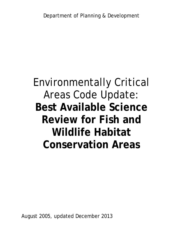# Environmentally Critical Areas Code Update: **Best Available Science Review for Fish and Wildlife Habitat Conservation Areas**

August 2005, updated December 2013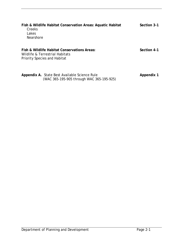| Fish & Wildlife Habitat Conservation Areas: Aquatic Habitat<br>Creeks<br>Lakes<br><b>Nearshore</b>              | Section 3-1 |
|-----------------------------------------------------------------------------------------------------------------|-------------|
| Fish & Wildlife Habitat Conservations Areas:<br>Wildlife & Terrestrial Habitats<br>Priority Species and Habitat | Section 4-1 |

**Appendix A.** State Best Available Science Rule **Appendix 1** (WAC 365-195-905 through WAC 365-195-925)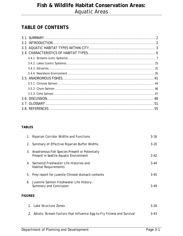### **TABLE OF CONTENTS**

#### **TABLES**

|                | 1. Riparian Corridor Widths and Functions                                                   | $3 - 16$ |
|----------------|---------------------------------------------------------------------------------------------|----------|
|                | 2. Summary of Effective Riparian Buffer Widths                                              | $3-20$   |
|                | 3. Anadromous Fish Species Present or Potentially<br>Present in Seattle Aquatic Environment | $3-42$   |
|                | 4. Salmonid Freshwater Life Histories and<br><b>Habitat Requirements</b>                    | $3 - 44$ |
|                | 5. Prey report for juvenile Chinook stomach contents                                        | $3 - 45$ |
|                | 6. Juvenile Salmon Freshwater Life History -<br>Summary and Conclusion                      | $3-49$   |
| <b>FIGURES</b> |                                                                                             |          |

| 1. Lake Structure Zones                                                  | $3-26$ |
|--------------------------------------------------------------------------|--------|
| 2. Abiotic Stream Factors that Influence Egg-to-Fry Fitness and Survival | $3-43$ |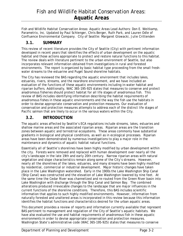Fish and Wildlife Habitat Conservation Areas: Aquatic Areas Lead Authors: Don E. Weitkamp, Parametrix, Inc. Updated by Paul Schlenger, Chris Berger, Ruth Park, and Lauren Odle of Confluence Environmental Company. City of Seattle: Margaret Glowacki, Julie Crittenden

### **3.1. SUMMARY**

This review of recent literature provides the City of Seattle (City) with pertinent information developed in recent years that identifies the effects of urban development on the aquatic habitat and those actions appropriate to protect and restore natural functions to this habitat. The review deals with literature pertinent to the urban environment of Seattle, but also incorporates relevant information obtained from investigations in rural and forested environments. The report is organized by basic habitat type proceeding from the small freshwater streams to the estuarine and Puget Sound shoreline habitats.

The City has reviewed the BAS regarding the aquatic environment that includes lakes, estuaries, rivers, streams, and the nearshore environment, and we have included an evaluation of the functions of these aquatic environments including in-water habitat and riparian buffers. Additionally, WAC 365-195-925 states that measures to conserve and protect anadromous fisheries should protect habitat for all life stages of anadromous fish. This review of BAS includes identifying information describing the habitat requirements of anadromous fishes in these aquatic environments and the way the fish use the habitats in order to devise appropriate conservation and protection measures. Our evaluation of conservation and protection measures attempts to address each of the distinct life stages of Pacific salmon that are likely to occur in the various waters within the City.

### **3.2. INTRODUCTION**

The aquatic areas affected by Seattle's ECA regulations include streams, lakes, estuaries and shallow marine areas and the associated riparian areas. Riparian areas are the transition zones between aquatic and terrestrial ecosystems. These areas commonly have substantial gradients in biological and physical conditions, as well as in ecological processes. Riparian areas have been demonstrated by numerous investigations to play a major role in the maintenance and dynamics of aquatic habitat natural functions.

Essentially all of Seattle's shorelines have been highly modified by urban development within the city. Forests were removed and replaced with human development over nearly all the city's landscape in the late 19th and early 20th century. Narrow riparian areas with natural vegetation and slope characteristics remain along some of the City's streams. However, nearly all the shorelines of the lakes, estuaries, and many streams have been highly modified by residential, commercial or industrial development. Major historic changes have taken place in the Lake Washington watershed. Early in the 1900s the Lake Washington Ship Canal (Ship Canal) was constructed and the elevation of Lake Washington lowered by nine feet. At the same time the Cedar River was channelized and re-routed from the Green River basin into Lake Washington with discharge through the Ship Canal and Salmon Bay. The combined alterations produced irrevocable changes to the landscape that are major influences in the current functions of the shoreline conditions. Therefore, this BAS includes scientific information that applies to such highly modified environments. However, information from naturally forested and unaltered areas is incorporated in this review because this information identifies the habitat functions and characteristics desired for the urban aquatic areas.

This document provides a review of reports and information currently available that represent BAS pertinent to management and regulation of the City of Seattle's aquatic habitats. We have also evaluated the use and habitat requirements of anadromous fish in these aquatic environments in order to devise appropriate conservation and protection measures. Washington State's administrative code (WAC 365-195-925) states that measures to conserve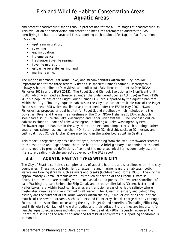and protect anadromous fisheries should protect habitat for all life stages of anadromous fish. This evaluation of conservation and protection measures attempts to address the BAS identifying the habitat characteristics supporting each distinct life stage of Pacific salmon including:

- upstream migration,
- spawning,
- $\bullet$  eqq incubation,
- fry emergence,
- freshwater juvenile rearing,
- juvenile migration,
- estuarine juvenile rearing, and
- marine rearing.

The marine nearshore, estuarine, lake, and stream habitats within the City, provide important habitat for three federally listed fish species: Chinook salmon (*Oncorhynchus tshawytscha)*, steelhead (*O. mykiss)*, and bull trout (*Salvelinus confluentus*) (see NOAA Fisheries 2013a and USFWS 2013). The Puget Sound Chinook Evolutionarily Significant Unit (ESU), which was listed as threatened under the Endangered Species Act (ESA) in March 1999. Multiple populations of the Puget Sound Chinook ESU are supported by the aquatic habitats within the City. Similarly, aquatic habitats in the City also support multiple runs of the Puget Sound steelhead ESU which was listed as threatened under the ESA in May 2007. NOAA Fisheries has proposed critical habitat for Puget Sound steelhead which includes only the Duwamish River and the marine shorelines of the City (NOAA Fisheries 2013b), although steelhead also utilize the Lake Washington and Cedar River system.. The proposed critical habitat excludes all parts of Lake Washington, including all Lake Washington system freshwater aquatic habitats in the City, due to the economic impact of such a listing. Other anadromous salmonids, such as chum (*O. keta)*, coho (*O.* kisutch*)*, sockeye (*O. nerka)*, and cutthroat trout (*O. clarki clarki)* are also found in the water bodies within Seattle.

This report is organized by basic habitat type, proceeding from the small freshwater streams to the estuarine and Puget Sound shoreline habitats. A brief glossary is appended at the end of this report to provide definitions of some of the more technical terms commonly used in literature dealing with the subjects covered by the BAS report.

### **3.3. AQUATIC HABITAT TYPES WITHIN CITY**

The City of Seattle contains a complex array of aquatic habitats and shorelines within the city boundaries. These include lotic, lentic, estuarine and marine nearshore habitats. Lotic waters are flowing streams such as rivers and creeks (Goldman and Horne 1983). The city has approximately 45 small streams as well as the lower portion of the Green/Duwamish River. Lentic waters are standing water such as lakes and ponds. The western shorelines of Lake Washington, Lake Union, the Ship Canal, and three smaller lakes (Green, Bitter, and Haller Lakes) are within Seattle. Estuaries are transition areas of variable salinity where freshwater streams and rivers mix with salt water. The Duwamish estuary and Salmon Bay estuary are the substantial estuarine waters within the city. Smaller estuaries occur at the mouths of the several streams, such as Pipers and Fauntleroy that discharge directly to Puget Sound. Marine shorelines occur along the city's Puget Sound shorelines (including Elliott Bay and Shilshole Bay). Each of the water bodies and their adjacent shorelines are important for healthy aquatic ecosystems including salmon. Gende et al. (2002) recently reviewed the literature discussing the role of aquatic and terrestrial ecosystems in supporting anadromous salmonids.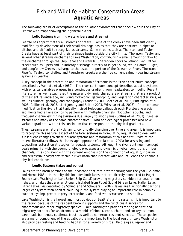The following are brief descriptions of the aquatic environments that occur within the City of Seattle with maps showing their general extent.

#### **Lotic Systems (running water/rivers and streams)**

Seattle has approximately 45 streams or creeks. Some of the creeks have been sufficiently modified by development of their small drainage basins that they are confined in pipes or ditches and difficult to recognize as streams. Some streams such as Thornton and Taylor Creeks have at least part of their drainage basin outside the city limits. Thornton, Taylor and several other streams discharge to Lake Washington, contributing a small amount of flow to the discharge through the Ship Canal and Hiram M. Chittenden Locks to Salmon Bay. Other creeks such as Pipers and Fauntleroy discharge directly to Puget Sound, while Hamm, Puget, and Longfellow Creeks discharge to the estuarine portion of the Duwamish River. Thornton, Piper's, Taylor, Longfellow and Fauntleroy creeks are the five current salmon-bearing stream systems in Seattle.

A key concept in the protection and restoration of streams is the "river continuum concept" described by Vannote et al. (1980). The river continuum concept describes aquatic systems with physical variables present in a continuous gradient from headwaters to mouth. Recent literature has well established the naturally dynamic characters of streams that are a product of their entire landscape, including hydrologic, geomorphic, and vegetation characteristics, as well as climate, geology, and topography (Kondolf 2000, Booth et al. 2002, Buffington et al. 2003, Collins et al. 2003, Montgomery and Bolton 2003, Wissmar et al. 2003). Prior to human modification the rivers that typically incised Holocene valleys through Pleistocene glacial sediments had an anastomosing pattern with multiple channels, floodplain sloughs, and frequent channel-switching avulsions due largely to wood jams (Collins et al. 2003). Smaller streams had many of the same characteristics. Biota and ecological processes also have variable gradients within this continuum that correspond to the physical gradients.

Thus, streams are naturally dynamic, continually changing over time and area. It is important to recognize this natural aspect of the lotic systems in formulating regulations to deal with subsequent changes to these aquatic systems and restoration of this habitat. Most of the recent literature follows this landscape approach (Garcia et al. 2003) for assessing and suggesting restoration strategies for aquatic systems. Although the river continuum concept deals primarily with the geomorphologic processes and dynamic physical conditions of river channels, it is consistent with the current emphasis on the connection of aquatic, riparian, and terrestrial ecosystems within a river basin that interact with and influence the channels physical conditions.

#### **Lentic Systems (lakes and ponds)**

Lakes are the basin portions of the landscape that retain water throughout the year (Goldman and Horne 1983). In the city this includes both lakes that are directly connected to Puget Sound (Lake Washington-Lake Union-Ship Canal) providing migratory corridors for anadromous fishes, and lakes that are functionally isolated from Puget Sound (Green Lake, Haller Lake, Bitter Lake). As described by Schindler and Scheuerell (2002), lakes are functionally part of a larger ecosystem with habitat coupling in the system playing an important role in complex nutrient cycling, predator-prey interactions, and food-web structure and stability.

Lake Washington is the largest and most obvious of Seattle's lentic systems. It is important to the region because of the resident biota it supports and the functions it serves for anadromous and other migratory species. Lake Washington provides rearing habitat and migratory corridors for anadromous salmonids (Chinook, coho, chum, and sockeye salmon, steelhead, bull trout, cutthroat trout) as well as numerous resident species. These species are a major component of the aquatic biota important to the local region. Lake Washington also provides resting and feeding habitat for a variety of birds. Bald eagles, osprey and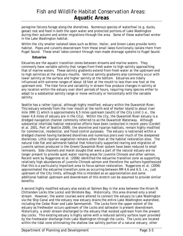peregrine falcons forage along the shorelines. Numerous species of waterfowl (e.g. ducks, geese) rest and feed in both the open water and protected portions of Lake Washington during their autumn and winter migrations through the area. Some of these waterfowl winter in the Lake Washington habitat.

Within the city smaller isolated lakes such as Bitter, Haller, and Green Lakes provide lentic habitat. Pipes and culverts downstream from these small lakes functionally isolate them from Puget Sound. These small lakes connect through man-made drainage systems to Puget Sound.

#### **Estuaries**

Estuaries are the aquatic transition zones between streams and marine waters. They commonly have variable salinity that ranges from fresh water to high salinity approaching that of marine waters. These salinity gradients extend from fresh water at the upstream end to high salinities at the estuary mouths. Vertical salinity gradients also commonly occur with lower salinity at the surface and higher salinity at the bottom. Estuaries are tidally influenced with extreme ranges of about 18 feet at the mouth to less than one foot at the upstream end. The tidal force and variability in stream flow produce changes in salinity at any location within the estuary over short periods of hours, requiring many species either to adapt to a substantial salinity range or move vertically or horizontally with the variable salinity.

Seattle has a rather typical, although highly modified, estuary within the Duwamish River. This estuary extends from the river mouth at the north end of Harbor Island to about river mile (RM) 11 which is approximately 6.5 miles upstream (south) of the City Limit (i.e., the lower 4.6 miles of estuary are in the City). Within the city, the Duwamish River estuary is a dredged navigation channel commonly referred to as the Duwamish Waterway. Although substantial intertidal habitat restoration efforts have been conducted in recent years (Cordell et al. 2001, Port of Seattle 2009), the shoreline and riparian habitats, remain highly modified for commercial, residential, and flood control purposes. The estuary is restrained within a dredged channel having hardened shorelines and numerous piers over much of the steepened shorelines. Little riparian vegetation remains other than at the habitat restoration sites. The natural tide flat and saltmarsh habitat that historically supported rearing and migration of juvenile salmon produced in the Green/Duwamish River system have been reduced to small remnants. Side channels and marsh sloughs that were a part of the natural estuary are no longer present to provide quiet water rearing areas for juvenile Chinook and other salmon. Recent work by Ruggerone et al. (2006) identified the estuarine transition zone as supporting relatively high abundances of juvenile Chinook salmon and therefore the authors hypothesized that this is a particularly important area to focus salmon restoration. Ruggerone et al. (2006) approximated the estuarine transition zone as occurring between RM 4.6 and 6.5, i.e., just upstream of the City limits, although this is intended as an approximation and some additional habitat upstream and downstream of this stretch can be assumed to provide similar benefits.

A second highly modified estuary also exists at Salmon Bay in the area between the Hiram M. Chittenden Locks (the Locks) and Shilshole Bay. Historically, this area drained only a small stream. However, the water courses were altered to connect the estuary to Lake Washington via the Ship Canal and the estuary now estuary drains the entire Lake Washington watershed, including the Cedar River and Lake Sammamish. The Locks form the upper extent of the estuary as freshwater occurs upstream of the Locks and saltwater is present downstream. Historically, a small stream discharged to the estuary that existed upstream from the present day Locks. This existing estuary is highly saline with a reduced salinity surface layer provided by the freshwater discharge from Lake Washington through the Locks. The Locks are located within the tidal zone eliminating the shallow low salinity portion of a natural estuary, other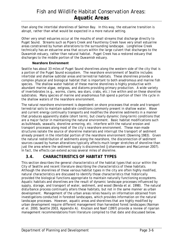than along the intertidal shorelines of Salmon Bay. In this way, the estuarine transition is abrupt, rather than what would be expected in a more natural setting.

Other very small estuaries occur at the mouths of small streams that discharge directly to Puget Sound. Streams such as Pipers Creek and Fauntleroy Creek have very small estuarine areas constrained by human alterations to the surrounding landscape. Longfellow Creek technically has an estuarine area that occurs within the large culvert that discharges to the Duwamish estuary, rather than natural habitat. Puget Creek has a restored estuary that discharges to the middle portion of the Duwamish estuary.

#### **Nearshore Environment**

Seattle has about 33 miles of Puget Sound shorelines along the western side of the city that is a portion of the Puget Sound ecosystem. The nearshore environment of Seattle includes intertidal and shallow subtidal areas and terrestrial habitats. These shorelines provide a complex physical and biological habitat that is important to both anadromous and marine fish species. The shallow water habitat of these marine shorelines is highly productive with abundant marine algae, eelgrass, and diatoms providing primary production. A wide variety of invertebrates (e.g., worms, clams, sea stars, crabs, etc.) live within and on these shoreline substrates. Many species of marine and anadromous fish spend a portion of their life cycle in the shallow waters of the nearshore environment.

The natural nearshore environment is dependent on shore processes that erode and transport terrestrial soils to maintain substrate conditions commonly present in shallow water. Wave and current energy continually transports and modifies the shoreline sediments in a manner that produces apparently stable (short term), but clearly dynamic (long-term) conditions that are a major factor in maintaining the natural environment. Basic habitat modifications such as bulkheads, seawalls, shoreline armoring, etc. interfere with the natural erosion and transport processes along most of the city's nearshore environment. These man-made structures isolate the source of shoreline materials and interrupt the transport of sediment already present in the intertidal portion of the nearshore environment (Downing 1983). Given the natural redistribution of sediments along the nearshore, the disconnection of sediment sources caused by human alterations typically affects much longer stretches of shoreline than just the area where the sediment supply is disconnected (Johannessen and MacLennan 2007). In fact, the effects can extend across several miles of shoreline.

### **3.4. CHARACTERISTICS OF HABITAT TYPES**

This section describes the general characteristics of the habitat types that occur within the City of Seattle and recent literature describing the characteristics of these habitats. Although the shorelines of these various habitat types in the city are often highly modified, natural characteristics are discussed to identify those characteristics that historically provided the biological functions appropriate to maintain naturally functioning ecosystems. Aquatic habitats and shorelines are the result of dynamic landscape processes influenced by supply, storage, and transport of water, sediment, and wood (Benda et al. 1998). The natural disturbance process continually alters these habitats, but not in the same manner as urban development. Management of the urban areas relies heavily on information obtained from investigations conducted in forested landscapes, which provides information on the natural landscape processes. However, aquatic areas and shorelines that are highly modified by urban development require different management than harvested forest landscapes (Naiman et el. 2000, Seattle 2003, Appendix A). Knutson and Naef (1997) provide a review of riparian management recommendations from literature compiled to that date and discussed below.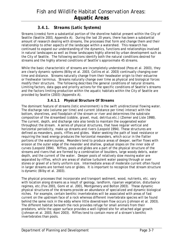### *3.4.1. Streams (Lotic Systems)*

Streams (creeks) form a substantial portion of the shoreline habitat present within the City of Seattle (Seattle 2003, Appendix A). During the last 20 years, there has been a substantial amount of research dealing with streams, the processes that form and change them and their relationship to other aspects of the landscape within a watershed. This research has continued to expand our understanding of the dynamics, functions and relationships involved in natural landscapes as well as those landscapes highly altered by urban development such as the City of Seattle. The following sections identify both the natural conditions desired for streams and the highly altered conditions of Seattle's approximate 45 streams.

While the basic characteristic of streams are incompletely understood (Pess et al. 2003), they are clearly dynamic systems (Bilby et al. 2003, Collins et al. 2003) continually changing over time and distance. Streams naturally change from their headwater origin to their estuarine or freshwater terminus. Streams naturally change over time as physical and biological forces modify their structure. The following describes the general conditions of natural streams. Limiting factors, data gaps and priority actions for the specific conditions of Seattle's streams and the factors limiting production within the aquatic habitats within the City of Seattle are provided by Seattle (2003) (Appendix A).

#### **3.4.1.1 Physical Structure Of Streams**

The dominant feature of streams (lotic environment) is the swift unidirectional flowing water. The discharge rate (volume per time) and current (distance per time) interact with the bottom, shorelines, and floodplain of the stream or river and determines the substrate composition of the streambed (cobble, gravel, mud, detritus etc.) (Ziemer and Lisle 1998). The current, depth, and discharge rate also tends to maintain the oxygenated water throughout the stream. A series of physical structures, that have regular vertical and horizontal periodicity, make up streams and rivers (Leopold 1994). These structures are defined as meanders, pools, riffles and glides. Water seeking the path of least resistance or requiring the least energy produces the horizontal meanders, which occur in the flatter portions of the watercourses. Meanders tend to produce areas of deeper, swifter flows with erosion at the outer edge of the meander and shallow, gradual slopes on the inner side of curves (Leopold 1994). Riffles, pools and glides are a part of the physical structure of the streams and rivers that are formed by a combination of boulders, large woody debris, water depth, and the current of the water. Deeper pools of relatively slow moving water are separated by riffles, which are areas of shallow turbulent water passing through or over stones or gravel of a fairly uniform size. Intermediate areas of moderate current often found in larger streams are termed runs or glides. It is important to recognize that stream structure is dynamic (Bilby et al. 2003).

The physical processes that incorporate and transport sediment, wood, nutrients, etc. vary with location along streams as a result of geology, landform, riparian vegetation, disturbance regimes, etc.(Fox 2001, Gomi et al. 2001, Montgomery and Bolton 2003). These dynamic physical structures of the streams provide an abundance of specialized and dynamic biological niches. For example, certain benthic invertebrates will be associated with areas of fast current on the upstream face of a rock whereas different invertebrate species will be found behind the same rock in the eddy where little downstream flow occurs (Johnson et al. 2003). The different habitat beneath the rock provides refuge for small animals from their predators, while the upper surface provides a well-lighted site for attached algal growth (Johnson et al. 2003, Roni 2003). Riffles tend to contain more of a stream's benthic invertebrates than pools.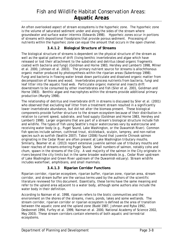An often overlooked aspect of stream ecosystems is the hyporheic zone. The hyporheic zone is the volume of saturated sediment under and along the sides of the stream where groundwater and surface water intermix (Edwards 1998). Hyporheic zones occur in portions of streams with depositional floodplains that provide porous sediment. Processing of nutrients within the hyporheic zone can equal the amount that occurs in the open channel.

#### **3.4.1.2 Biological Structure of Streams**

The biological structure of streams is dependent on the physical structure of the stream as well as the spatial patterns of drift (living benthic invertebrates and algae which have released or lost their attachment to the substrate) and detritus (dead organic fragments coated with bacteria and fungi) (Goldman and Horne 1983, Hershey and Lamberti 1998, Milner et al. 2000, Johnson et al. 2003). The primary nutrient source for streams is allochthonous organic matter produced by photosynthesis within the riparian areas (Suberkropp 1998). Fungi and bacteria in flowing water break down particulate and dissolved organic matter from decomposition of leaves and wood. Invertebrates process nutrients from bacteria, fungi and leaf litter into the aquatic food web. Particulate organic material and insects drift downstream to be consumed by other invertebrates and fish (Siler et al. 2001, Goldman and Horne 1983). Benthic algae and macrophytes within the streams provide additional primary production (Murphy 1998).

The relationship of detritus and invertebrate drift in streams is discussed by Siler et al. (2001) who observed that excluding leaf litter from a treatment stream resulted in a significantly lower invertebrate abundance, but did not alter the biomass present. These biological components provide further structure to the stream ecosystem because of their distribution in relation to current speed, substrate, and food supply (Goldman and Horne 1983, Hershey and Lamberti 1998). Larger organisms that are part of a stream's biological structure include fish and wildlife. The types of fish using Seattle's major watercourses vary by watercourse and receiving water body (e.g., Puget Sound, Lake Washington, or the Duwamish River). Common fish species include salmon, cutthroat trout, stickleback, sculpin, lamprey, and non-native species such as sunfish (Seattle 2007). Tabor (2006) found that juvenile Chinook salmon originating in the Cedar River are often present at Lake Washington tributary mouths. Similarly, Beamer et al. (2013) report extensive juvenile salmon use of tributary mouths and lower reaches of streams entering Puget Sound. Small numbers of salmon, notably coho and chum, spawn in the streams of the City. A vast majority of the salmon in the City originate in rivers beyond the city limits but in the same broader watersheds (e.g., Cedar River upstream of Lake Washington and Green River upstream of the Duwamish estuary). Stream wildlife includes waterfowl, amphibians, and small mammals.

#### **3.4.1.3 Riparian Corridor Functions**

Riparian corridor, riparian ecosystem, riparian buffer, riparian zone, riparian area, stream corridor, and stream buffer are the various terms used by the authors of the scientific literature reviewed for this document. Essentially, these terms have the same meaning and refer to the upland area adjacent to a water body, although some authors also include the water body in their definition.

According to Naiman et al. 1998, riparian refers to the biotic communities and the environment on the shores of the streams, rivers, ponds, lakes and some wetlands. The stream corridor, riparian corridor or riparian ecosystem is defined as the area of transition between the aquatic zone and the upland zone (Budd 1987, Johnson and Ryba 1992, Desbonnet 1994, Furfey et al. 1999, Naiman et al. 2000, National Academy of Science 2002, May 2003). These stream corridors contain elements of both aquatic and terrestrial ecosystems.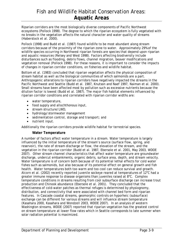Riparian corridors are the most biologically diverse components of Pacific Northwest ecosystems (Pollock 1998). The degree to which the riparian ecosystem is fully vegetated with no breaks in the vegetation affects the natural character and water quality of streams (Haberstock et al. 2000).

Pollock (1998) and Budd et al. (1987) found wildlife to be most abundant along stream corridors because of the proximity of the riparian zone to water. Approximately 29% of the wildlife species occurring in Northwest riparian forests are species that depend upon riparian and aquatic resources (Relsey and West 1998). Factors affecting biodiversity include disturbances such as flooding, debris flows, channel migration, beaver modifications and vegetation removal (Pollock 1998). For these reasons, it is important to consider the impacts of changes in riparian corridor conditions, on fisheries and wildlife habitat.

Bottom et al. (1983) concluded that riparian vegetation affects the physical composition of stream habitat as well as the biological communities of which salmonids are a part. Anthropogenic alterations to riparian corridors have negatively impacted the streams in the Pacific Northwest and Seattle (Budd et al. 1987, Knutson and Naef 1997, Naiman et al. 2000). Small streams have been affected most by pollution such as excessive nutrients because the dilution factor is lowest (Budd et al. 1987). The major fish habitat elements influenced by riparian corridor conditions and correlated with riparian corridor widths are:

- water temperature,
- food supply and allochthonous input,
- stream structure/LWD,
- hydrology/stormwater management
- sedimentation control, storage and transport; and
- nutrient input.

Additionally the riparian corridors provide wildlife habitat for terrestrial species.

#### **Water Temperature**

A number of factors affect water temperature in a stream. Water temperature is largely influenced by the initial temperature of the stream's source (surface flow, spring, and reservoir), the rate of stream discharge or flow, the elevation of the stream, and the vegetation in the riparian corridor (Budd et al. 1987, Ebersole et al. 2001, May 2003, WDOE 2007). Other stream channel characteristics that affect water temperature are groundwater discharge, undercut embankments, organic debris, surface area, depth, and stream velocity. Water temperature is of concern both because of its potential lethal effects for cold water fishes such as salmonids, but also because of its potential effect on general growth and fish health. Water temperatures both too warm and too cool can reduce survival and growth. Alcorn et al. (2002) recently reported juvenile sockeye reared at temperatures of  $12^{\circ}$ C had a greater immune response to disease organisms than juveniles raised at  $8^{\circ}$ C. Complex temperature conditions in streams resulting from cool subsurface discharge can increase trout production and Chinook abundance (Ebersole et al. 2001). They concluded that the effectiveness of cold-water patches as thermal refuges is determined by physiognomy, distribution, and connectivity that were associated with channel bed form and riparian features. In Cascade coastal streams, geomorphic controls on hyporheic (subsurface) exchange can be different for various streams and will influence stream temperature (Kasahara 2000, Kasahara and Wondzell 2003, WDOE 2007). In an analysis of western Washington streams, WDOE (2007) reported that riparian vegetation has the greatest control on stream temperature at lower flow rates which in Seattle corresponds to late summer when solar radiation potential is maximized.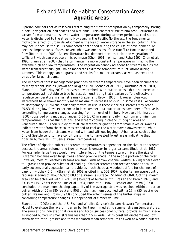Riparian corridors act as reservoirs restraining the flow of precipitation by temporarily storing runoff in vegetation, soil spaces and wetlands. This characteristic minimizes fluctuations in stream flow and maintains lower water temperatures during summer periods as cool stored water is discharged to the stream. However, In the Pacific Northwest, the fundamental hydrologic effect of urban development is the loss of water storage in the soil column. This may occur because the soil is compacted or stripped during the course of development, or because impervious surfaces convert what was once subsurface runoff to Horton overland flow (Booth et al. 2002). Recent literature has demonstrated that riparian vegetation of sufficient width can produce a microclimate (Chen 1991, Johnson and Ryba 1992, Chen et al. 1995, Blann et al. 2003) that helps maintain a more constant temperature minimizing the extreme high and low temperatures. The vegetation canopy adjacent to streams shields the water from direct sunlight, which moderates extreme temperature fluctuations during summer. This canopy can be grasses and shrubs for smaller streams, as well as trees and shrubs for larger streams.

The impacts of forest management practices on stream temperature have been documented by many recent studies (Brown and Krygier 1970, Spence et al. 1996, Kauffman et al. 2001, Blann et al. 2003, May 2003). Harvested watersheds with buffer strips exhibit no increase in temperature attributable to tree harvest demonstrating that riparian buffers effectively regulate temperature in small streams (Brazier and Brown 1973). However, clear-cut watersheds have shown monthly mean maximum increases of  $2-8^{\circ}$ C in some cases. According to Montgomery (1976) the peak daily maximum rise in these clear-cut streams may reach 25.5°C during low flows experienced in late summer, but buffer strips have been effective in controlling temperature changes resulting from removal of timber. However, Mellina et al. (2002) observed only modest changes ( $0.05$ -1.1 $^{\circ}$ C) in summer daily maximum and minimum temperatures, diurnal fluctuations, and stream cooling in clear-cut logging areas on Vancouver Island. Their survey of multiple streams originating from small lakes or swamps indicated water from these sources tended to cool as the water moved downstream, while water from headwater streams warmed with and without logging. Urban areas such as the City of Seattle tend to have conditions similar to harvested forest areas indicating that riparian buffers will influence stream temperature.

The effect of riparian buffers on stream temperatures is dependent on the size of the stream because the area, volume, and flow of water is greater in larger streams (Budd et al. 1987). For example, large trees would have little effect on the temperature of rivers the size of Duwamish because even large trees cannot provide shade in the middle portion of the river. However, most of Seattle's streams are small with narrow channel widths (1-2 m) where even tall grasses can provide substantial shading. Smaller streams can recover sooner because early successional vegetation can provide as much shade as wooded buffers for channels of bankfull widths < 2.5 m (Blann et al. 2002 as cited in WDOE 2007) Water temperature control requires shading of about 60% to 80% of a stream's surface. Shading of 60-80% of the stream area can be achieved with 11-24.3 m (35-80ft) of buffer width (Brasier and Brown 1973) and 23-38 m (75-125 ft) (Steinblums et al. 1984, Budd et al. 1987). Brazier and Brown (1973) concluded the maximum shading capability of the average strip was reached within a riparian buffer width of 25 m (80 feet) and 90% of the maximum occurred with a 17 m (55 feet) wide buffer. Brazier and Brown (1973) concluded the effectiveness of the buffer strips in controlling temperature changes is independent of timber volume.

Blann et al. (2003) used the U.S. Fish and Wildlife Service's Stream Network Temperature Model to evaluate the role of riparian buffer type in mediating summer stream temperatures. The simulations indicated that grasses and forbs (successional buffers) provide as much shade as wooded buffers in small streams less than 2.5 m wide. With constant discharge and low width-depth ratio, grasses and forbs mediated mean temperatures as well as wooded buffers.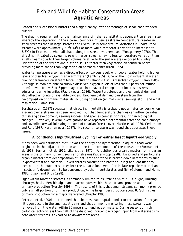Grazed and successional buffers had a significantly lower percentage of shade than wooded buffers.

The shading requirement for the maintenance of fisheries habitat is dependent on stream size whereby the vegetation in the riparian corridors influences stream temperature greater in small streams than in large streams and rivers. Daily temperature variations in undisturbed streams were approximately 2.2 $^{\circ}$ C (4 $^{\circ}$ F) or more while temperature variation increased to 5.6°C (10°F) or more when all shade along the stream was removed (Montgomery 1976). This effect is mitigated by stream size with larger streams having less temperature variation than small streams due to their larger volume relative to the surface area exposed to sunlight. Orientation of the stream and buffer also is a factor with vegetation on southern banks providing more shade than vegetation on northern banks (Bren 1995).

Water temperature also has a direct effect on oxygen level, with cooler water holding higher levels of dissolved oxygen than warm water (Lamb 1985). One of the most influential water quality parameters on stream biota, including salmonid fish, is dissolved oxygen (Lamb 1985). Although salmon are able to survive dissolved oxygen levels of less than 3 parts per million (ppm), levels below 5 or 6 ppm may result in behavioral changes and increased stress in adults or rearing juveniles (Pauley et al. 1986). Water turbulence and biochemical demand also affect amounts of available oxygen. Biochemical demand can stem from the decomposition of organic materials including pollution (animal waste, sewage etc.), and algal respiration (Lamb 1985).

Beschta et al. (1987) suggests that direct fish mortality is probably not a major concern when shading over a stream has been removed, but that temperature changes can influence rates of fish egg development, rearing success, and species competition resulting in biological changes. However, several investigations have reported a detrimental effect on coho embryo and juvenile survival following removal of riparian forest cover (Martin et al. 1986, Cederholm and Reid 1987, Hartman et al. 1987). No recent literature was found that addresses these issues.

#### **Allochthonous Input/Nutrient Cycling/Terrestrial Insect Input/Food Supply**

It has been well estimated that 99% of the energy and hydrocarbon in aquatic food webs originates in the adjacent riparian and terrestrial components of the ecosystem (Bormann et al. 1968, Bormann et al. 1969, Likens et al.1970). Allochthonous organic matter from riparian areas is the primary nutrient source for streams (Suberkropp 1998). Dissolved and particulate organic matter from decomposition of leaf litter and wood is broken down in streams by fungi (hypomycetes) and bacteria. Invertebrates consume the bacteria, fungi and leaf litter to incorporate the nutrient sources into the aquatic food web. Particulate organic material and insects drift downstream to be consumed by other invertebrates and fish (Goldman and Horne 1983, Bisson and Bilby 1998).

Light within forested streams is commonly limited to as little as 5% of full sunlight, limiting photosynthesis. Benthic algae and macrophytes within these streams provide additional primary production (Murphy 1998). The results of this is that small streams commonly provide only a small portion of primary production, while large rivers produce about 80% of instream primary production for a major watershed (Murphy 1998).

Peterson et al. (2001) determined that the most rapid uptake and transformation of inorganic nitrogen occurs in the smallest streams and that ammonium entering these streams was removed from the water within 30 meters to hundreds of meters. During seasons of high biological activity less than half of the dissolved inorganic nitrogen input from watersheds to headwater streams is exported to downstream areas.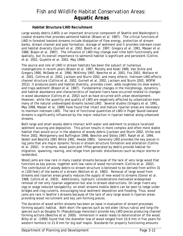#### **Habitat Structure/LWD Recruitment**

Large woody debris (LWD) is an important structural component of Seattle and Washington's coastal streams that provides salmonid habitat (Bisson et al. 1987). The critical functions of LWD in forested lowland streams include dissipation of flow energy, protection of stream banks, stream channel and pool formation, storage of sediment and it provides instream cover and habitat diversity (Gurnell et al. 2002, Booth et al. 1997, Gregory et al. 1991, Masser et al. 1988, Bisson et al. 1987). The influence of LWD may change over time both functionally and spatially, but its overall importance to salmonid habitat is significant and persistent (Collins et al. 2002, Guyette et al. 2002, May 1998).

The source and role of LWD in stream habitats has been the subject of numerous investigations in recent years (Bisson et al. 1987, Murphy and Koski 1989, Van Sickle and Gregory 1990, McDade et al. 1990, McKinley 1997, Beechie et al. 2001, Fox 2001, Wallace et al. 2001, Collins et al. 2002, Jackson and Sturm 2002, and many others). Instream LWD affects channel structure (Collins et al. 2002, Gurnell et al. 2002, Jackson and Sturm 2002, WDFW 2012); it produces pools and habitat diversity, provides cover, adds roughness (to slow water), and traps sediment (Bisson et al. 1987). Fundamental changes in the morphology, dynamics, and habitat abundance and characteristics of lowland rivers have occurred related to changes in wood abundance (Collins et al. 2002) such as have occurred with urban development. However, while the quantity and quality of LWD are negatively affected by urbanization even many of the natural undeveloped streams lacked LWD. Several studies (Gregory et al. 1991, May 1998, Masser et al. 1988) have found that intact and mature riparian areas are necessary to maintain instream LWD. The lack of functional quantities of LWD in Puget Sound lowland streams is significantly influenced by the major reduction in riparian habitat along urbanized streams.

Both large and small woody debris interact with water and sediment to produce localized sediment scouring and deposition. This action results in more complex and often more stable habitat than would occur in the absence of woody debris (Jackson and Sturm 2002, Ulrike and Peter 2002, Montgomery and Buffington 1998, Beechie and Sibley 1997, Ralph et al. 1994, Sedell and Beschta 1991 White 1991, Heede 1985). Generally LWD provides the key pieces in log jams that are major dynamic forces in stream structure formation and alteration (Collins et al. 2002). In streams, wood pools and riffles generated by debris provide habitat for migration, spawning, rearing, and refuge from periodic disturbances (such as major storms or landslides).

Wood jams are now rare in many coastal streams because of the lack of very large wood that functions as key pieces, together with low rates of wood recruitment (Collins et al. 2002). The contribution of woody debris to stream structure is believed to be derived from within 31 m (100 feet) of the banks of a stream (Bottom et al. 1983). Removal of large wood from streams and riparian areas greatly reduces the supply of new wood to streams (Gonor et al. 1988, Collins et al. 2003). Additionally, hydraulic considerations motivated widespread removal of not only riparian vegetation but also in-stream obstructions. On large rivers any logs or snags reduced navigability; on small streams mobile debris can be seen to lodge under bridges and clog culverts, encouraging local sediment deposition and flooding. Thus, wood jams are rare in Seattle's streams because of the lack of very large wood in riparian areas providing wood recruitment and key jam-forming pieces.

The duration of wood within streams has been an issue in evaluation of stream processes forming aquatic habitat. Both short life species such as red alder (*Alnus rubra*) and long-life species such as Douglas fir (*Pseudotsuga menziesii*) provide key LWD pieces producing channel forming actions (Beechie et al. 2000). Immersion in water leads to deterioration of the wood. Bilby et al. (1999) found that the diameter loss of wood ranged from 10.6 mm in five years for western hemlock to 21.8 mm for big leaf maple. Standards for properly functioning amounts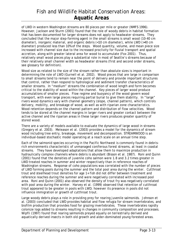of LWD in western Washington streams are 80 pieces per mile or greater (NMFS 1996). However, Jackson and Sturm (2001) found that the role of woody debris in habitat formation that has been documented for larger streams does not apply to headwater streams. They concluded that the major step-forming agent in the small streams is small wood (10-40 cm diameter), inorganic material, and organic debris (<10 cm diameter), while LWD (>40 cm diameter) produced less than 10% of the steps. Wood quantity, volume, and mean piece size increased with channel size due to the increased proclivity for fluvial transport and spatial accretion, along with greater lateral area for wood to accumulate (Fox 2001). Thus, relatively small wood pieces play a substantial role in most of Seattle's streams because of their relatively small channel width as headwater streams (first and second order streams, see glossary for definition).

Wood size as related to the size of the stream rather than absolute sizes is important in determining the role of LWD (Gurnell et al. 2002). Wood pieces that are large in comparison to small streams tend to remain near the point of delivery and provide important structures that control, rather than respond to hydrological and sediment transfer characteristics of smaller streams. In "medium" streams the combination of wood length and form becomes critical to the stability of wood within the channel. Key pieces of larger wood produce accumulations of smaller pieces. Flow regime and buoyancy of the wood govern wood transport, with even large pieces requiring partial burial to give them stability. In "large" rivers wood dynamics vary with channel geometry (slope, channel pattern), which controls delivery, mobility, and breakage of wood, as well as with riparian zone characteristics. Wood retention depends on the channel pattern and distribution of flow velocities. Wood tends to be stored at the channel margins in larger rivers and greater contact between the active channel and the riparian areas in these larger rivers produces greater quantity of stored wood.

There are a variety of models available to evaluate the dynamics of large wood in streams (Gregory et al. 2003). Meleason et al. (2003) provides a model for the dynamics of stream wood including tree entry, breakage, movement and decomposition. STREAMWOOD is an individual-based stochastic model operating at a reach scale on an annual time step.

Each of the salmonid species occurring in the Pacific Northwest is commonly found in debrisrich environments characteristic of unmanaged coniferous forest streams, at least in coastal streams. They have developed adaptations that allow them to maximize production in hydraulically complex channels where debris is abundant (Bisson et al. 1987). Roni and Quinn (2001) found that the densities of juvenile coho salmon were 1.8 and 3.2 times greater in LWD treated reaches in summer and winter respectively than in reference reaches of Washington streams. Response of coho populations was correlated with the number of pieces of LWD forming pools during the summer and the total pool area during the winter. Cutthroat trout and steelhead trout densities for age 1+ fish did not differ between treatment and reference reaches during the summer and were negatively correlated with increased pool area. Roni and Quinn (2001) also observed the density of trout fry was negatively correlated with pool area during the winter. Harvey et al. (1999) observed that retention of cutthroat trout appeared to be greater in pools with LWD; however its presence in pools did not influence immigration or growth of cutthroat trout.

Large woody debris plays a role in providing prey for rearing juvenile salmonids. Johnson et al. (2003) concluded that LWD provides habitat and flow refugia for stream invertebrates, and biofilm production that provides food for grazing invertebrates. These invertebrates rapidly colonize logs added to streams resulting in changes in community composition and processes. Wipfli (1997) found that rearing salmonids preyed equally on terrestrially derived and aquatically derived insects in both old growth and alder-dominated young forested areas.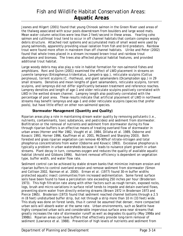Jeanes and Hilgert (2001) found that young Chinook salmon in the Green River used areas of the thalweg associated with scour pools downstream from boulders and large wood mats. Mean water column velocities were less than 2 feet/second in these areas. Yearling coho salmon and cutthroat trout tend to occur in off channel habitats that contain complex woody debris structure. Attached root systems and accumulated mats of small wood were used by young salmonids, apparently providing visual isolation from fish and bird predators. Rainbow trout were found more often in mainstem than off channel habitats. Ulrike and Peter (2002) found that whole trees placed in a stream increased brown trout and rainbow trout abundance and biomass. The trees also affected physical habitat features, and provided additional trout habitat.

Large woody debris may also play a role in habitat formation for non-salmonid fishes and amphibians. Roni and Quinn (2001) examined the effect of LWD placement in streams on juvenile lampreys (*Entosphenus tridentatus*, *Lampetra* spp.), reticulate sculpins (*Cottus perplexus*), torrent sculpins (*C. rhotheus*), and giant salamanders (*Dicamptodon* spp.) in 29 small streams. Densities and mean lengths of giant salamanders, reticulate sculpins, torrent sculpins, and lampreys did not differ significantly between treatment and reference reaches. Lamprey densities and length of age-1 and older reticulate sculpins positively correlated with LWD in the wetted stream channel. Lamprey length also positively correlated with the percentage of pool area. These results indicate that artificial placement of LWD in northwest streams may benefit lampreys and age-1 and older reticulate sculpins (species that prefer pools), but have little effect on other non-salmonid species.

#### **Stormwater Management (Quantity and Quality)**

Riparian areas play a role in maintaining stream water quality by removing pollutants (i.e., nutrients, contaminants, toxic substances, and pesticides) and sediment from stormwater. Biofiltration or the removal of nutrients and sediment from stormwater during its flow through riparian buffers is an effective means of treating overland flow of stormwater in urban areas (Horner and Mar 1982, Vought et al. 1984, Dillaha et al. 1989, Osborne and Kovacic 1993, Horner 1996, Kauffman et al. 2001, McDowell and Sharpley 2003). Both forested and grass riparian vegetation can remove 40-90% of nitrate-nitrogen and total phosphorus concentrations from water (Osborne and Kovacic 1993). Excessive phosphorus is typically a problem in urban watersheds because it leads to nuisance plant growth in urban streams. Plant decay in turn, consumes oxygen and reduces the quality of available aquatic habitat (Arnold and Gibbons 1996). Nutrient removal efficiency is dependent on vegetation type, buffer width, and water flow rate.

Sediment control can be achieved by stable stream banks that minimize instream erosion and riparian buffers to control overland erosion and remove sediment from stormwater (Simon and Collison 2002, Naiman et al. 2000). Erman et al. (1977) found 30-m buffer widths protected aquatic insect communities from increased sedimentation. Some forest surface soils have been found to have a percolation rate exceeding 250 inches per hour (Broderson 1973). This high filtration rate along with other factors such as rough terrain, exposed rocks, logs, brush and micro-variations in surface relief tends to impede and detain overland flows, preventing storm water from directly entering streams (Brown 1972 in Broderson 1973 and Pierce 1965). Broderson (1973) found that sediment reached channel bottoms through a 2.5 m (8 feet) undisturbed buffer strip, but not through a strip more than 10 m (33 feet) wide. This study was done on forest lands, thus it cannot be assumed that denser, more compacted urban soils will absorb water at the same rate. Urban environments, such as Seattle have highly compacted urban soils and considerable impervious surface area near streams that greatly increases the rate of stormwater runoff as well as degrades its quality (May 1998a and 1998b). Riparian areas can have buffers that effectively provide long-term removal of sediment (Lowrance et al. 1988). Prevention of high levels of nutrients and sediment from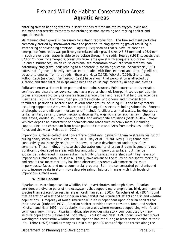entering salmon bearing streams in short periods of time maintains oxygen levels and sediment characteristics thereby maintaining salmon spawning and rearing habitat and aquatic health.

Maintaining clean gravel is necessary for salmon reproduction. The fine sediment particles commonly carried by stormwater have the potential to clog spawning gravel resulting in smothering of developing embryos. Tagart (1976) showed that survival of alevin to emergence from redds was positively correlated with gravel sizes > 3.35 mm and < 26.9 mm. In such gravel beds, water is able to percolate through the redd. Healey (1991) suggests that 87% of Chinook fry emerged successfully from large gravel with adequate sub-gravel flows. Upland disturbances, which cause erosional sedimentation flows into small streams, can potentially clog gravel beds leading to a decrease in spawning success. Sandercock (1991) notes that if gravel is heavily compacted or loaded with fine sediment and sand, fry will not be able to emerge from the redds. Shaw and Maga (1943), Wickett (1954), Shelton and Pollock 1966 (as cited in Sandercock 1991) have shown that percolation is affected by siltation and that siltation in spawning beds can cause high mortality in eggs and alevins.

Pollutants enter a stream from point and non-point sources. Point sources are discernable, confined and discrete conveyance, such as a pipe or channel. Non-point source pollution in urban landscapes typically originates from discrete urban and residential land use activities (Feist et al. 2011). Common urban pollutants include: phosphorus and nitrogen from fertilizers, pesticides, bacteria and several other groups including PCBs and heavy metals including copper and zinc, which are harmful to aquatic species including salmonids. Sources of phosphorus and nitrogen in urban runoff include fertilizers, animal wastes, leaking septic tanks, sanitary sewer cross-connections, detergents, organic matter such as lawn clippings and leaves, eroded soil, road de-icing salts, and automobile emissions (Seattle 2007). Motor vehicles deposit an assortment of chemicals onto roads such as heavy metals including copper, zinc, and chromium from brake pads and tires; and PAHs from emissions, leaking fluids and tire wear (Feist et al. 2011).

Impervious surfaces collect and concentrate pollutants, delivering them to streams via runoff during heavy storm events (Feist et al. 2011, May et al. 1997a). May (1998) found that conductivity was strongly related to the level of basin development under base flow conditions. These findings indicate that the water quality of urban streams is generally not significantly degraded in areas with low amounts of impervious surface, but may be substantially degraded in streams draining highly urbanized watersheds with high levels of impervious surface area. Feist et al. (2011) have advanced the study on pre-spawn mortality and report that more mortality has been observed in streams with more roads, more impervious surfaces, and more commercial property. Both the concentrated pollutants and short, intense peaks in storm flows degrade salmon habitat in areas with high levels of impervious surface area.

#### **Wildlife Habitat**

Riparian areas are important to wildlife, fish, invertebrates and amphibians. Riparian corridors are diverse parts of the ecosystems that support more amphibian, bird, and mammal species than adjacent terrestrial areas (Kauffman et al. 2001). Carothers et al. (1974) found that alteration of wetland and riparian zone habitat has significant effects on fish and wildlife populations. A majority of North American wildlife is dependent upon riparian habitats for their survival (Hubbard 1977). Riparian habitat provides access to water, food, and shelter (Knutson and Naef 1997), particularly in urban areas where resources supporting wildlife are commonly very limited. Riparian habitat also provides migratory corridors used by many wildlife populations (Palone and Todd 1998). Knutson and Naef (1997) concluded that 85% of Washington's terrestrial wildlife use the riparian habitat during at least some portion of their life. Tabor (1976) found as many as 1,500 birds per 100 acres of riparian forests along the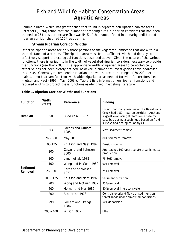Columbia River, which was greater than that found in adjacent non riparian habitat areas. Carothers (1976)) found that the number of breeding birds in riparian corridors that had been thinned to 25 trees per hectare (ha) was 54 % of the number found in a nearby undisturbed riparian corridor that had 116 trees per ha.

#### **Stream Riparian Corridor Widths**

Effective riparian areas are only those portions of the vegetated landscape that are within a short distance of a stream. The riparian area must be of sufficient width and density to effectively support the ecological functions described above. Given the nature of the various functions, there is variability in the width of vegetated riparian corridors necessary to provide the functions (see May 2003). The appropriate width of riparian areas to be ecologically effective has not been clearly defined, however, a number of investigations have addressed this issue. Generally recommended riparian area widths are in the range of 50-200 feet to maintain most stream functions with wider riparian areas needed for wildlife corridors (see Knutson and Naef (1997), May (2003)). Table 1 lists information on riparian functions and required widths to protect these functions as identified in existing literature.

| Width<br><b>Function</b><br>(feet) |             | Reference                    | Finding                                                                                                                                                                                                               |  |
|------------------------------------|-------------|------------------------------|-----------------------------------------------------------------------------------------------------------------------------------------------------------------------------------------------------------------------|--|
| <b>Over All</b>                    | 50          | Budd et al. 1987             | Found that many reaches of the Bear-Evans<br>Creek had a 50' riparian corridor. Authors<br>suggest evaluating streams on a case by<br>case basis using a technique based on field<br>surveys and ecological analysis. |  |
|                                    | 53          | Jacobs and Gilliam<br>1985   | Most sediment removal                                                                                                                                                                                                 |  |
|                                    | $26 - 600$  | May 2000                     | 80% sediment removal                                                                                                                                                                                                  |  |
|                                    | 100-125     | Knutson and Naef 1997        | Erosion control                                                                                                                                                                                                       |  |
|                                    | 100         | Castelle and Johnson<br>2000 | Approaches 100% particulate organic matter<br>production                                                                                                                                                              |  |
|                                    | 100         | Lynch et al. 1985            | 75-80% removal                                                                                                                                                                                                        |  |
|                                    | 100         | Wong and McCuen 1982         | 90% removal                                                                                                                                                                                                           |  |
| Sediment<br>Removal                | 26-300      | Karr and Schlosser<br>1977   | 75% removal                                                                                                                                                                                                           |  |
|                                    | $100 - 125$ | Knutson and Naef 1997        | Sediment filtration                                                                                                                                                                                                   |  |
|                                    | 200         | Wong and McCuen 1982         | 95% removal                                                                                                                                                                                                           |  |
|                                    | 200         | Horner and Mar 1982          | 80% removal in grassy swale                                                                                                                                                                                           |  |
|                                    | 200         | Broderson 1973               | Controls overland flows of sediment on<br>forest lands under almost all conditions                                                                                                                                    |  |
|                                    | 290         | Gilliam and Skaggs<br>1986   | 50% deposition                                                                                                                                                                                                        |  |
|                                    | $295 - 400$ | Wilson 1967                  | Clay                                                                                                                                                                                                                  |  |

#### **Table 1. Riparian Corridor Widths and Functions**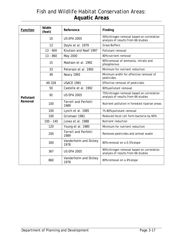| <b>Function</b> | Width<br>(feet) | Reference                           | Finding                                                                          |  |
|-----------------|-----------------|-------------------------------------|----------------------------------------------------------------------------------|--|
|                 | 10              | <b>US EPA 2005</b>                  | 50% nitrogen removal based on correlation<br>analysis of results from 66 studies |  |
|                 | 13              | Doyle et al. 1979                   | <b>Grass Buffers</b>                                                             |  |
|                 | $13 - 600$      | Knutson and Naef 1997               | Pollutant removal                                                                |  |
|                 | $13 - 860$      | May 2000                            | 80% nutrient removal                                                             |  |
|                 | 15              | Madison et al. 1992                 | 90% removal of ammonia, nitrate and<br>phosphorous                               |  |
|                 | 33              | Peterson et al. 1992                | Minimum for nutrient reduction                                                   |  |
|                 | 49              | Neary 1993                          | Minimum width for effective removal of<br>pesticides                             |  |
|                 | 49-328          | <b>USACE 1991</b>                   | Effective removal of pesticides                                                  |  |
|                 | 50              | Castelle et al. 1992                | 80% pollutant removal                                                            |  |
| Pollutant       | 92              | <b>US EPA 2005</b>                  | 75% nitrogen removal based on correlation<br>analysis of results from 66 studies |  |
| Removal         | 100             | <b>Terrell and Perfetti</b><br>1989 | Nutrient pollution in forested riparian areas                                    |  |
|                 | 100             | Lynch et al. 1985                   | 75-80% pollutant removal                                                         |  |
|                 | 100             | Grismaer 1981                       | Reduced fecal coli form bacteria by 60%                                          |  |
|                 | $100 - 140$     | Jones et al. 1988                   | Nutrient reduction                                                               |  |
|                 | 120             | Young et al. 1980                   | Minimum for nutrient reduction                                                   |  |
|                 | 200             | <b>Terrell and Perfetti</b><br>1989 | Removes pesticides and animal waste                                              |  |
|                 | 300             | Vanderholm and Dickey<br>1978       | 80% removal on a 0.5% slope                                                      |  |
|                 | 367             | <b>US EPA 2005</b>                  | 90% nitrogen removal based on correlation<br>analysis of results from 66 studies |  |
|                 | 860             | Vanderholm and Dickey<br>1978       | 80% removal on a 4% slope                                                        |  |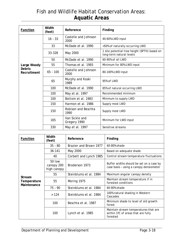| Function                     | Width<br>(feet) | Reference                      | Finding                                                                  |  |
|------------------------------|-----------------|--------------------------------|--------------------------------------------------------------------------|--|
|                              | $16 - 33$       | Castelle and Johnson<br>2000   | 40-60% LWD input                                                         |  |
|                              | 33              | McDade et al. 1990             | <50% of naturally occurring LWD                                          |  |
|                              | 33-328          | May 2000                       | 1 site potential tree height (SPTH) based on<br>long-term natural levels |  |
|                              | 50              | McDade et al. 1990             | 60-90% of all LWD                                                        |  |
| Large Woody                  | 55              | Thomas et al. 1993             | Minimum for 80% LWD input                                                |  |
| <b>Debris</b><br>Recruitment | $65 - 100$      | Castelle and Johnson<br>2000   | 80-100% LWD input                                                        |  |
|                              | 65              | Murphy and Koski<br>1989       | 95% of LWD                                                               |  |
|                              | 100             | McDade et al. 1990             | 85% of natural occurring LWD                                             |  |
|                              | 100             | May et al. 1997                | Recommended minimum                                                      |  |
|                              | 100             | Bottom et al. 1983             | Minimum to supply LWD                                                    |  |
|                              | 150             | Harmon et al. 1986             | Supply most LWD                                                          |  |
|                              | 150             | Robison and Beschta<br>1990    | Supply most LWD                                                          |  |
|                              | 165             | Van Sickle and<br>Gregory 1990 | Minimum for LWD input                                                    |  |
|                              | 330             | May et al. 1997                | Sensitive streams                                                        |  |

| <b>Function</b>                      | Width<br>(feet)                     | Reference              | Finding                                                                                 |  |
|--------------------------------------|-------------------------------------|------------------------|-----------------------------------------------------------------------------------------|--|
|                                      | $35 - 80$                           | Brazier and Brown 1977 | 60-80% shade                                                                            |  |
|                                      | 36-141                              | May 2000               | Based on adequate shade                                                                 |  |
|                                      | 40                                  | Corbett and Lynch 1985 | Control stream temperature fluctuations                                                 |  |
|                                      | 50 low<br>canopy 200<br>high canopy | Broderson 1973         | Buffer widths should be set on a case by<br>case basis - using a canopy densiometer     |  |
|                                      | 55                                  | Steinblums et al. 1984 | Maximum angular canopy density                                                          |  |
| Stream<br>Temperature<br>Maintenance | 55                                  | Moring 1975            | Maintain stream temperature if in<br>forested conditions                                |  |
|                                      | $75 - 90$                           | Steinblums et al. 1984 | 60-80% shade                                                                            |  |
|                                      | >124                                | Steinblums et al. 1984 | 100% natural shading in Western<br>Cascades                                             |  |
|                                      | 100                                 | Beschta et al. 1987    | Minimum shade to level of old growth<br>forest                                          |  |
|                                      | 100                                 | Lynch et al. 1985      | Maintain stream temperatures that are<br>within 1°C of areas that are fully<br>forested |  |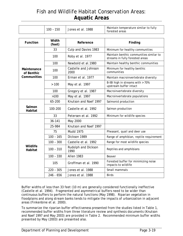|                           | $100 - 150$     | Jones et al. 1988                                                                              | Maintain temperature similar to fully<br>forested areas     |  |
|---------------------------|-----------------|------------------------------------------------------------------------------------------------|-------------------------------------------------------------|--|
|                           |                 |                                                                                                |                                                             |  |
| <b>Function</b>           | Width<br>(feet) | Reference                                                                                      | Finding                                                     |  |
|                           | 33              | Culp and Davies 1983                                                                           | Minimum for healthy communities                             |  |
|                           | 100             | Maintain benthic communities similar to<br>Roby et al. 1977<br>streams in fully forested areas |                                                             |  |
|                           | 100             | Newbold et al.1980                                                                             | Maintain healthy benthic communities                        |  |
| Maintenance<br>of Benthic | 100             | Castelle and Johnson<br>Minimum for healthy benthic<br>communities<br>2000                     |                                                             |  |
| Communities               | 100             | Erman et al. 1977                                                                              | Maintain macroinvertebrate diversity                        |  |
|                           | >100            | May et al. 1997                                                                                | B-IBI high in streams with > 70%<br>upstream buffer intact  |  |
|                           | 100             | Gregory et al. 1987                                                                            | Macroinvertebrate diversity                                 |  |
|                           | >100            | May et al. 1997                                                                                | Macroinvertebrate populations                               |  |
|                           | 65-200          | Knutson and Naef 1997                                                                          | Salmonid production                                         |  |
| Salmon<br>Habitat         | 100-200         | Castelle et al. 1992                                                                           | Salmon production                                           |  |
|                           | 33              | Petersen et al. 1992                                                                           | Minimum for wildlife species                                |  |
|                           | 36-141          | May 2000                                                                                       |                                                             |  |
|                           | 25-984          | Knutson and Naef 1997                                                                          |                                                             |  |
|                           | 75              | <b>Mudd 1975</b>                                                                               | Pheasant, quail and deer use                                |  |
|                           | $100 - 165$     | Dickson 1989                                                                                   | Range of amphibian, reptile requirement                     |  |
|                           | $100 - 300$     | Castelle et al. 1992                                                                           | Range for most wildlife species                             |  |
| Wildlife<br>Habitat       | $100 - 310$     | Rudolph and Dickson<br>1990                                                                    | Reptiles and amphibians                                     |  |
|                           | $100 - 330$     | <b>Allen 1983</b>                                                                              | Beaver                                                      |  |
|                           | 105             | Groffman et al. 1990                                                                           | Forested buffer for minimizing noise<br>impacts to wildlife |  |
|                           | $220 - 305$     | Jones et al. 1988                                                                              | Small mammals                                               |  |
|                           | 246 - 656       | Jones et al. 1988                                                                              | <b>Birds</b>                                                |  |

Buffer widths of less than 33 feet (10 m) are generally considered functionally ineffective (Castelle et al. 1994). Fragmented and asymmetrical buffers need to be wider than continuous buffers to perform the natural functions (May 1998). Riparian vegetation in floodplains and along stream banks tends to mitigate the impacts of urbanization in adjacent areas (Finkenbine et al. 2000).

To summarize the riparian buffer effectiveness presented from the studies listed in Table 1, recommended buffer widths from three literature review and synthesis documents (Knutson and Naef 1997 and May 2003) are provided in Table 2. Recommended minimum buffer widths presented by May (2003) are presented also.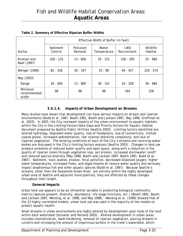|                                 | Effective Width of Buffer (in feet) |                      |                      |                           |                     |
|---------------------------------|-------------------------------------|----------------------|----------------------|---------------------------|---------------------|
| Author                          | Sediment<br>Control                 | Pollutant<br>Removal | Water<br>Temperature | <b>LWD</b><br>Recruitment | Wildlife<br>Habitat |
| Knutson and<br>Naef (1997)      | $100 - 125$                         | $13 - 600$           | $35 - 151$           | $100 - 200$               | 25 - 984            |
| Wenger (1999)                   | $82 - 328$                          | $30 - 197$           | $33 - 98$            | 49 - 427                  | $220 - 574$         |
| May (2003)<br>Range             | $26 - 600$                          | 13 - 860             | $36 - 141$           | $33 - 328$                | $36 - 984$          |
| Minimum<br>recommended<br>width | 98                                  | 98                   | 98                   | 164                       | 328                 |

#### **Table 2. Summary of Effective Riparian Buffer Widths**

### **3.4.1.4. Impacts of Urban Development on Streams**

Many studies have shown that development can have serious impacts on stream and riparian environments (Budd et al. 1987, Booth 1991, Booth and Jackson 1997, May 1998, Groffman et al. 2003). In 2003, the City reviewed impacts of the urban environment to aquatic habitats within the City in the Limiting Factors Data Gaps and Priority Actions for Aquatic Habitat document prepared by Seattle Public Utilities (Seattle 2003). Limiting factors identified are: altered hydrology, degraded water quality, loss of floodplains, loss of connectivity, limited coarse gravel, increased sedimentation, lost channel-shoreline complexity, and lack of riparian vegetation. The existing conditions of each of the City's streams and receiving water bodies are discussed in the City's limiting factors analysis (Seattle 2003). Changes in land use produce problems of reduced water quality and open space, along with a reduction in the quality of riparian zones through vegetation loss, soil erosion, increased stormwater runoff and reduced species diversity (May 1998, Booth and Jackson 1997, Booth 1991, Budd et al. 1987). Sediment, toxic wastes, erosion, fecal pollution, decreased dissolved oxygen, higher water temperatures, increased flows, and algae blooms all reduce water quality and seriously impact anadromous fish and other aquatic species (Budd et al. 1987). Because Seattle's streams, other than the Duwamish-Green River, are entirely within the highly developed urban area of Seattle and adjacent municipalities, they are affected by these changes throughout their length.

#### **General Impacts**

Urban land use appears to be an influential variable in predicting biological community metrics (species present, diversity, abundance, life stage functions, etc.) (Booth 1991, Booth and Jackson 1997, Mensing, et al. 1998, and May 1998). Mensing et al. (1998) showed that of the 13 highly correlated models, urban land use was used in the majority of the models to predict aquatic health.

Small streams in urban environments are highly altered by development upon most of the land within each watershed (Schueler and Holland 2003). Altered development in urban areas includes channelization, bank hardening, removal of riparian vegetation, placing streams in culverts and increasing the amount of impervious surface in the creek's watershed, which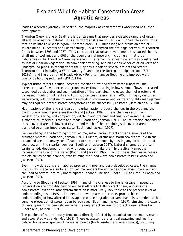leads to altered hydrology. In Seattle, the majority of each stream's watershed has urban development.

Thornton Creek is one of Seattle's larger streams that provides a classic example of urban alteration of natural habitat. It is a third order stream primarily within Seattle's city limits that flows into Lake Washington. Thornton creek is 18 miles long and drains an area of 11 square miles. Lucchetti and Fuerstenburg (1993) analyzed the drainage network of Thornton Creek between 1893 and 1977. They concluded that urban development has caused the loss of all major wetlands and 60% of the open channel network, including all first-order tributaries in the Thornton Creek watershed. The remaining stream system was constrained by loss of riparian vegetation, stream bank armoring, and an extensive series of culverts and underground pipes. In recent years the City has supported several projects to restore Thornton creek including a Water Quality Channel in the Northgate neighborhood (SPU 2013a)), and the creation of Meadowbrook Pond to manage flooding and improve water quality by holding sediment (SPU 2013b).

Typical urban effects include increased overland flow and stormwater runoff volume, increased peak flows, decreased groundwater flow resulting in low summer flows, increased suspended particulates and sedimentation of fine particles, increased channel erosion and increased inputs of nutrients and toxic substances (Hession et al. 2000). In highly disturbed watersheds, additional improvements including stormwater and/or water quality management may be required before stream ecosystems can be successfully restored (Hession et al. 2000).

Modifications of the land surface during urbanization produce changes in the type and the magnitude of runoff processes (Booth and Jackson 1997). These changes result from vegetation clearing, soil compaction, ditching and draining and finally covering the land surface with impervious roofs and roads (Booth and Jackson 1997). The infiltration capacity of these covered areas is lowered to zero and much of the remaining soil-covered area is trampled to a near impervious state (Booth and Jackson 1997).

Besides changing the hydrologic flow regime, urbanization affects other elements of the drainage system (Booth and Jackson 1997). Gutters, drains and storm sewers are laid in the urbanized area to convey runoff rapidly to stream channels by-passing any infiltration that could occur in the riparian corridor (Booth and Jackson 1997). Natural channels are often straightened, deepened, or lined with concrete to make them hydraulically smoother increasing the flow of the water (Booth and Jackson 1997). Each of these changes increases the efficiency of the channel, transmitting the flood wave downstream faster (Booth and Jackson 1997).

Even if flow durations are matched precisely in pre- and post- developed cases, the change from a subsurface to a surface flow regime renders the entire design analysis irrelevant and can lead to severe, entirely unanticipated, channel incision (Booth 1990 as cited in Booth and Jackson 1997).

According to (Booth and Jackson 1997) many of the changes to the landscape imposed by urbanization are probably beyond our best efforts to fully correct them, and so some downstream loss of aquatic system function is most likely inevitable at the present level of understanding (as of 1997) . The need to develop a more precise, process based understanding of how altered landscapes produce degraded stream channels is needed so that genuine protection of streams can be achieved (Booth and Jackson 1997). Limiting the extent of development has been shown to be the only effective way to protect streams thus far (Booth and Jackson 1997).

The portions of natural ecosystems most directly affected by urbanization are small streams and associated wetlands (May 1998). These ecosystems are critical spawning and rearing habitat for several species of native salmonids (both resident and anadromous), including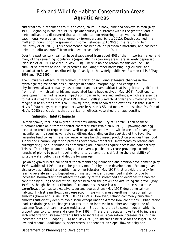cutthroat trout, steelhead trout, and coho, chum, Chinook, pink and sockeye salmon (May 1998). Beginning in the late 1990s, spawner surveys in streams within the greater Seattle metropolitan area discovered that adult coho salmon returning to spawn in small urban catchments were behaving abnormally (Spromberg and Scholz 2011). Death occurred in a matter of hours, prior to spawning, in some instances up to 90% of the returning fish (McCarthy et al. 2008). This phenomenon has been called prespawn mortality, and has been linked to pollutant runoff from urbanized areas (Feist et al. 2011).

Over the past century, salmon have disappeared from about 40% of their historical range, and many of the remaining populations (especially in urbanizing areas) are severely depressed (Nehlsen et al. 1991 as cited in May 1998). There is no one reason for this decline. The cumulative effects of land-use practices, including timber harvesting, agriculture, and urbanization have all contributed significantly to this widely publicized "salmon crisis." (May 1998 and NRC 1996).

The cumulative effects of watershed urbanization including extensive changes in the hydrologic regime of the basin, changes in channel morphology, and changes in physiochemical water quality has produced an instream habitat that is significantly different from that in which salmonids and associated fauna have evolved (May 1998). Additionally, development has had negative impacts on riparian buffers and wetlands, which are essential to natural stream functions (May 1998). May (1998) studied third order and smaller streams, ranging in basin area from 3 to 90 km squared, with headwater elevations less than 150 m. In May's (1998) study, stream gradients were less than 3.5% and most were less than 2%. One of May's (1998) conclusion is that urbanization effects watershed drainage density.

#### **Salmonid Habitat Impacts**

Salmon spawn, rear, and migrate in streams within the City of Seattle. Each of these functions relies on different habitat characteristics (Waldichuk 1993). Spawning and egg incubation tends to require clean, well oxygenated, cool water within areas of clean gravel. Juvenile rearing requires variable conditions depending on the age/size of the juvenile. Juveniles tend to rear in shallow water where benthic insect production provides their food supply and riparian vegetation provides cover from predators. Movements by rearing and outmigrating juvenile salmonids or returning adult salmon require access and connectivity. This is affected by stream crossings and culverts, particularly those providing extended lengths of piping to pass through and/or altered conditions affecting the availability of suitable water velocities and depths for passage.

Spawning gravel is critical habitat for salmonid egg incubation and embryo development (May 1998, Waldichuk 1993) and can be greatly modified by urban development. Stream gravel also provides habitat for benthic macroinvertebrates (May 1998) that provide the prey for rearing juvenile salmon. Deposition of fine sediment and streambed instability due to increased stormwater flows affects the quality of the streambed and degrades the habitat condition by filling the interstitial spaces between the gravel and disturbing the gravel (May 1998). Although the redistribution of streambed substrate is a natural process, extreme stormflows often cause excessive scour and aggradations (May 1998) degrading salmon habitat. High stream flows can cause scour in spawning areas resulting in loss of salmon embryos (Nawa and Frissell 1993, DeVries 1997). However, salmon commonly bury their embryos sufficiently deep to avoid scour except under extreme flow conditions. Urbanization leads to drainage basin changes that result in an increase in number and magnitude of extreme flows that can increase redd scour. Erosion is related to stream power, which is proportional to discharge and slope (May 1998). Therefore, because flows tend to increase with urbanization, stream power is likely to increase as urbanization increases resulting in increased erosion. Cooper (1996) and May (1998) found this to be true for the Puget Sound lowland steams. Additionally, sheer stress is dependent on slope, flow velocity and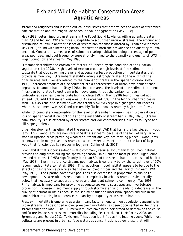streambed roughness and it is the critical basal stress that determines the onset of streambed particle motion and the magnitude of scour and/ or aggradation (May 1998).

May (1998) determined urban streams in the Puget Sound Lowlands with gradients greater than 2% and lacking LWD are more susceptible to scour than natural streams. The amount and distribution of LWD is another aspect of stream habitat that is altered by urban development. May (1998) found with increasing basin urbanization both the prevalence and quantity of LWD declined. Concurrently, measures of salmonid rearing habitat including percentage of pool area, pool size, and pool frequency were strongly linked to the quantity and quality of LWD in Puget Sound lowland streams (May 1998).

Streambank stability and erosion are factors influenced by the condition of the riparian vegetation (May 1998). High levels of erosion produce high levels of fine sediment in the substrate that clog spawning gravel and adversely affect production of invertebrates that provide salmon prey. Streambank stability rating is strongly related to the width of the riparian area and inversely related to the number of breaks in the riparian corridor (May 1998). Increased amounts of fine sediment are a characteristic of urban development that degrades streambed habitat (May 1998). In urban areas the levels of fine sediment (percent fines) can be related to upstream urban development, but the variability, even in undeveloped reaches, can be quite high (Wydzga 1997). May (1998) found fines did not exceed 15% until total impervious area (TIA) exceeded 20%. In the highly urbanized basins with TIA > 45% the fine sediment was consistently > 20% except in higher gradient reaches, where the sediment was <20% and presumably flushed down stream by high storm flows.

While not completely responsible for the level of streambank erosion, basin urbanization and loss of riparian vegetation contribute to the instability of stream banks (May 1998). Stream bank stability is also affected by other stream corridor characteristics, such as soil type and hill slope gradient.

Urban development has eliminated the source of most LWD that forms the key pieces in wood jams. Thus, wood jams are now rare in Seattle's streams because of the lack of very large wood in riparian areas providing wood recruitment and key jam-forming pieces. Wood jams are now rare in many coastal streams because low recruitment rates and the lack of large wood that functions as key pieces in log jams (Collins et al. 2002).

Pool habitat that supports salmon is also commonly reduced by urbanization. Pool habitat provides holding areas during the spawning season. In all but the most pristine Puget Sound lowland streams (TIA<5%) significantly less than 50% of the stream habitat area is pool habitat (May 1998). Even in reference streams pool habitat is generally below the target level of 50% recommended (Peterson et al. 1992). This reduction in pool habitat appears to be due to the effects of past land-use practices that have removed timber and the lack of instream LWD (May 1998). The riparian cover over pools has also decreased in proportion to sub-basin development. As a result, instream habitat complexity in urban streams is substantially below that necessary to support a diverse and abundant salmonid community (May 1998). Riffle habitat is important for providing adequate spawning substrates and invertebrate production. Increase in sediment supply through stormwater runoff leads to a decrease in the quality of habitat in riffles because the sediment fills the interstitial spaces and fills in the pool habitat resulting in a decrease in quantity and quality of in stream habitat.

Prespawn mortality is emerging as a significant factor among salmon populations spawning in urban streams. As described above, pre-spawn mortality has been documented in the City's streams since the late 1990s . Numerous studies have been performed to determine the cause and future impacts of prespawn mortality including Feist et al. 2011, McCarthy 2008, and Spromberg and Scholz 2011. Toxic runoff has been identified as the leading cause. While most pollutants are present in urban surface waters at concentrations below those that will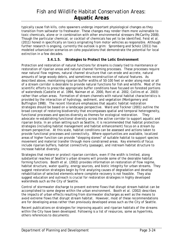typically cause fish kills, coho spawners undergo important physiological changes as they transition from saltwater to freshwater. These changes may render them more vulnerable to toxic chemicals, alone or in combination with other environmental stressors (McCarthy 2008). Though the particular chemical, or cocktail of chemicals has yet to be identified, Feist et al. (2011) honed in specifically on toxics originating from motor vehicles as responsible. Although further research is ongoing, currently the outlook is grim: Spromberg and Scholz (2011) has modeled urbanization scenarios on coho populations that demonstrate the potential for local extinction in a few decades.

#### **3.4.1.5. Strategies to Protect the Lotic Environment**

Protection and restoration of natural functions for streams is closely tied to maintenance or restoration of riparian areas and natural channel forming processes. These processes require near natural flow regimes, natural channel structure that can erode and accrete, natural amounts of large woody debris, and sometimes reconstruction of natural features. As described above, maintaining riparian buffer widths of 50-100 feet or wider along most or all of a stream corridor is desirable to provide natural functions for fish and wildlife. Most of the scientific efforts to prescribe appropriate buffer conditions have focused on forested portions of watersheds (Castelle et al. 1994, Naiman et al. 2000, Roni et al. 2002, Collins et al. 2003) rather than urban areas. Formation of stream channels with natural habitat characteristics is provided by the interaction of hydrology, sediment, and vegetation (Montgomery and Buffington 1998). The recent literature emphasizes that aquatic habitat restoration strategies should be based on a landscape perspective. Ward and Tockner (2001) outline the broad concept of restoring biodiversity that encompasses spatial and temporal heterogeneity, functional processes and species diversity as themes for ecological restoration. They advocate re-establishing functional diversity across the active corridor to support aquatic and riparian biota. In an urban setting such as Seattle, it is recommended that habitat protection strategies (including habitat management and habitat enhancement) focus on a stream by stream perspective. At this scale, habitat conditions can be assessed and actions taken to provide functional processes and connectivity. Where opportunities are available, localized areas of higher function can provide "stepping stones" of suitable habitat to support species movement and material transfer through more constrained areas. Key elements of focus include riparian buffers, habitat connectivity (passage), and instream habitat structure to increase habitat diversity.

Strategies that restore or protect riparian corridors, even if the width is limited, along substantial reaches of Seattle's urban streams will provide some of the desirable habitat forming functions. Booth et al. (2002) provides information on restoration of flow regime, habitat structure, water quality, energy sources, and biotic integrity for urban streams. They suggest restoration strategies begin by first analyzing causes of degradation and develop rehabilitation of selected elements where complete recovery is not feasible. They also suggest education and outreach is crucial for restoration strategies in highly developed watersheds such as the City of Seattle.

Control of stormwater discharge to prevent extreme flows that disrupt stream habitat can be accomplished to some degree within the urban environment. Booth et al. (2002) describes the impacts of urban effects resulting from stormwater discharges as well as the means to avoid extreme flows that disrupt stream habitat. However, most of these recommendations are for developing areas rather than previously developed areas such as the City of Seattle.

Recent publications on strategies for improving aquatic and riparian habitats of the streams within the City have been developed. Following is a list of resources, some as hyperlinks, others references to documents: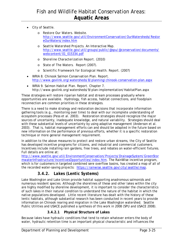- City of Seattle.
	- o *Restore Our Waters.* Website. http://www.seattle.gov/util/EnvironmentConservation/OurWatersheds/Restor eOurWaters/index.htm
	- o *Seattle Watershed Projects.* An Interactive Map. http://www.seattle.gov/util/groups/public/@spu/@conservation/documents/ webcontent/01\_015334.pdf
	- o *Shoreline Characterization Report.* (2010)
	- o *State of The Waters*. Report (2007).
	- o *Scientific Framework for Ecological Health*. Report. (2007)
- WRIA 8. *Chinook Salmon Conservation Plan*. Report. http://www.govlink.org/watersheds/8/planning/chinook-conservation-plan.aspx
- WRIA 9. *Salmon Habitat Plan. Report*. Chapter 7. http://www.govlink.org/watersheds/9/plan-implementation/HabitatPlan.aspx

These strategies will restore riparian habitat and stream processes gradually where opportunities are available. Hydrology, fish access, habitat connections, and floodplain reconnection are common priorities in these strategies.

There is a need to make strategy and restoration decisions that incorporate information gathering tools (e.g., monitoring over time) to deal with our incomplete understanding of ecosystem processes (Pess et al. 2003). Restoration strategies should recognize the major sources of uncertainty, inadequate knowledge, and natural variability. Strategies should deal with these substantial levels of uncertainty by using adaptive management (Anderson et al. 2003). That is, habitat management efforts can and should be adapted in the future based on new information on the performance of previous efforts, whether it is a specific restoration technique or more general management requirement.

In addition to the above measures to protect and restore urban streams, the City of Seattle has developed incentive programs for citizens, and industrial and commercial customers. Incentives include installing rain gardens, free trees, and rebates on water-efficient fixtures. Full details are online at:

http://www.seattle.gov/util/EnvironmentConservation/Projects/DrainageSystem/GreenStor mwaterInfrastructure/IncentivesOpportunities/index.htm. The RainWise incentive program, which is for customers in targeted combined sere overflow basins, has created a map of all of the recorded water-saving projects: https://rainwise.seattle.gov/city/seattle/map.

### *3.4.2. Lakes (Lentic Systems)*

Lake Washington and Lake Union provide habitat supporting anadromous salmonids and numerous resident species. Although the shorelines of these and other lakes within the city are highly modified by shoreline development, it is important to consider the characteristics of such lakes in their natural condition to understand the nature of the habitat in which the native populations developed. Little recent literature has dealt with the history of these lentic habitats, although substantial research has been conducted in recent years to provide information on Chinook rearing and migration in the Lake Washington watershed. Seattle Public Utilities and USACE published a synthesis of this work in 2008 (SPU and USACE 2008).

### **3.4.2.1 Physical Structure of Lakes**

Because lakes have hydraulic conditions that tend to retain whatever enters the body of water, hydraulic retention time is an important physical characteristic and influences the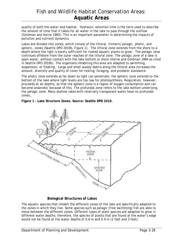quality of both the water and habitat. Hydraulic retention time is the term used to describe the amount of time that it takes for all water in the lake to pass through the outflow (Goldman and Horne 1983). This is an important parameter in determining the impacts of pollution and nutrient dynamics.

Lakes are divided into zones, which consist of the littoral, limnetic/pelagic, photic, and aphotic, zones (Seattle DPD 2010b, Figure 1). The littoral zone extends from the shore to a depth where the light is barely sufficient for rooted aquatic plants to grow. The pelagic zone continues offshore from the outer reaches of the littoral zone. The pelagic zone of a lake is open water, without contact with the lake bottom or shore (Horne and Goldman 1994 as cited in Seattle DPD 2010b). The organisms inhabiting this area are adapted to swimming, suspension, or floating. Large and small woody debris along the littoral area increases the amount, diversity and quality of cover for resting, foraging, and predator avoidance.

The photic zone extends as far down as light can penetrate; the aphotic zone extends to the bottom of the lake where light levels are too low for photosynthesis. Respiration, however, proceeds at all depths, so that the aphotic zone is a region of oxygen consumption and can become anaerobic because of this. The profundal zone refers to the lake bottom underlying the pelagic zone. Many shallow lakes with relatively transparent water have no profundal zones..

**Figure 1 – Lake Structure Zones. Source: Seattle DPD 2010.** 



#### **Biological Structures of Lakes**

The aquatic species that inhabit the different zones of the lake are specifically adapted to the zones in which they live. Some species such as pelagic (free swimming) fish are able to move between the different zones. Different types of plant species are adapted to grow in different water depths; therefore, the species of plants that are found at the water's edge would not be found at the water depths of 0.6 m and 0.9 m (2 feet and 3 feet).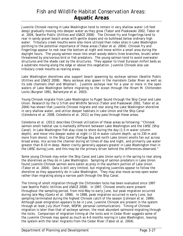Juvenile Chinook rearing in Lake Washington tend to remain in very shallow water (<3 feet deep) gradually moving into deeper water as they grow (Tabor and Piaskowski 2002, Tabor et al. 2004, Seattle Public Utilities and USACE 2008). The Chinook fry and fingerlings tend to rear in sandy gravel beach areas with gentle slopes and no bulkhead below ordinary high water. Tributary creek mouths were also more utilized than index sites in Lake Washington pointing to the potential importance of these areas (Tabor et al. 2004). Chinook fry and fingerlings appear to rest near the bottom at night and move within a small area during the daylight hours. The young salmon move into small woody debris (tree branches, brush) when threatened by piscivorous bird or fish predators. The young salmon tend to avoid overwater structures and the shade cast by the structures. They appear to treat Eurasian milfoil beds as a substrate moving along the edge or above this vegetation. Juvenile Chinook also use tributary creek mouths as rearing areas.

Lake Washington shorelines also support beach spawning by sockeye salmon (Seattle Public Utilities and USACE 2008). Many sockeye also spawn in the mainstem Cedar River as well as its side channels (Hall and Wissmar). Juvenile sockeye rear for a year or more in the open waters of Lake Washington before migrating to the ocean through the Hiram M. Chittenden Locks (Burgner 1991, Ballantyne et al. 2003).

Young Chinook migrate from Lake Washington to Puget Sound through the Ship Canal and Lake Union. Research by the U.S Fish and Wildlife Service (Tabor and Piaskowski 2002, Tabor et al. 2004) has shown that juvenile Chinook migrate and rear along the Lake Washington shoreline in very shallow water, and utilize deeper habitats in Lake Union and the Ship Canal (Celedonia et al. 2008, Celedonia et al. 2011) as they pass through these areas.

Celedonia et al. (2011) describes Chinook utilization of these areas as following: "Chinook salmon smolt habitat use is markedly different between Lake Washington and the LWSC (Ship Canal). In Lake Washington fish stay close to shore during the day (1-5 m water column depth), and move into deeper water at night (> 10 m water column depth; up to 230 m and more from shore). In the Ship Canal (Portage Bay and north Lake Union) smolts fan out across broad areas, mix across the channel during all times of day and night, and primarily use water greater than 8-10 m deep. Water clarity generally appears greater in Lake Washington than in the LWSC during June, and this may be the primary driver behind the differences observed."

Some young Chinook may enter the Ship Canal and Lake Union early in the spring to rear along the shorelines as they do in Lake Washington. Sampling of salmon predators in Lake Union found juvenile Chinook salmon were eaten as prey in the southern portion of Lake Union (Tabor et al. 2004). Data is still very limited, but migrating juveniles appear to follow the shoreline as they apparently do in Lake Washington. They may also move across open water rather than migrating along a narrow path through the Ship Canal.

The timing of smolt migration through the Chittenden locks has been evaluated since 1997 (see Seattle Public Utilities and USACE 2008). In 1997, Chinook smolts were present throughout the sampling period, from mid-May to early June, but peak migration occurred during late May (Goetz et al. 1998). In 1998, peak migration occurred in early June, but sampling terminated during the highest Chinook catch of the season (Johnson et al. 1999). Although peak emigration appears to be in June, juvenile Chinook are present in the system through at least July (Kurt Fresh, WDFW, personal communication). Timing of Chinook migration is later than that of sockeye salmon, the most abundant salmonid migrating through the locks. Comparison of migration timing at the locks and in Cedar River suggests some of the juvenile Chinook may spend as much as 4-6 months rearing in Lake Washington, leaving the system with the later migrants from the Cedar River (Tabor et al. 2004).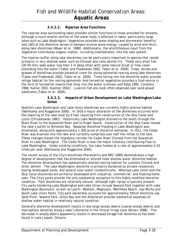### **3.4.2.2. Riparian Area Functions**

The riparian area surrounding lakes provides similar functions to those provided for streams, although a much smaller portion of the water body is affected in lakes, particularly large lakes such as Lake Washington. Vegetation provides some shading and stormwater benefits and LWD at the shoreline serves to dampen erosive wave energy, caused by wind and fetch, along lake shorelines (Maser et al. 1988). Additionally, the allochthonous input from the vegetation contributes organic matter, including invertebrates, into the lake system.

The riparian buffer along lake shorelines can be particularly important to species that reside primarily in very shallow water such as Chinook and coho salmon fry. These very small fish (30-50 mm) seek water less than 1 m deep often with some natural brush or tree cover extending into the water (Tabor and Piaskowski 2002, Tabor et al. 2004). Trees, shrubs and grasses of shorelines provide potential cover for young salmonids rearing along lake shorelines (Tabor and Piaskowski 2002, Tabor et al. 2004). Trees falling into the shoreline water provide refuge habitat for the rearing salmonids. And terrestrial vegetation provides a food source in the form of terrestrial insects that drop into the water (Johnson and Ryba 1992, Constanz 1998, Kahler 2001, Koehler 2002). Juvenile fish are most often observed over sand-gravel substrates (Tabor et al. 2004).

#### **3.4.2.3. Impacts of Urban Development on Lake Washington/Lake Union**

Seattle's Lake Washington and Lake Union shorelines are currently highly altered habitat (Weitkamp and Ruggerone 2000). In 1916 a major alteration of the shorelines occurred with the lowering of the lake level by 9 feet resulting from construction of the Ship Canal and Locks (Chrzastowski 1981). Historically Lake Washington drained to the south through the Black River to the Duwamish River and to Puget Sound. Construction of the Ship Canal moved the lake's outlet to Shilshole Bay. Seasonal shoreline flooding in Lake Washington was eliminated, along with approximately 1,300 acres of shoreline wetlands. In 1912, the Cedar River was diverted into the lake and currently comprises over half the inflow to the lake. These changes moved the migratory corridor for Cedar River Chinook from the Duwamish River to Lake Washington. The Cedar River is now the major tributary contributing flow to Lake Washington. Under existing conditions, the Lake flushes at a rate of approximately 0.43 times per year (Weitkamp and Ruggerone 2000).

The recent survey of the City's shorelines (Parametrix and NRC 1999) demonstrates a high degree of development that has eliminated or altered most shallow water shoreline habitat. The shoreline development has substantially altered rearing habitat for juvenile Chinook and other salmon. The Lake Washington shoreline is primarily bordered by private residences having landscaped yards, and several over-water condominiums. Whereas Lake Union and the Ship Canal shorelines are primarily developed with industrial, commercial, and floating home uses. The City's parks provide the only substantial exception to this highly modified shoreline condition. Park shorelines are relatively natural, although light riprap is typically present. City parks bordering Lake Washington and Lake Union include Seward Park together with Lake Washington Boulevard, as well as Leschi, Madison, Magnuson, Matthews Beach, Gas Works and South Lake Union Parks. City park ownership accounts for approximately 35% of shoreline use. Sand Point, Seward Park, Union Bay and the Arboretum provide substantial expanses of shallow water habitat in relatively natural condition.

Generally shoreline development results in less large woody debris (coarse woody debris) and macrophyte densities along a lake's shoreline in the littoral fringe zone (Brown 1998). This decrease in woody debris apparently results in decreased forage fish densities as has been found in Lake Joseph, Ontario.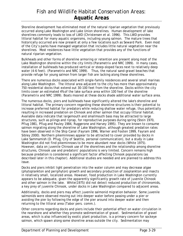Shoreline development has eliminated most of the natural riparian vegetation that previously occurred along Lake Washington and Lake Union shorelines. Human development of lake shorelines commonly leads to loss of LWD (Christensen et al. 1996). This LWD provides littoral habitat for many aquatic organisms, including young salmon. The mature trees that historically occurred are now present at only a few locations such as Seward Park. Even most of the City's parks have managed vegetation that includes little natural vegetation near the shorelines. Most residences have little vegetation that provides any of the functions of natural riparian vegetation.

Bulkheads and other forms of shoreline armoring or retention are present along most of the Lake Washington shoreline within the city limits (Parametrix and NRC 1999). In many cases, installation of bulkheads has produced vertical or steep-sloped faces next to relatively deep water (4-6 feet). (Parametrix and NRC 1999). Thus, the natural sand-gravel beaches that provide refuge for young salmon from larger fish are lacking along these shorelines.

There are numerous docks associated with single-family residences and several small marinas along Lake Washington. The littoral area adjacent to the city has more than approximately 750 residential docks that extend out 30-100 feet from the shoreline. Docks within the city limits cover an estimated 4% of the lake surface area within 100 feet of the shoreline (Parametrix and NRC 1999). Boats moored at these docks shade additional water surface area.

The numerous docks, piers and bulkheads have significantly altered the lake's shoreline and littoral habitat. The primary concern regarding these shoreline structures is their potential to increase preferred habitat for predators while reducing shallow water refuge, thus potentially resulting in increased predation on Chinook and other salmon that occupy littoral habitat. Available data indicate that largemouth and smallmouth bass may be attracted to large structures, such as pilings and riprap, for reproductive purposes during spring (Stein 1970, Pflug 1981, Pflug and Pauley 1984, Ruggerone and Harvey 1995). They are known to consume salmon migrating along the shoreline of Lake Washington, although greatest predation rates have been observed in the Ship Canal (Fayram 1996, Warner and Footen 1999, Fayram and Sibley 2000). Northern pikeminnows appear to be attracted to cover provided by docks in Lake Sammamish (D. Pflug, City of Seattle, personal communication), but a study in Lake Washington did not find pikeminnows to be more abundant near docks (White 1975). However, data on juvenile Chinook use of the shorelines and the relationship among shoreline structures, Chinook use and predators' populations is very limited. Concern remains high because predation is considered a significant factor affecting Chinook populations (as described later in this chapter). Additional studies are needed and are planned to address this issue.

Docks and piers inhibit light penetration into the water column and may decrease algae (phytoplankton and periphyton) growth and secondary production of zooplankton and insects in relatively small, localized areas. However, food production in Lake Washington currently appears to be adequate, given the apparently significantly growth rate of juvenile Chinook and other salmon in the lake. White(1975) did not detect reduced production of chironomids, a key prey of juvenile Chinook, under docks in Lake Washington compared to adjacent areas.

Additionally, docks and piers may affect juvenile salmonid migration behavior. Some juvenile salmonids were observed moving out into deeper water before passing under a pier or avoiding the pier by following the edge of the pier around into deeper water and then returning to the littoral area (Tabor pers. comm.).

Other concerns regarding docks and piers include their potential effect on water circulation in the nearshore and whether they promote sedimentation of gravel. Sedimentation of gravel areas, which is also influenced by exotic plant production, is a primary concern for sockeye salmon, which spawn along some shoreline areas outside the city. Sedimentation may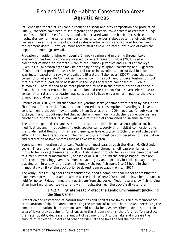influence habitat structure (cobble reduced to sand) and prey composition and production. Finally, concerns have been raised regarding the potential toxic effects of creosote pilings (see Poston 2001). Use of creosote and other treated wood pile has been restricted in freshwater environments for a number of years, so concerns about potential effects will be decreasing over time as use of concrete piles or other options are required for new and replacement docks. However, more recent studies have indicated low levels of PAHs can impact salmonid egg survival.

Predation of resident fishes on juvenile Chinook rearing and migrating through Lake Washington has been a concern addressed by recent research. Moss (2001) used a bioenergetics model to estimate 5-26% of the Chinook juveniles and 11-59% of sockeye juveniles in Lake Washington may be eaten by prickly sculpins. Weitkamp and Ruggerone (2000) identified predation as a substantial factor in juvenile salmon survival in Lake Washington based on a review of available literature. Tabor et al. (2007) found that bass consumption of juvenile Chinook salmon was low in the south end of Lake Washington, but that a substantial portion of bass diets in the Ship Canal were comprised of juvenile salmonids. There tended to be more predation by bass in the eastern portion of the Ship Canal than the western portion of Lake Union and the Fremont Cut. Nevertheless, due to consumption rates the predation was considered to have only a minor impact to the overall Chinook population in the system.

Devries et al. (2004) found that some sub-yearling sockeye salmon were eaten by bass in the Ship Canal. Tabor et al. (2007) also documented bass consumption of yearling sockeye and coho salmon, although in lower numbers than Devries et al. (2004) reported for sub-yearling sockeye. Tabor (2004) reported that northern pikeminnow (*Ptychocheilus oregonensis*) are another major predator of salmon with 45% of their diets comprised of juvenile salmon.

The anthropogenic disturbances that are prevalent in Seattle such as eutrophication, habitat modification, and introduction of exotic species can severely alter habitat connections and the fundamental flows of nutrients and energy in lake ecosystems (Schindler and Scheuerell 2002). Thus, the altered state of the basic ecosystem must be considered in both evaluation and restoration of lake systems such as Lake Washington.

Young salmon migrating out of Lake Washington must pass through the Hiram M. Chittenden Locks. These juveniles either pass over the spillway, through smolt passage flumes, or through the Locks (Johnson et al. 2003). Fish passing through the Locks have been observed to suffer substantial mortalities. Johnson et al. (2003) found the fish passage flumes are effective in bypassing juvenile salmon to avoid injury and mortality in Locks passage. Recent tracking of migrants with ultrasonic telemetry showed fish spent 5 to 22 hours in the immediate vicinity of the Locks prior to downstream passage (Johnson 2004).

The Army Corps of Engineers has recently developed a computational model addressing the movements of water and adult salmon at the Locks (Goetz 2004). Adults have been found to hold for up to 47 days immediately upstream from the Locks. Model results show fish holding at an interface of cool seawater and warm freshwater near the Locks' saltwater drain.

#### **3.4.2.4. Strategies to Protect the Lentic Environment (including the Ship Canal)**

Protection and restoration of natural functions and habitats for lakes is tied to maintenance or restoration of riparian areas, increasing the amount of natural shoreline and decreasing the amount of predation that occurs on salmonid populations. As described above, the riparian area of lakes provides similar functions as in the stream systems; therefore, buffers protect the water quality, decrease the amount of sediment input to the lake and increase the amount of terrestrial insects and other detritus into the lake to feed the food web.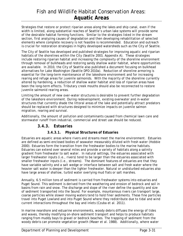Strategies that restore or protect riparian areas along the lakes and ship canal, even if the width is limited, along substantial reaches of Seattle's urban lake systems will provide some of the desirable habitat forming functions. Similar to the strategies listed in the stream section, first analyzing causes of degradation and then developing rehabilitation of selected elements where complete recovery is not feasible is recommended. Education and outreach is crucial for restoration strategies in highly developed watersheds such as the City of Seattle.

The City of Seattle has developed and published strategies for improving aquatic and riparian habitats of the shorelines within the City (Seattle 2003, Appendix A). These strategies include restoring riparian habitat and increasing the complexity of the shoreline environment through removal of bulkheads and restoring sandy shallow water habitat, where opportunities are available. In 2010, the City of Seattle also published a document focusing on bulkhead alternatives for Lake Washington (Seattle DPD 2010a). Reduction of shoreline armoring is essential for the long-term maintenance of the lakeshore environment and for increasing rearing and refuge areas for juvenile salmonids. With the majority of the shoreline currently altered by hardening, a reduction of shallow water habitat and loss of riparian areas have been the long-term effects. Tributary creek mouths should also be reconnected to restore juvenile salmonid rearing areas.

Limiting the amount of new over-water structures is desirable to prevent further degradation of the lakeshore environment. During redevelopment, existing overwater and in-water structures that currently shade the littoral areas of the lake and potentially attract predators should be replaced with structures designed to minimize impacts on juvenile salmon migration, rearing and survival.

Additionally, the amount of pollution and contaminants caused from chemical lawn care and stormwater runoff from industrial, commercial and street use should be reduced.

### *3.4.3. Estuaries*

#### **3.4.3.1. Physical Structures of Estuaries**

Estuaries are aquatic areas where rivers and streams meet the marine environment. Estuaries are defined as semi-enclosed bodies of seawater measurably diluted with fresh water (Hobbie 2000). Estuaries form the transition from the freshwater bodies to the marine habitats. Estuaries can extend over several miles and provide a variety of habitats along a salinity gradient from freshwater to salt water. In natural settings, the estuaries associated with larger freshwater inputs (i.e., rivers) tend to be larger than the estuaries associated with smaller freshwater inputs (i.e., streams). The dominant features of estuaries are that they have variable salinity and a salt wedge or interface between salt and fresh water where the heavier salt water is deeper than the lighter freshwater. Natural or undisturbed estuaries also have large areas of shallow, turbid water overlying mud flats or salt marshes.

Annually, 6.5 million tons of sediment is carried from freshwater systems into estuaries and Puget Sound. This sediment is derived from the weathering and erosion of bedrock and soil in basins from rain and snow. The discharge and slope of the river define the quantity and size of sediment transported into the Sound. For example, mountainous rivers can transport large, coarse particles while slower moving waters tend to hold finer sediments. These fine particles travel into Puget Lowland and into Puget Sound where they redistribute due to tidal and wind current interactions throughout the bay and inlets (Czuba et al. 2011).

In marine nearshore and estuarine environments, woody debris diffuses the energy of tides and waves, thereby modifying on-shore sediment transport and helps to produce habitats ranging from muddy bays to gravel or bedrock beaches. The trapping of sediment from the woody debris can promote vegetation growth (Maser et al. 1988). Additionally, where water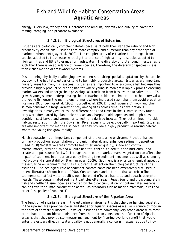energy is very low, woody debris increases the amount, diversity and quality of cover for resting, foraging, and predator avoidance.

#### **3.4.3.2. Biological Structures of Estuaries**

Estuaries are biologically complex habitats because of both their variable salinity and high productivity conditions. Estuaries are more complex and numerous than any other type of marine environment (Jay et al. 2000). The complex array of estuarine biota ranges from species adapted to fresh water with slight tolerance of high salinity to species adapted to high salinities and little tolerance for fresh water. The diversity of biota found in estuaries is such that there is an abundance of fewer species; therefore, the diversity of species is less than either marine or freshwater systems.

Despite being physically challenging environments requiring special adaptations by the species occupying the habitats, estuaries tend to be highly productive areas. Estuaries are important nursery areas for many fish species. Estuaries are important to anadromous fish because they provide a highly productive rearing habitat where young salmon grow rapidly prior to entering marine waters and undergo their physiological transition from fresh water to saltwater. growth young salmon undergo during their estuarine residence is important to their survival as the young fish enter the marine environment where increased size helps them avoid predation (Reimers 1973, Levings et al. 1986). Cordell et al. (2001) found juvenile Chinook and chum salmon consumed a large variety of prey among sites across time, as have previous investigations in many estuaries. At different sites and times in the Duwamish they found prey were dominated by planktonic crustaceans, harpacticoid copepods and amphipods, benthic insect larvae and worms, or terrestrially derived insects. They determined intertidal habitat restoration within the Duwamish River estuary to be ecologically important. Estuaries are also important for marine fish because they provide a highly productive rearing habitat where the young fish grow rapidly.

Marsh vegetation is an important component of the estuarine environment that enhances primary production, accumulation of organic material, and enhances sediment deposition (Reed 2000) Vegetative areas promote healthier water quality, shade and control microclimates, provide fish and wildlife habitat, contribute detritus and nutrients, and create an input source for LWD. Through their root networks, marsh vegetation can affect the impact of sediment in a riparian area by limiting fine sediment movement as well as changing hydrology and slope stability. Brennan et al. 2009). Sediment is a physical-chemical aspect of the estuarine environment that has a substantial effect on the biological structure of the estuaries. The ecological role of sediment contaminants has been extensively discussed in recent literature (Arkoosh et al. 1998). Contaminants and nutrients that adsorb to fine sediments can affect water quality, nearshore and offshore habitats, and aquatic-ecosystem health. These contaminated sediment particles often reach Puget Sound and bioaccumulate in fish and shellfish tissue. Species effected by the bioaccumulation of contaminated material can be toxic for human consumption as well as predators such as marine mammals, birds and other fish species (Czuba 2011).

#### **3.4.3.3. Biological Structure of the Riparian Area**

The function of riparian areas in the estuarine environment is that the overhanging vegetation in the riparian area provides cover and shade for aquatic species as well as a source of food in the form of terrestrial insects. However, estuaries are commonly very broad areas with most of the habitat a considerable distance from the riparian zone. Another function of riparian areas is that they provide stormwater management by filtering overland runoff that would enter the estuary directly. Water quality is not generally a concern in estuaries due to flow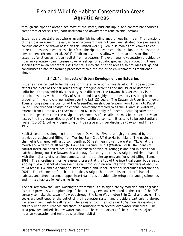through the riparian areas since most of the water, nutrient input, and contaminant sources come from other sources, both upstream and downstream (due to tidal action).

Estuaries are coastal areas where juvenile fish including anadromous fish, rear. The functions of the riparian zone in the estuarine environment have not been well studied however several conclusions can be drawn based on this limited work. Juvenile salmonids are known to eat terrestrial insects in estuaries; therefore, the riparian zone contributes food to the estuarine environment (Brennan et al. 2004). Additionally, the shallow water near the shoreline of estuaries functions as refuge habitat from predators. The overhanging vegetation provided by riparian vegetation can increase cover or refuge for aquatic species, thus protecting these species from avian predators. LWD that falls into the riparian areas also provides refuge and contributes to habitat forming processes within the estuarine environment as mentioned above.

#### **3.4.3.4. Impacts of Urban Development on Estuaries**

Estuaries have tended to be the location where large port cities develop. This development affects the biota of the estuaries through dredging activities and industrial or domestic pollution. The Duwamish River estuary is no different. The Duwamish River estuary is the principal estuary within the City of Seattle and is a highly altered estuary resulting from dredging, filling and channelization over the last 125 years. The Duwamish River is the lower 11-mile long estuarine portion of the Green-Duwamish River System from Tukwila to Puget Sound. The dredged navigation channel commonly referred to as the Duwamish Waterway extends from Elliott Bay to river mile (RM) 6. It is tidally influenced, including saltwater intrusion upstream from the navigation channel. Surface salinities may be reduced to 5% or less by the freshwater discharge of the river while bottom salinities tend to be substantially higher (20-30%), but vary depending on tide stage and river discharge (Dawson and Tilley 1972).

Habitat conditions along most of the lower Duwamish River are highly influenced by the previous dredging and filling from Turning Basin 3 at RM 6 to Harbor Island. The navigation channel is U shaped with a bottom depth at 56 feet mean lower low water (MLLW) at the mouth and a depth of 10 feet (MLLW) near Turning Basin 3 (Weston 1993). Remnants of natural intertidal habitat occur on the northern portion of Kellogg Island and in occasional patches throughout the Duwamish Waterway. Currently there is a straightened river channel with the majority of shoreline composed of riprap, pier aprons, and/or sheet piling (Tanner 1991). The shoreline armoring is usually present at the top of the intertidal zone, but areas of sloping mud and sandflats can exist below, producing narrow intertidal mud flats at about -2 to +4 feet MLLW and extending to steep middle and upper intertidal shorelines (Battelle et al. 2001). The channel profile characteristics, straight shorelines, absence of off channel habitat, and steep hardened upper intertidal areas provide little refugia for young salmonids and limited habitat for estuarine fishes.

The estuary from the Lake Washington watershed is also significantly modified and degraded. As noted previously, the plumbing of the entire system was reworked at the start of the  $20<sup>th</sup>$ century to make the system flow out through the Lake Washington Ship Canal and Locks. The Locks are positioned at the outlet of the freshwater system and provide a particularly abrupt transition from fresh to saltwater. The estuary from the Locks out to Salmon Bay is almost entirely lined by bulkheads and shoreline armoring with several overwater structures. The area provides limited shallow water habitat. There are pockets of shoreline with adjacent riparian vegetation and restored shoreline habitat.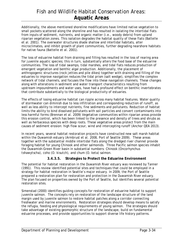Additionally, the above mentioned shoreline modifications have limited native vegetation to small pockets scattered along the shoreline and has resulted in isolating the intertidal flats from inputs of sediment, nutrients, and organic matter (i.e., woody debris) from upland riparian vegetation zones. This isolation degrades the habitat quality of these flats (Battelle et al. 2001). The overwater structures shade shallow and intertidal habitats, alter microclimates, and inhibit growth of plant communities, further degrading nearshore habitats for native fauna (Battelle et al. 2001).

The loss of estuarine habitat from draining and filling has resulted in the loss of rearing area for juvenile aquatic species; this in turn, substantially alters the food base of the estuarine communities. The loss of tidal swamps, tidal marshes, and tidal flats reduces production of emergent vegetation and benthic algal production. Additionally, the placement of anthropogenic structures (rock jetties and pile dikes) together with draining and filling of the estuaries to improve navigation reduces the tidal prism (salt wedge), simplifies the complex network of tidal channels, and focuses the flow into these navigation channels. These changes along with alterations in sediment and water transport characteristics resulting from upstream impoundments and water uses, have had a profound effect on benthic invertebrates that contribute substantially to the biological productivity of estuaries.

The effects of losing estuarine habitat can ripple across many habitat features. Water quality of stormwater can diminish due to less infiltration and corresponding reduction of runoff, as well as less ability to intercept nutrients, fine sediments and pollutants. Reduction of habitat limits the ability to bind dissolved pollutants with soil particles and convert contaminants into less harmful forms (Brennan et al. 2009) Vegetative communities within riparian areas provide this erosion control, which has been linked to the presence and density of trees and shrubs as well as herbaceous species with deep roots. These vegetative areas protect from the main causes of sediment erosion: high flow scour, wind and intercepting runoff (Anchor QEA 2013).

In recent years, several habitat restoration projects have constructed new salt marsh habitat within the Duwamish estuary (Armbrust et al. 2008, Port of Seattle 2009). These areas together with the substantial middle intertidal flats along the dredged river channel provide foraging habitat for young Chinook and other salmonids. Three Pacific salmon species inhabit the Duwamish-Green River basin in substantial numbers: Chinook (*Oncorhynchus tshawytscha*), coho (*O. kisutch*), and chum (*O. keta*) salmon.

#### **3.4.3.5. Strategies to Protect the Estuarine Environment**

The potential for habitat restoration in the Duwamish River estuary was reviewed by Tanner (1991). This review identified potential sites and techniques that could be employed in a strategy for habitat restoration in Seattle's major estuary. In 2009, the Port of Seattle prepared a restoration plan for restoration and protection in the Duwamish River estuary. The plan focused on properties owned by the Port of Seattle, but identifies several potential restoration sites.

Simenstad (2000) identifies guiding concepts for restoration of estuarine habitat to support juvenile salmon. The concepts rely on restoration of the landscape structure of the land margin used by juvenile salmon to restore habitat patches along a corridor connecting freshwater and marine environments. Restoration strategies should develop means to satisfy the refugia, feeding and physiological requirements of young salmon. The strategies should take advantage of existing geomorphic structure of the landscape, build on fundamental estuarine processes, and provide opportunities to support diverse life history patterns.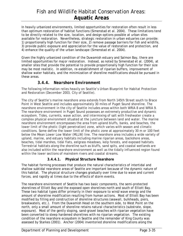In heavily urbanized environments, limited opportunities for restoration often result in less than optimum restoration of habitat functions (Simenstad et al. 2004). These limitations tend to be directly related to the size, location, and design options possible at urban sites available for restoration. Nevertheless, strategic restoration in urban estuaries can provide: 1) proportionally high function for their size, 2) remove passage barriers for fish and wildlife, 3) provide public exposure and appreciation for the value of restoration and protection, and 4) enhance the quality of the urban landscape (Simenstad et al. 2004).

Given the highly urbanized condition of the Duwamish estuary and Salmon Bay, there are limited opportunities for major restoration. Instead, as noted by Simenstad et al. (2004), at smaller sites that provide the potential to provide proportionally high function for their size may be most realistic. In addition, re-establishment of riparian buffers, improvement of shallow water habitats, and the minimization of shoreline modifications should be pursued in these areas.

### *3.4.4. Nearshore Environment*

The following information relies heavily on Seattle's Urban Blueprint for Habitat Protection and Restoration (December 2003, City of Seattle).

The city of Seattle's marine nearshore area extends from North 145th Street south to Brace Point in West Seattle and includes approximately 30 miles of Puget Sound shoreline. The nearshore environment in the city of Seattle includes areas within both WRIA 8 and WRIA 9. The nearshore environment in Puget Sound possesses an extremely productive and dynamic ecosystem. Tides, currents, wave action, and intermixing of salt with freshwater create a complex physical environment situated at the juncture between land and water. The marine nearshore environment encompasses the area from upland bluffs, banks, and beaches, the lower limit of the photic (light penetration) zone, which varies with season and climatic conditions. Some define the lower limit of the photic zone at approximately 30 m or 100 feet below the Mean Lower Low Water (MLLW) line. The nearshore area includes a wide variety of upland, marine, and estuary habitats including marine riparian areas, backshore areas, beaches, tidal marshes, tidal flats, eelgrass meadows, kelp forests, and exposed habitats. Terrestrial habitats along the shoreline such as bluffs, sand spits, and coastal wetlands are also included within the nearshore environment as well as the tidally influenced region found within the lower sections of mainstem rivers and coastal streams.

### **3.4.4.1. Physical Structure Nearshore**

The habitat forming processes that produce the natural characteristics of intertidal and shallow subtidal nearshore areas of Seattle are important because of the dynamic nature of this habitat. The physical structure changes gradually over time due to wave and current forces, and rapidly at times due to the effects of storm events.

The nearshore environment of Seattle has two basic components, the semi-protected shorelines of Elliott Bay and the exposed open shorelines north and south of Elliott Bay. These two habitat types differ primarily in their exposure to wind/wave energy and the amount of shoreline modification resulting from human actions. Most of Elliott Bay has been modified by filling and construction of shoreline structures (seawall, bulkheads, piers, breakwaters, etc.). From the Duwamish Head on the southern side, to West Point on the north, only a small amount of shoreline retains natural characteristics (substrate, slope, exposure). Most of the gently sloping, sand-gravel beaches with riparian vegetation have been converted to steep hardened shorelines with no riparian vegetation. The existing condition of the nearshore ecosystem in Seattle and the remainder of King County was assessed by Starkes (2001). Anchor (2004) inventoried shoreline modifications along the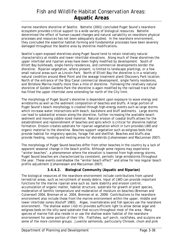marine nearshore shoreline of Seattle. Battelle (2001) concluded Puget Sound's nearshore ecosystem provides critical support to a wide variety of biological resources. Battelle determined the effect of human-caused changes and natural variability on nearshore physical processes and resources has not been adequately studied. In the nearshore environment, they concluded the essential habitat-forming and fundamental processes have been severely damaged throughout the Seattle area by shoreline modifications.

Seattle's open exposed shorelines along Puget Sound tend to retain relatively natural characteristics at middle and lower intertidal elevations. Along much of these shorelines the upper intertidal and riparian areas have been highly modified by development. South of Elliott Bay bulkheads, single-family residences, and commercial developments border the shoreline. Riparian vegetation, where present, is limited to landscape plantings, or a few small natural areas such as Lincoln Park. North of Elliott Bay the shoreline is in a relatively natural condition around West Point and the sewage treatment plant/Discovery Park location. North of the entrance of the Ship Canal commercial development, single family residences, and Shilshole Marina modify more than a mile of shoreline. Following the relatively natural shoreline of Golden Gardens Park the shoreline is again modified by the railroad track that has filled the upper intertidal zone extending far north of the City limit.

The morphology of Puget Sound's shoreline is dependent upon exposure to wave energy and windstorms as well as the sediment composition of beaches and bluffs. A large portion of Puget Sound's beach morphology is created through high-energy events such as large storms which increase water interactions with beach, backshore and bluff sediments. Large storms can lead to substantial erosion along the shoreline, further increasing the available beach sediment and moving cobble-sized material. Natural erosion of coastal bluffs allows for the establishment and replenishment of beaches and spits which is critical for shoreline habitat formation. Erosion creates substrate for riparian vegetation which in turn provides LWD and organic material to the shoreline. Beaches support vegetation such as eelgrass beds that provide habitat for migratory species, forage fish and shellfish. Beaches and bluffs also provide feeding, roosting and nesting areas for shorebirds (Johannessen and MacLennan 2007).

The morphology of Puget Sound beaches differ from other beaches in the country by a lack of apparent seasonal change in the beach profile. Although some regions may experience "winter beaches", a phenomenon where the elevation is lowered from high-energy storms, Puget Sound beaches are characterized by consistent, periodic large windstorms throughout the year. These events overshadow the "winter beach effect" and allow for less regular beach profile adjustment (Johannessen and MacLennan 2007).

### **3.4.4.2. Biological Community (Aquatic and Riparian)**

The biological resources of the nearshore environment include contributions from upland terrestrial areas, such as recruitment of woody debris. Input of LWD can provide important functions for the marine riparian area such as: bank stability and erosion control, accumulation of organic matter, habitat structure, substrate for growth of plant species, moderation of benthic temperature and moderation of moisture on beaches (Brennan and Culverwell 2004, Brennan et al. 2004, Brennan et al. 2009) Contributions to the nearshore environment also include those from the marine environment within the upper, middle and lower intertidal zones (Kozloff 1983). Algae, invertebrates and fish species use the nearshore environment. The shallow water (<10 m) provides sufficient light to allow dense algal and eelgrass beds on the silty sand substrate that occurs throughout most of the area. Many species of marine fish also reside in or use the shallow water habitat of the nearshore environment for some portion of their life. Flatfishes, surf perch, rockfishes, and sculpins are some of the more common groups. Juvenile salmonids, particularly Chinook, chum and pink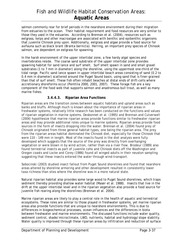salmon commonly rear for brief periods in the nearshore environment during their migration from estuaries to the ocean. Their habitat requirement and food resources are very similar to those they used in the estuaries. According to Brennan et al. (2004), resources such as eelgrass, kelps and other macroalgae are associated with benthic and epibenthic organisms that juvenile Chinook prey upon. Additionally, eelgrass and algae provide a food source for avifauna such as black brant (*Branta bernicla*). Herring, an important prey species of Chinook salmon, are dependent on eelgrass for spawning.

In the harsh environment of the upper intertidal zone, a few hardy algal species and invertebrates reside. The coarse sand substrate of the upper intertidal zone provides spawning habitat for sand lance and surf smelt. Surf smelt spawn in sand and small gravel substrates (1 to 7 mm in diameter) along the shoreline, using the uppermost one-third of the tidal range. Pacific sand lance spawn in upper intertidal beach areas consisting of sand (0.2 to 0.4 mm in diameter) scattered around the Puget Sound basin, using sand that is finer-grained than that of surf smelt. These fish often inhabit beaches at distal ends of drift-cells where accretionary shoreforms occur (Penttila 2000, 2001, 2007). These forage fish are a key component of the food web that supports salmon and anadromous bull trout, as well as many marine fishes.

### **3.4.4.3. Riparian Area Functions**

Riparian areas are the transition zones between aquatic habitats and upland areas such as banks and bluffs. Although much is known about the importance of riparian areas in freshwater systems, relatively little research has been conducted on the functions and values of riparian vegetation in marine systems. Desbonnet et al. (1995) and Brennan and Culverwell (2004) hypothesize that marine riparian areas provide functions similar to freshwater riparian areas and may provide additional roles unique to marine systems. Riparian areas provide food sources in the form of insects dropping into the water. Brennan et al. (2004) found prey of Chinook originated from three general habitat types, one being the riparian area. The prey from the riparian areas habitat dominated the Chinook diet, especially for those Chinook that were 110 – 149 mm in length. Most of the insects found in the diet analysis were fully developed which suggests that the source of the prey was directly from overhanging vegetation or were blown in by wind action, rather than via a river flow. Brodeur (1989) also found terrestrial insects as part of juvenile coho and Chinook diets off the Washington and Oregon coasts and Locke and Corey (1986) found all winged adults in their neuston sampling suggesting that these insects entered the water through wind-transport.

Sobocinski (2003) studied insect fallout from Puget Sound shorelines and found that nearshore areas altered by shoreline armoring and other development resulted in consistently lower taxa richness than sites where the shoreline was in a more natural state.

Natural riparian habitat also provides some large wood to Puget Sound shorelines, which traps sediment thereby providing shallow water habitat (Maser et al. 1988). Insects that live in the drift at the upper intertidal level and in the riparian vegetation also provide a food source for juvenile fish rearing along the shorelines (Brennan et al. 2004).

Marine riparian areas are likely to play a central role in the health of aquatic and terrestrial ecosystems. These roles are similar to those played in freshwater systems, yet marine riparian areas also provide functions that are unique to nearshore environments. This is due to differences in biogeochemical processes, ocean influences and the differences in biota between freshwater and marine environments. The discussed functions include water quality, sediment control, shade/microclimate, LWD, nutrients, habitat and hydrology/slope stability. Water quality is improved through these riparian areas by infiltration and reduction of surface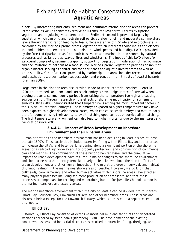runoff. By intercepting nutrients, sediment and pollutants marine riparian areas can prevent introduction as well as convert excessive pollutants into less harmful forms by riparian vegetation and regulating water temperature. Sediment control is provided largely by vegetation which can bind and restrain soil particles, slow runoff, and moderate soil moisture levels through transpiration leading to less surface water runoff. Shade and microclimate is controlled by the marine riparian area's vegetation which intercepts solar inputs and effects soil and ambient air temperature, soil moisture, wind speeds and humidity. LWD is provided by the forested riparian areas from both freshwater and marine riparian sources by natural processes such as landslides, waves, fires and windstorms. The input of this LWD allows for structural complexity, sediment trapping, support for vegetation, moderation of microclimate and accumulation of detritus as a food source. Marine riparian vegetation provides an input of organic matter serving as habitat and food for fishes and aquatic invertebrates as well as slope stability. Other functions provided by marine riparian areas include: recreation, cultural and aesthetic resources, carbon sequestration and protection from threats of coastal hazards (Brennan 2009).

Large trees in the riparian area also provide shade to upper intertidal beaches. Penttila (2001) determined sand lance and surf smelt embryos have a higher rate of survival when shading prevents summer sunny periods from raising the temperature too high and causing egg desiccation. Through research on the effects of shoreline modification on surf smelt embryos, Rice (2006) demonstrated that temperature is among the most important factors in the survival of intertidal embryos. Those embryos exposed to higher temperatures may have been exposed to higher developmental rates, which can cause smelt embryos to mature early therefor compromising their ability to await hatching opportunities or survive after hatching, The high temperature environment can also lead to higher mortality due to thermal stress and desiccation (Rice 2006).

#### **3.4.4.4. Impacts of Urban Development on Nearshore Environment and their Riparian Areas**

Human alteration to the nearshore environment has been occurring in Seattle since at least the late 1800's. These activities included extensive filling within Elliott Bay and other areas to increase the city's land base, bank hardening along a significant portion of the shoreline areas for a railroad right-of-way and for property protection, and construction of commercial piers and marinas. The combination of these historic habitat losses and the cumulative impacts of urban development have resulted in major changes to the shoreline environment and the marine nearshore ecosystem. Relatively little is known about the direct effects of urban development and other human impacts on the migration, growth, survival, and habitat of Chinook salmon in the marine nearshore areas of Seattle. However, we do know that bulkheads, bank armoring, and other human activities within shoreline areas have affected many physical processes including sediment production and transport, and that these processes are important for forming and maintaining habitat for juvenile Chinook salmon in the marine nearshore and estuary areas.

The marine nearshore environment within the city of Seattle can be divided into four areas: Elliott Bay, Shilshole Bay, Duwamish Estuary, and other nearshore areas. These areas are discussed below except for the Duwamish Estuary, which is discussed in a separate section of this report.

#### **Elliott Bay**

Historically, Elliott Bay consisted of extensive intertidal mud and sand flats and vegetated wetlands bordered by steep banks (Blomberg 1988). The development of the existing downtown business and industrial districts has resulted in extensive filling, dredging, and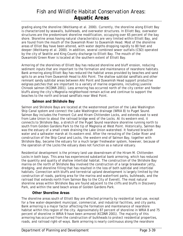grading along the shoreline (Weitkamp et al. 2000). Currently, the shoreline along Elliott Bay is characterized by seawalls, bulkheads, and overwater structures. In Elliott Bay, overwater structures are the predominant shoreline modification, occupying over 65 percent of the bay shore. Shoreline areas having natural characteristics are very limited within Elliott Bay, and are found from the mouth of the Duwamish River to Duwamish Head. Most of the shoreline areas of Elliot Bay have been altered, with water depths dropping rapidly to 80 feet and deeper (Weitkamp et al. 2000). In addition, several combined sewer outfalls (CSO) operated by the city of Seattle and King County discharge to Elliott Bay. The mouth of the Duwamish/Green River is located at the southern extent of Elliott Bay.

Armoring of the shorelines of Elliott Bay has reduced shoreline and bluff erosion, reducing sediment inputs that are important to the formation and maintenance of nearshore habitats. Bank armoring along Elliott Bay has reduced the habitat areas provided by beaches and sand spits to an area from Duwamish Head to Alki Point. The shallow subtidal sandflats and other remnant sandy subtidal areas between Alki Point and Duwamish Head support productive eelgrass patches that are important to a variety of marine organisms, including juvenile Chinook salmon (KCDNR 2001). Less armoring has occurred north of the city center and feeder bluffs along the city's Magnolia neighborhood remain active and continue to support the beaches to the north and broad sandflats near West Point.

#### **Salmon and Shilshole Bay**

Salmon and Shilshole Bays are located at the westernmost portion of the Lake Washington Ship Canal system and connect the Lake Washington drainage (WRIA 8) to Puget Sound. Salmon Bay includes the Fremont Cut and Hiram Chittenden Locks, and extends east to west from Lake Union to about the railroad bridge west of the Locks. At its western end, it connects to Shilshole Bay, a stretch of the Puget Sound nearshore shoreline running north to south from Golden Gardens Park to the tip of Magnolia at West Point. Historically, Salmon Bay was the estuary of a small creek draining the Lake Union watershed. It featured brackish water and a saltwater marsh at its eastern end. After the rerouting of the Cedar River and construction of the Ship Canal and Locks, the western end of Salmon Bay, together with Shilshole Bay, became the estuary for a much larger freshwater system, however, because of the operation of the Locks the estuary does not function as a natural estuary.

Residential development is the primary land use downstream of the Hiram M. Chittenden Locks in both bays. This area has experienced substantial bank armoring, which has reduced the quantity and quality of shallow intertidal habitat. The construction of the Shilshole Bay marina on the north of Shilshole Bay involved the construction of a large breakwater jetty, dredging, and shoreline filling that has resulted in the loss of both subtidal and intertidal habitats. Connection with bluffs and terrestrial upland development is largely limited by the construction of roads, parking area for the marina and waterfront parks, bulkheads, and the railroad that extends north from Salmon Bay to the City of Everett. The most natural shoreline areas within Shilshole Bay are found adjacent to the cliffs and bluffs in Discovery Park, and within the sand beach areas of Golden Gardens Park.

#### **Other Shoreline Areas**

The shoreline areas south of Elliott Bay are affected primarily by residential land use, except for a few water-dependent municipal, commercial, and industrial facilities, and city parks. Bank armoring is a major factor affecting the formation and maintenance of nearshore habitat within this region of the city. Approximately 87 percent of shoreline in WRIA 8 and 75 percent of shoreline in WRIA 9 have been armored (KCDNR 2001). The majority of this armoring has occurred from the construction of bulkheads to protect residential properties, roads, and railroad right-of-ways. Bank armoring is nearly continuous along the nearshore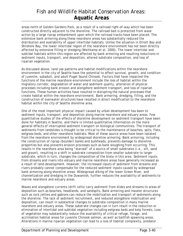areas north of Golden Gardens Park, as a result of a railroad right-of-way which has been constructed directly adjacent to the shoreline. The railroad bed is protected from wave action by a large riprap embankment upon which the railroad tracks have been placed. The extensive bank armoring along these nearshore areas has substantially reduced the distribution and availability of upper intertidal habitats. Unlike the situation in Elliott Bay and Shilshole Bay, the lower intertidal region of the nearshore environment has not been directly affected by extensive filling or dredging (Weitkamp et al. 2000). The lower intertidal and subtidal habitats within this region are affected by bank armoring and resulting reductions in sediment inputs, transport, and deposition, altered substrate composition, and loss of riparian vegetation.

As discussed above, land use patterns and habitat modifications within the nearshore environment in the city of Seattle have the potential to affect survival, growth, and condition of juvenile, subadult, and adult Puget Sound Chinook. Factors that have impacted the functions of the marine nearshore environment include the loss of habitat within the migratory corridor, degradation of water and sediment quality, alteration of physical processes including bank erosion and alongshore sediment transport, and loss of riparian functions. These human activities have resulted in disrupting the natural processes that create habitat within the nearshore environment. Bank armoring, dredging, filling, and the construction of overwater structures have resulted in direct modification to the nearshore habitat within the city of Seattle shoreline area.

One of the most important physical impact caused by urban development has been to sediment inputs, transport, and deposition along marine nearshore and estuary areas. Few quantitative studies of the effects of shoreline development on sediment transport have been done for habitats in Seattle, and there is limited quantitative information on the more general effects of interrupted sediment transport on biological communities. The transport of sediments from landslides is thought to be critical to the maintenance of beaches, spits, flats, eelgrass beds, and other nearshore habitats. Most of these source areas have been isolated from the nearshore environment by widespread shoreline armoring. Bank armoring, including the construction of riprap (boulder) banks and bulkheads, prevents damage to shoreline properties but also prevents erosion processes such as bank sloughing from occurring. This results in the nearshore area being "starved" of a source of small substrates (i.e., silt, sand and gravel), resulting in a shift in substrate composition from smaller substrate to larger substrate, which in turn, changes the composition of the biota in this area. Sediment inputs from streams and rivers into estuary and marine nearshore areas have generally increased as a result of land-development. However, the increased inputs of sediment from streams and rivers probably cannot compensate for the reduced sediment inputs caused by widespread bank armoring along shoreline areas. Widespread diking of the lower Green River, and channelization and dredging in the Duwamish, further reduces the availability of sediments to marine nearshore and estuary areas.

Waves and alongshore currents (drift cells) carry sediment from slides and streams to areas of deposition such as beaches, headlands, and sandspits. Bank armoring and inwater structures such as rock jetties and gabions can reduce the mobilization and transport of sediments along the shoreline. The lack of sediment recruitment, and reduced alongshore mobilization and deposition, can result in substantial changes to substrate composition in many marine nearshore and estuary areas. These substrate changes can in turn result in the reduction or elimination of intertidal and subtidal vegetation including eelgrass beds and kelp forests. Loss of vegetation may substantially reduce the availability of critical refuge, forage, and acclimation habitat areas for juvenile Chinook salmon, as well as baitfish spawning areas. Alterations in marine riparian vegetation can lead to a loss of habitat complexity, predator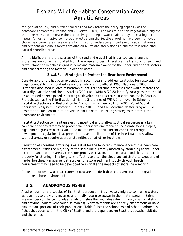refuge availability, and nutrient sources and may affect the carrying capacity of the nearshore ecosystem (Brennan and Culverwell 2004). The loss of riparian vegetation along the shoreline may also decrease the productivity of deeper water habitats by decreasing detrital inputs. Almost all native coniferous forests along the Seattle shoreline have been removed. Shoreline riparian areas are generally limited to landscaping in parks and residential areas and remnant deciduous forests growing on bluffs and steep slopes along the few remaining natural shoreline areas.

All the bluffs that are the sources of the sand and gravel that is transported along the shorelines are currently isolated from the erosive forces. Therefore the transport of sand and gravel along the beaches is gradually moving materials away for the upper end of drift sectors and concentrating the material in deeper water.

#### **3.4.4.5. Strategies to Protect the Nearshore Environment**

Considerable effort has been expended in recent years to address strategies for restoration of Puget Sounds' highly modified nearshore habitats (Broadhurst 1998, MacDonald 2000). Strategies discussed involve restoration of natural shoreline processes that would restore the naturally dynamic conditions. Starkes (2001) and WRIA 8 (2005) identify data gaps that should be addressed or recognized in strategies developed to restore nearshore habitat in Seattle. Projects such as the Prioritization of Marine Shorelines of WRIA 9 for Juvenile Salmonid Habitat Protection and Restoration by Anchor Environmental, LLC (2006), Puget Sound Nearshore Ecosystem Restoration Project (PSNERP) and the Shoreline Master Program (SMP) Restoration Plan continue to provide scientific data supporting strategies to protect the nearshore environment.

Habitat protection to maintain existing intertidal and shallow subtidal resources is a key component of any strategy to protect the nearshore environment. Substrate types, slopes, algal and eelgrass resources would be maintained in their current condition through development regulations that prevent substantial alteration of the intertidal and shallow subtidal areas, or require appropriate mitigation at other locations.

Reduction of shoreline armoring is essential for the long-term maintenance of the nearshore environment. With the majority of the shoreline currently altered by hardening of the upper intertidal and riparian areas, the shore processes that maintain natural conditions are not properly functioning. The long-term effect is to alter the slope and substrate to steeper and harder beaches. Management strategies to restore sediment supply through beach nourishment may need to be developed to mitigate the impacts of shoreline armoring.

Prevention of over-water structures in new areas is desirable to prevent further degradation of the nearshore environment.

### **3.5. ANADROMOUS FISHES**

Anadromous fish are species of fish that reproduce in fresh water, migrate to marine waters as juveniles to grow and mature, and finally return to spawn in their natal stream. Salmon are members of the Salmonidae family of fishes that includes salmon, trout, char, whitefish and grayling (collectively called salmonids). Many salmonids are entirely anadromous or have anadromous portions of their populations. Table 3 lists the salmonids and other anadromous fishes that occur within the City of Seattle and are dependent on Seattle's aquatic habitats and shorelines.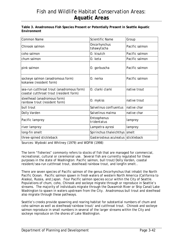#### **Table 3. Anadromous Fish Species Present or Potentially Present in Seattle Aquatic Environment**

| <b>Common Name</b>                                                                   | <b>Scientific Name</b>             | Group          |
|--------------------------------------------------------------------------------------|------------------------------------|----------------|
| Chinook salmon                                                                       | <b>Oncorhynchus</b><br>tshawytscha | Pacific salmon |
| coho salmon                                                                          | O. kisutch                         | Pacific salmon |
| chum salmon                                                                          | 0. keta                            | Pacific salmon |
| pink salmon                                                                          | O. gorbuscha                       | Pacific salmon |
| sockeye salmon (anadromous form)<br>kokanee (resident form)                          | 0. nerka                           | Pacific salmon |
| sea-run cutthroat trout (anadromous form)<br>coastal cutthroat trout (resident form) | O. clarki clarki                   | native trout   |
| steelhead (anadromous form)<br>rainbow trout (resident form)                         | O. mykiss                          | native trout   |
| bull trout                                                                           | Salvelinus confluentus             | native char    |
| Dolly Varden                                                                         | Salvelinus malma                   | native char    |
| Pacific lamprey                                                                      | Entosphenus<br>tridentatus         | lamprey        |
| river lamprey                                                                        | Lampetra ayresi                    | lamprey        |
| long-fin smelt                                                                       | Spirinchus thaleichthys            | smelt          |
| three-spined stickleback                                                             | Gasterosteus aculeatus stickleback |                |

Sources: Wydoski and Whitney (1979) and WDFW (1998)

The term "fisheries" commonly refers to stocks of fish that are managed for commercial, recreational, cultural or ceremonial use. Several fish are currently regulated for these purposes in the state of Washington: Pacific salmon, bull trout/Dolly Varden, coastal resident/sea-run cutthroat trout, steelhead/rainbow trout, and longfin smelt..

There are seven species of Pacific salmon of the genus *Oncorhynchus* that inhabit the North Pacific Ocean. Pacific salmon spawn in fresh waters of western North America (California to Alaska), Russia, and Japan. Four Pacific salmon species occur within the City of Seattle. Populations of chum, coho, Chinook and sockeye migrate through or reproduce in Seattle's streams. The majority of individuals migrate through the Duwamish River or Ship Canal/Lake Washington to spawn in waters upstream from the City. Anadromous bull trout and steelhead also migrate through these pathways.

Seattle's creeks provide spawning and rearing habitat for substantial numbers of chum and coho salmon as well as steelhead/rainbow trout/ and cutthroat trout. Chinook and sockeye salmon reproduce in small numbers in several of the larger streams within the City and sockeye reproduce on the shores of Lake Washington.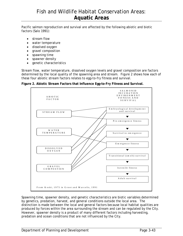Pacific salmon reproduction and survival are affected by the following abiotic and biotic factors (Salo 1991):

- stream flow
- water temperature
- dissolved oxygen
- gravel composition
- spawning time
- spawner density
- genetic characteristics

Stream flow, water temperature, dissolved oxygen levels and gravel composition are factors determined by the local quality of the spawning area and stream. Figure 2 shows how each of these four abiotic stream factors relates to egg-to-fry fitness and survival.

**Figure 2. Abiotic Stream Factors that Influence Egg-to-Fry Fitness and Survival.** 



Spawning time, spawner density, and genetic characteristics are biotic variables determined by genetics, predation, harvest, and general conditions outside the local area. The distinction is made between the local and general factors because local habitat qualities are produced by forces within the area surrounding the stream and can be regulated by the City. However, spawner density is a product of many different factors including harvesting, predation and ocean conditions that are not influenced by the City.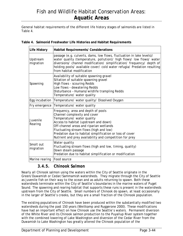General habitat requirements of the different life history stages of salmonids are listed in Table 4.

| Life History           | <b>Habitat Requirements/ Considerations</b>                                                                                                                                                                                                                                                                                                            |
|------------------------|--------------------------------------------------------------------------------------------------------------------------------------------------------------------------------------------------------------------------------------------------------------------------------------------------------------------------------------------------------|
| Upstream<br>migration  | passage (e.g. culverts, dams, low flows, fluctuation in lake levels)/<br>water quality (temperature, pollution)/ high flows/ low flows/ water<br>diversions/ channel modification/ simplification/ frequency/ depth of<br>holding pools/ available cover/ cold water refugia/ Predation resulting<br>from habitat modification                         |
| Spawning               | Availability of suitable spawning gravel<br>Siltation of suitable spawning gravel<br>High flows - scouring Redds<br>Low flows - dewatering Redds<br>Disturbance - Humans/wildlife trampling Redds<br>Temperature/ water quality                                                                                                                        |
| Egg incubation         | Temperature/ water quality/ Dissolved Oxygen                                                                                                                                                                                                                                                                                                           |
| Fry emergence          | Temperature/ water quality                                                                                                                                                                                                                                                                                                                             |
| Juvenile<br>Rearing    | Frequency, area and depth of pools<br>Channel complexity and cover<br>Temperature/ water quality<br>Access to habitat (upstream and down)<br>Off-channel areas and riparian wetlands<br>Fluctuating stream flows (high and low)<br>Predation due to habitat simplification or loss of cover<br>Nutrient and prey availability and competition for prey |
| Smolt out<br>migration | Water quality<br>Fluctuating stream flows (high and low, timing, quality)<br>Down steam passage<br>Predation due to habitat simplification or modification                                                                                                                                                                                             |
| Marine rearing         | Food source                                                                                                                                                                                                                                                                                                                                            |

**Table 4. Salmonid Freshwater Life Histories and Habitat Requirements**

### *3.4.5. Chinook Salmon*

Nearly all Chinook salmon using the waters within the City of Seattle originate in the Green/Duwamish or Cedar/Sammamish watersheds. They migrate through the City of Seattle as juvenile fish on their way to the ocean and as adults returning to spawn. Both these watersheds terminate within the City of Seattle's boundaries in the marine waters of Puget Sound. The spawning and rearing habitat that supports these runs is present in the watersheds upstream from the City of Seattle. Small numbers of Chinook do spawn, at least occasionally in the larger of Seattle's creeks, but they are a small fraction of the Chinook population.

The existing populations of Chinook have been produced within the substantially modified two watersheds during the past 150 years (Weitkamp and Ruggerone 2000). These modifications have had an important effect on how Chinook use the Seattle's waters. Permanent diversion of the White River and its Chinook salmon production to the Puyallup River system together with the combined lowering of Lake Washington and diversion of the Cedar River from the Duwamish to Lake Washington has greatly altered the Chinook population of the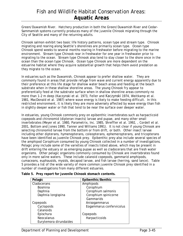Green/Duwamish River. Hatchery production in both the Green/Duwamish River and Cedar-Sammamish systems currently produces many of the juvenile Chinook migrating through the City of Seattle and many of the returning adults.

Chinook salmon exhibit two basic life history patterns, ocean type and stream type. Chinook migrating and rearing along Seattle's shorelines are primarily ocean type. Ocean type Chinook spend weeks to several months rearing in freshwater before migrating to the marine environment. Stream type Chinook rear in freshwater for one year in freshwater prior to migrating to the ocean. Stream type Chinook also tend to stay closer to the shore once in the ocean than the ocean type Chinook. Ocean type Chinook are more dependent on the estuarine habitat where they acquire substantial growth that helps them avoid predation as they migrate to the ocean.

In estuaries such as the Duwamish, Chinook appear to prefer shallow water. They are commonly found in areas that provide refuge from wave and current energy apparently due to their preference at this life stage for shallow water beach areas and feeding at the beach substrate when in these shallow shoreline areas. The young Chinook fry appear to preferentially feed at the substrate surface when in shallow shoreline areas commonly no more than 1-2 m deep (Kaczynski et al. 1973, Feller and Kaczynski 1974, Weitkamp et al. 1981, MacDonald et al. 1987) where wave energy is likely to make feeding difficult. In this restricted environment, it is likely they are more adversely affected by wave energy than fish in slightly deeper water or fish that tend to be near the surface over deeper water.

In estuaries, young Chinook commonly prey on epibenthic invertebrates such as harpacticoid copepods and chironomid (dipteran insects) larvae and pupae, and many other small invertebrates (Meyer et al. 1980, Parametrix, Inc. 1985, Shreffler et al. 1992, , Cordell et al. 2001, Bottom and Jones 1990, Tanner and Williams 1991). It is not clear if young Chinook are selecting chironomid larvae from the bottom or from drift, or both. Other insect larvae including other dipterans, hymenopterans, coleopterans, ephemeropterans, and tricopterans have been identified as juvenile Chinook prey. Epibenthic prey also include several species of the amphipod *Corophium* consumed by young Chinook collected in a number of investigations. Pelagic prey include some of the varieties of insects listed above, which may be present in drift entering the estuary or as emerging pupae as well as cladocerans that are fresh water organisms. Other pelagic organisms commonly consumed by Chinook are invertebrates found only in more saline waters. These include calanoid copepods, gammarid amphipods, cumaceans, euphausids, mysids, decapod larvae, and fish larvae (herring, sand lance). Table 5 provides a list of the wide variety of more common juvenile Chinook prey identified in a number of investigations from many different estuaries.

| Pelagic                | Epibenthic/Benthic       |
|------------------------|--------------------------|
| Cladocerans            | Amphipods                |
| <b>Bosmina</b>         | Corophium                |
| Daphnia                | Corophium salmonis       |
| Daphnia longispina     | Corophium spinicorne     |
|                        | Gammarids                |
| Copepods               | Anisogammarus            |
| Cyclopoids             | Eogammarus confervicolus |
| Calanoids              |                          |
| Epischura              | Copepods                 |
| Neocalanus             | Harpacticoids            |
| Eurytemora dirundaides |                          |

**Table 5. Prey report for juvenile Chinook stomach contents.**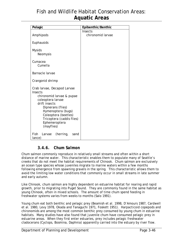| Pelagic                                                                                                                                                                                                                                         | Epibenthic/Benthic           |
|-------------------------------------------------------------------------------------------------------------------------------------------------------------------------------------------------------------------------------------------------|------------------------------|
| Amphipods                                                                                                                                                                                                                                       | Insects<br>chironomid larvae |
| Euphausids                                                                                                                                                                                                                                      |                              |
| <b>Mysids</b><br>Neomysis                                                                                                                                                                                                                       |                              |
| Cumacea<br>Cumella                                                                                                                                                                                                                              |                              |
| Barnacle larvae                                                                                                                                                                                                                                 |                              |
| Crangonid shrimp                                                                                                                                                                                                                                |                              |
| Crab larvae, Decapod Larvae<br><b>Insects</b><br>chironomid larvae & pupae<br>coleoptera larvae<br>drift insects<br>Dipnerans (flies)<br>Hymenoptera (bugs)<br>Coleoptera (beetles)<br>Tricoptera (caddis flies)<br>Ephemeroptera<br>(mayflies) |                              |
| Fish<br>(herring,<br>Larvae<br>sand<br>lance)                                                                                                                                                                                                   |                              |

### *3.4.6. Chum Salmon*

Chum salmon commonly reproduce in relatively small streams and often within a short distance of marine water. This characteristic enables them to populate many of Seattle's creeks that do not meet the habitat requirements of Chinook. Chum salmon are exclusively an ocean type species whose juveniles migrate to marine waters within a few months following emergence from spawning gravels in the spring. This characteristic allows them to avoid the limiting low water conditions that commonly occur in small streams in late summer and early autumn.

Like Chinook, chum salmon are highly dependent on estuarine habitat for rearing and rapid growth, prior to migrating into Puget Sound. They are commonly found in the same habitat as young Chinook, often in mixed schools. The amount of time chum spend feeding in freshwater systems varies from weeks to months (Salo 1991).

Young chum eat both benthic and pelagic prey (Beamish et al. 1998, D'Amours 1987, Cardwell et al. 1980, Levy 1978, Okada and Tanaguchi 1971, Foskett 1951). Harpacticoid copepods and chironomids are among the most common benthic prey consumed by young chum in estuarine habitats. Many studies have also found that juvenile chum have consumed pelagic prey in estuarine areas. When they first enter estuaries, prey includes pelagic freshwater cladocerans (*Cyclops*, *Bosmina*, *Daphnia*) apparently carried into the estuary by river flow.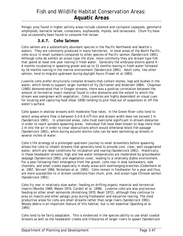Pelagic prey found in higher salinity areas include calanoid and cyclopoid copepods, gammarid amphipods, barnacle larvae, cumaceans, euphausids, mysids, and larvaceans. Chum fry have also occasionally been found to consume fish larvae.

### *3.4.7. Coho Salmon*

Coho salmon are a substantially abundant species in the Pacific Northwest and Seattle's waters. They are commonly produced in many hatcheries. In most areas of the North Pacific, coho occur in small numbers compared to other species of Pacific salmon (Sandercock 1991). Although coho do exhibit an ocean type life style, more commonly they are stream type fish that spend at least one year rearing in fresh water. Generally the embryos/alevins spend 4 - 6 months incubating in spawning gravel and up to 15 months rearing in fresh water followed by 16 months rearing in the marine environment (Sandercock 1991). Adult coho, like other salmon, tend to migrate upstream during daylight hours (Fraser et al.1983).

Juvenile coho prefer structurally complex streams that contain stones, logs and bushes in the water, which tends to support larger numbers of fry (Scrivener and Andersen 1984). Chapman (1965) demonstrated that in Oregon streams, there was a positive correlation between the amount of terrestrial insect material found in coho stomachs and the extent to which the stream was overgrown with vegetation. Coho juveniles are highly dependent on visual cues for locating and capturing food (Hoar 1958) tending to pick food out of suspension or off the water's surface.

Coho spawn in shallow streams with moderate flow rates. In the Green River coho tend to select areas where flow is between 5.0-6.8  $m^3/m$  in and stream width does not exceed 1 m (Sandercock 1991). In urbanized areas, coho must overcome significant in-stream obstacles in order to reach suitable spawning areas. Individual fish have been known to leap more than 2 m into the air in order to clear obstructions which would otherwise block fish passage (Sandercock 1991), while during autumn storms coho can be seen swimming up streets in several inches of water.

Coho's life strategy of a prolonged upstream journey to small streamlets before spawning allows the coho to inhabit streams that generally tend to provide cool, clear, well-oxygenated water, which are ideal conditions for incubation and rearing (Sandercock 1991). Historically, in these headwater streams, high and low water temperatures are moderated by groundwater seepage (Sandercock 1991) and vegetation cover, leading to a relatively stable environment. For a year following their emergence from the gravel, coho rear in slow backwaters, side channels, and small creeks especially in shady areas with overhanging branches (Cederholm et al. 1997, Shirvell 1994, Nickelson et al. 1992). Coho remain in freshwater for a year and thus, are more susceptible to in stream conditions than chum, pink, and ocean-type Chinook salmon (Sandercock 1991).

Coho fry rear in relatively slow water, feeding on drifting organic material and terrestrial insects (Mundie 1969, Mason 1974, Cordell et al. 1998). Juvenile coho are also piscivorous feeding on other small salmonids (Armstrong 1970, Beall 1972), although they continue to prey on insects and other pelagic prey during freshwater and estuarine rearing. The most productive areas for coho are small streams rather than large rivers (Sandercock 1991). Woody debris is an important feature of this habitat, but is not essential (Spalding et al. 1995).

Coho tend to be fairly adaptable. This is evidenced in the species ability to use small coastal streams as well as the headwater creeks and tributaries of larger rivers to spawn (Sandercock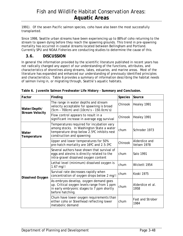1991). Of the seven Pacific salmon species, coho have also been the most successfully transplanted.

Since 1998, Seattle urban streams have been experiencing up to 88% of coho returning to the stream to spawn dying before they reach the spawning grounds. This trend in pre-spawning mortality has occurred in coastal streams located between Bellingham and Portland. Currently SPU and NOAA Fisheries are conducting studies to determine the cause of this.

### **3.6. DISCUSSION**

In general the information provided by the scientific literature published in recent years has not radically changed any aspect of our understanding of the functions, attributes, and characteristics of shorelines along streams, lakes, estuaries, and marine areas. Most of the literature has expanded and enhanced our understanding of previously identified principles and characteristics. Table 6 provides a summary of information describing the habitat needs of salmon living in, or migrating through, Seattle's aquatic habitats.

| Factor                                 | Finding                                                                                                                                                           | <b>Species</b> | Source                       |
|----------------------------------------|-------------------------------------------------------------------------------------------------------------------------------------------------------------------|----------------|------------------------------|
| Water/Depth/<br><b>Stream Velocity</b> | The range in water depths and stream<br>velocity acceptable for spawning is broad<br>$(5cm - 700cm)$ and $(10cm/s - 150.0cm/s)$                                   | Chinook        | Healey 1991                  |
|                                        | Flow control appears to result in a<br>significant increase in average egg survival                                                                               | Chinook        | Healey 1991                  |
| Water<br>Temperature                   | Temperatures required for incubation vary<br>among stocks. In Washington State a water<br>temperature drop below 2.5°C inhibits nest<br>construction and spawning | chum           | Schroder 1973                |
|                                        | Upper and lower temperatures for 50%<br>pre-hatch mortality are 16°C and 2.5-3°C                                                                                  | Chinook        | Alderdice and<br>Velsen 1978 |
| Dissolved Oxygen                       | Several authors have shown that survival of<br>eggs and alevins is directly related to the<br>intra-gravel dissolved oxygen content                               | chum           | Salo 1991                    |
|                                        | Lethal level (minimum) dissolved oxygen is<br>$1.67$ mg/l                                                                                                         | chum           | Wickett 1954                 |
|                                        | Survival rate decreases rapidly when<br>concentration of oxygen drops below 2 mg/l                                                                                | chum           | <b>Koski 1975</b>            |
|                                        | As embryos develop, oxygen demand goes<br>up. Critical oxygen levels range from 1 ppm<br>in early embryonic stages to 7 ppm shortly<br>before hatching.           | chum           | Alderdice et al.<br>1958     |
|                                        | Chum have lower oxygen requirements than<br>either coho or Steelhead reflecting lower<br>metabolic demand                                                         | chum           | Fast and Strober<br>1984     |

|  |  |  |  |  |  | Table 6. Juvenile Salmon Freshwater Life History - Summary and Conclusion. |
|--|--|--|--|--|--|----------------------------------------------------------------------------|
|--|--|--|--|--|--|----------------------------------------------------------------------------|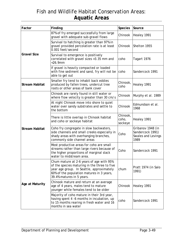| Factor                | Finding                                                                                                                                                                                                         | <b>Species</b>               | Source                                                              |
|-----------------------|-----------------------------------------------------------------------------------------------------------------------------------------------------------------------------------------------------------------|------------------------------|---------------------------------------------------------------------|
|                       | 87% of fry emerged successfully from large<br>gravel with adequate sub-gravel flows                                                                                                                             | Chinook                      | Healey 1991                                                         |
|                       | Survival to hatching is greater than 97% in<br>gravel provided percolation rate is at least<br>0.001 feet/second                                                                                                | Chinook                      | Shelton 1955                                                        |
| <b>Gravel Size</b>    | Survival to emergence is positively<br>correlated with gravel sizes > 3.35 mm and<br>$<$ 26.9mm                                                                                                                 | coho                         | Tagart 1976                                                         |
|                       | If gravel is heavily compacted or loaded<br>with fine sediment and sand, fry will not be<br>able to get out                                                                                                     | coho                         | Sandercock 1991                                                     |
| <b>Stream Habitat</b> | Smaller fry tend to inhabit back eddies<br>produced by fallen trees, undercut tree<br>roots or other areas of bank cover                                                                                        | Chinook,<br>coho             | Healey 1991                                                         |
|                       | Chinook are rarely found in still water or<br>where flow velocity is greater than 30 cm/s                                                                                                                       | Chinook                      | Murphy et al. 1989                                                  |
| <b>Stream Habitat</b> | At night Chinook move into shore to quiet<br>water over sandy substrates and settle to<br>the bottom                                                                                                            | Chinook                      | Edmundson et al.<br>1968                                            |
|                       | There is little overlap in Chinook habitat<br>and coho or sockeye habitat                                                                                                                                       | Chinook,<br>coho,<br>sockeye | Healey 1991                                                         |
|                       | Coho fry congregate in slow backwaters,<br>side channels and small creeks especially in<br>shady areas with overhanging branches,<br>commonly side channel areas                                                | Coho                         | Gribanov 1948 (in<br>Sandercock 1991)<br>Swales and Levings<br>1989 |
|                       | Most productive areas for coho are small<br>streams rather than large rivers because of<br>the higher proportions of marginal slack<br>water to midstream area.                                                 | Coho                         | Sandercock 1991                                                     |
|                       | Chum mature at 2-6 years of age with 95%<br>of the species maturing in the three to five<br>year age group. In Seattle, approximately<br>60% of the population matures in 3 years,<br>39.4% matures in 5 years. | chum                         | Pratt 1974 (in Salo<br>1991)                                        |
| Age at Maturity       | Chinook mature and return at an average<br>age of 4 years, males tend to mature<br>younger while females tend to be older                                                                                       | Chinook                      | Healey 1991                                                         |
|                       | Majority of coho mature in their 3rd year,<br>having spent 4 -6 months in incubation, up<br>to 15 months rearing in fresh water and 16<br>months in sea water                                                   | coho                         | Sandercock 1991                                                     |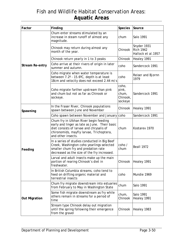| Factor                 | Finding                                                                                                                                                                                               | <b>Species</b>                                 | Source                                                |
|------------------------|-------------------------------------------------------------------------------------------------------------------------------------------------------------------------------------------------------|------------------------------------------------|-------------------------------------------------------|
|                        | Chum enter streams stimulated by an<br>increase in steam runoff of almost any<br>magnitude.                                                                                                           | chum                                           | Salo 1991                                             |
|                        | Chinook may return during almost any<br>month of the year.                                                                                                                                            | Chinook                                        | Snyder 1931<br><b>Rich 1942</b><br>Hallock et al.1957 |
|                        | Chinook return yearly in 1 to 3 peaks                                                                                                                                                                 | Chinook                                        | Healey 1991                                           |
| <b>Stream Re-entry</b> | Coho arrive at their rivers of origin in later<br>summer and autumn.                                                                                                                                  | coho                                           | Sandercock 1991                                       |
|                        | Coho migrate when water temperature is<br>between 7.2° - 15.6°C, depth is at least<br>18cm and velocity does not exceed 2.44 m/s                                                                      | coho                                           | Reiser and Bjornn<br>1979                             |
|                        | Coho migrate farther upstream than pink<br>and chum but not as far as Chinook or<br>sockeye.                                                                                                          | coho,<br>pink,<br>chum,<br>Chinook,<br>sockeye | Sandercock 1991                                       |
| Spawning               | In the Fraser River, Chinook populations<br>spawn between June and November                                                                                                                           | Chinook                                        | Healey 1991                                           |
|                        | Coho spawn between November and January coho                                                                                                                                                          |                                                | Sandercock 1991                                       |
| Feeding                | Chum fry in Ulkhan River begin feeding<br>early and linger as late as June. Their basic<br>diet consists of larvae and chrysalis of<br>chironomids, mayfly larvae, Trichoptera,<br>and other insects. | chum                                           | Kostarev 1970                                         |
|                        | In a series of studies conducted in Big Beef<br>Creek, Washington coho yearlings selected<br>smaller chum fry and predation rate<br>decreased as the size of the fry increased.                       | coho /<br>chum                                 | Beall 1972                                            |
|                        | Larval and adult insects make up the main<br>portion of rearing Chinook's diet in<br>freshwater.                                                                                                      | Chinook                                        | Healey 1991                                           |
|                        | In British Columbia streams, coho tend to<br>feed on drifting organic material and<br>terrestrial insects                                                                                             | coho                                           | Mundie 1969                                           |
| <b>Out Migration</b>   | Chum fry migrate downstream into estuaries<br>from February to May in Washington State                                                                                                                | chum                                           | Salo 1991                                             |
|                        | Some fish migrate downstream as fry while<br>others remain in streams for a period of<br>time                                                                                                         | chum,<br>Chinook                               | Salo 1991<br>Healey 1991                              |
|                        | Stream type Chinook delay out migration<br>until the spring following their emergence<br>from the gravel                                                                                              | Chinook                                        | Healey 1983                                           |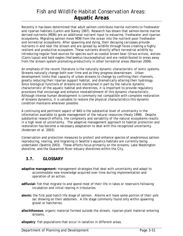Recently it has been determined that adult salmon contribute marine nutrients to freshwater and riparian habitats (Larkin and Slaney 1997). Research has shown that salmon-borne marine derived nutrients (MDN) are an additional nutrient input to estuarine, freshwater and riparian ecosystems. Migrating salmon move MDN from the ocean into the nutrient-poor freshwater and terrestrial ecosystems. After spawning and dying, their decaying carcasses provide nutrients in and near the stream and are spread by wildlife through feces creating a highly resilient and productive ecosystem. These nutrients directly affect terrestrial wildlife by introducing regular food sources for species such as coastal brown bear (*Ursus arctos*), wolves (*Canis lupus*) and bald eagles (*Haliaeetus leucocephalus*) and are redistributed to areas away from the stream system promoting productivity in other terrestrial areas (Naiman 2009).

An emphasis of the recent literature is the naturally dynamic characteristic of lentic systems. Streams naturally change both over time and as they progress downstream. Urban development limits that capacity of urban streams to change by confining their channels, greatly reducing their riparian support habitat, and dramatically altering their hydrology. Since biological functions of streams are maintained in part by the natural dynamic characteristic of the aquatic habitat and shorelines, it is important to provide regulatory provisions that encourage and enhance reestablishment of this dynamic characteristic. Although intense human development is commonly not compatible with complete restoration of streams dynamics, it is valuable to restore the physical characteristics this dynamic condition maintains wherever possible.

A continuing and pertinent aspect of BAS is the substantial level of uncertainty in the information available to guide management of the natural resources (Healy 1998). Despite substantial research efforts, the complexity and variability of the natural ecosystems results in a high level of uncertainty. The adaptive management approach to habitat protection and restoration has become a necessary adaptation to deal with this recognized uncertainty (Anderson et al. 2003).

Conservation and protection measures to protect and enhance species of anadromous salmon reproducing, rearing, and migrating in Seattle's aquatics habitats are currently being undertaken (Seattle 2003). These efforts focus primarily on the streams, Lake Washington shoreline, and the Duwamish River estuary shorelines within the City.

### **3.7. GLOSSARY**

- **adaptive management:** management strategies that deal with uncertainty and adapt to accommodate new knowledge acquired over time during implementation and operation of an action.
- **adfluvial:** fish that migrate to and spend most of their life in lakes or reservoirs following incubation and initial rearing in tributaries.
- **alevin:** the first post-hatch life stage of salmon. Alevins will have some portion of their yolk sac showing on their abdomen. A life stage commonly found only within spawning gravel or hatcheries.
- **allochthonous**: organic material formed outside the stream, riparian plant material entering streams.

**allopatry**: fish populations that occur in isolation in different areas.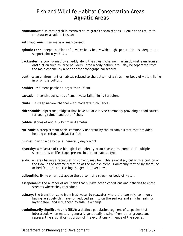**anadromous**: fish that hatch in freshwater, migrate to seawater as juveniles and return to freshwater as adults to spawn.

**anthropogenic**: man made or man-caused.

- **aphotic zone**: deeper portions of a water body below which light penetration is adequate to support photosynthesis.
- **backwater**: a pool formed by an eddy along the stream channel margin downstream from an obstruction such as large boulders, large woody debris, etc. May be separated from the main channel by a bar or other topographical feature.
- **benthic**: an environment or habitat related to the bottom of a stream or body of water; living in or on the bottom.

**boulder**: sediment particles larger than 15 cm.

- **cascade** : a continuous series of small waterfalls, highly turbulent
- **chute** : a steep narrow channel with moderate turbulence.
- **chironomids**: dipterans (midges) that have aquatic larvae commonly providing a food source for young salmon and other fishes.
- **cobble**: stones of about 6-15 cm in diameter.
- **cut bank**: a steep stream bank, commonly undercut by the stream current that provides holding or refuge habitat for fish.
- **diurnal**: having a daily cycle, generally day v night.
- **diversity**: a measure of the biological complexity of an ecosystem, number of multiple species and/or life stages present in area or habitat type.
- **eddy**: an area having a recirculating current, may be highly elongated, but with a portion of the flow in the reverse direction of the main current. Commonly formed by shoreline or bed features obstructing the general river flow.

**epibenthic**: living on or just above the bottom of a stream or body of water.

- **escapement**: the number of adult fish that survive ocean conditions and fisheries to enter streams where they reproduce.
- **estuary**: the transition zone from freshwater to seawater where the two mix, commonly having relatively thin layer of reduced salinity on the surface and a higher salinity layer below, and influenced by tidal exchange.
- **evolutionarily significant unit (ESU)**: a distinct population segment of a species that interbreeds when mature, generally genetically distinct from other groups, and representing a significant portion of the evolutionary lineage of the species.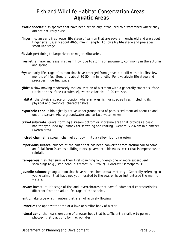- **exotic species**: fish species that have been artificially introduced to a watershed where they did not naturally exist.
- **fingerling**: an early freshwater life stage of salmon that are several months old and are about finger size, usually about 40-50 mm in length. Follows fry life stage and precedes smolt life stage.
- **fluvial**: pertaining to large rivers or major tributaries.
- **freshet**: a major increase in stream flow due to storms or snowmelt, commonly in the autumn and spring.
- **fry**: an early life stage of salmon that have emerged from gravel but still within its first few months of life. Generally about 30-50 mm in length. Follows alevin life stage and precedes fingerling stage.
- **glide**: a slow moving moderately shallow section of a stream with a generally smooth surface (little or no surface turbulence), water velocities 10-20 cm/sec.
- **habitat**: the physical space or location where an organism or species lives, including its physical and biological characteristics.
- **hyporheic zone**: a biologically active underground area of porous sediment adjacent to and under a stream where groundwater and surface water mixes
- **gravel substrate**: gravel forming a stream bottom or shoreline area that provides a basic habitat type used by Chinook for spawning and rearing. Generally 2-6 cm in diameter (Wentworth).

**incised channel**: a stream channel cut down into a valley floor by erosion.

- **impervious surface**: surface of the earth that has been converted from natural soil to some artificial form (such as building roofs, pavement, sidewalks, etc.) that is impervious to rainfall.
- **iteroparous**: fish that survive their first spawning to undergo one or more subsequent spawnings (e.g., steelhead, cutthroat, bull trout). Contrast "semelparous".
- **juvenile salmon**: young salmon that have not reached sexual maturity. Generally referring to young salmon that have not yet migrated to the sea, or have just entered the marine waters.
- **larvae**: immature life stage of fish and invertebrates that have fundamental characteristics different from the adult life stage of the species.
- **lentic**: lake type or still waters that are not actively flowing.
- **limnetic**: the open water area of a lake or similar body of water.
- **littoral zone**: the nearshore zone of a water body that is sufficiently shallow to permit photosynthetic activity by macrophytes.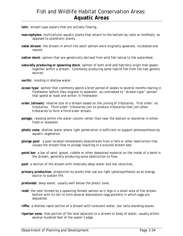**lotic**: stream type waters that are actively flowing.

- **macrophytes**: multicellular aquatic plants that attach to the bottom by roots or holdfasts, as opposed to planktonic plants.
- **natal stream**: the stream in which the adult salmon were originally spawned, incubated and reared.
- **native stock**: salmon that are genetically derived from wild fish native to the watershed.
- **naturally producing or spawning stock**: salmon of both wild and hatchery origin that spawn together within a stream. Commonly producing some hybrid fish from the two genetic sources
- **neritic**: residing in shallow water.
- **ocean type**: salmon that commonly spend a brief period of weeks to several months rearing in freshwater before they migrate to seawater, as contrasted to "stream-type" salmon that spend at least one winter in freshwater.
- **order (stream)**: relative size of a stream based on the joining of tributaries. First order: no tributaries. Third order: tributaries join to produce tributaries that join other tributaries to form a third order stream.
- **pelagic**: residing within the water column rather than near the bottom or shoreline in either fresh or seawater.
- **photic zone**: shallow water where light penetration is sufficient to support photosynthesis by aquatic vegetation.
- **plunge pool**: a pool located immediately downstream from a falls or other obstruction that causes the stream flow to plunge resulting in a scoured stream bed.
- **point bar**: a bar of sand, gravel, cobble or other deposited material on the inside of a bend in the stream, generally producing some obstruction to flow.
- **pool**: a section of the stream with relatively deep water and low velocities.
- **primary production**: production by plants that use sun light (photosynthesis) as an energy source to sustain life.

**profundal**: deep water, usually well below the photic zone.

- **redd**: the nest formed by a spawning female salmon as it digs in a small area of the stream bottom with its tail to form several depressions (egg pockets) in which eggs are deposited.
- **riffle**: a shallow rapid section of a stream with turbulent water, but lacks standing waves.
- **riparian zone**: that portion of the land adjacent to a stream or body of water, usually within several hundred feet of the water's edge.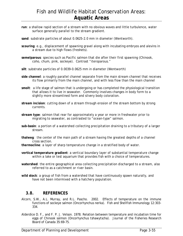- **run**: a shallow rapid section of a stream with no obvious waves and little turbulence, water surface generally parallel to the stream gradient.
- **sand**: substrate particles of about 0.0625-2.0 mm in diameter (Wentworth).
- **scouring**: e.g., displacement of spawning gravel along with incubating embryos and alevins in a stream due to high flows (freshets).
- **semelparous**: species such as Pacific salmon that die after their first spawning (Chinook, coho, chum, pink, sockeye). Contrast "iteroparous."
- **silt**: substrate particles of 0.0039-0.0625 mm in diameter (Wentworth)
- **side channel**: a roughly parallel channel separate from the main stream channel that receives its flow primarily from the main channel, and with less flow than the main channel
- **smolt**: a life stage of salmon that is undergoing or has completed the physiological transition that allows it to live in seawater. Commonly involves changes in body form to a slightly more streamlined form and silvery body coloration.
- **stream incision**: cutting down of a stream through erosion of the stream bottom by strong currents.
- **stream type**: salmon that rear for approximately a year or more in freshwater prior to migrating to seawater, as contrasted to "ocean-type" salmon.
- **sub-basin**: a portion of a watershed collecting precipitation draining to a tributary of a larger stream.
- **thalweg**: the center of the main path of a stream having the greatest depths of a channel cross section.
- **thermocline**: a layer of sharp temperature change in a stratified body of water.
- **vertical temperature gradient**: a vertical boundary layer of substantial temperature change within a lake or test aquarium that provides fish with a choice of temperatures.
- **watershed**: the entire geographical area collecting precipitation discharged to a stream, also referred to as a catchment or river basin.
- **wild stock**: a group of fish from a watershed that have continuously spawn naturally, and have not been intermixed with a hatchery population.

### **3.8. REFERENCES**

- Alcorn, S.W., A.L. Murray, and R.L. Pascho. 2002. Effects of temperature on the immune functions of sockeye salmon (*Oncorhynchus nerka*). Fish and Shellfish Immunology 12:303- 334.
- Alderdice D. F., and F. P. J. Velson. 1978. Relation between temperature and incubation time for eggs of Chinook salmon (*Oncorhynchus tshawytscha*). Journal of the Fisheries Research Board of Canada 35:69-75.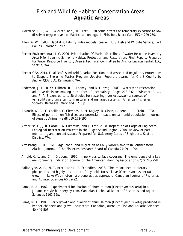- Alderdice, D.F., W.P. Wickett, and J.R. Brett. 1958 Some effects of temporary exposure to low dissolved oxygen levels on Pacific salmon eggs. J. Fish. Res. Board Can. 15(2): 229-250.
- Allen, A. W. 1983. Habitat suitability index models: beaver. U.S. Fish and Wildlife Service, Fort Collins, Colorado. 29 p.
- Anchor Environmental, LLC. 2006. Prioritization Of Marine Shorelines of Water Resource Inventory Area 9 for Juvenile Salmonid Habitat Protection and Restoration. Final Report. Prepared for Water Resource Inventory Area 9 Technical Committee by Anchor Environmental, LLC, Seattle, WA.
- Anchor QEA. 2013. Final Draft Semi-Arid Riparian Functions and Associated Regulatory Protections to Support Shoreline Master Program Updates. Report prepared for Grant County by Anchor QEA, LLC, Kennewick, WA.
- Anderson, J. L., R. W. Hilborn, R. T. Lackey, and D. Ludwig. 2003. Watershed restorationadaptive decisions making in the face of uncertainty. Pages 203-232 in Wissmar, R. C., and P. A. Bisson, editors. Strategies for restoring river ecosystems: sources of variability and uncertainty in natural and managed systems. American Fisheries Society, Bethesda, Maryland. 276 p.
- Arkoosh, M. R., E. Casillas, E. Clemons, A. N. Kagley, R. Olson, P. Reno, J. E. Stein. 1998. Effect of pollution on fish diseases: potential impacts on salmonid population. Journal of Aquatic Animal Health.10:172-190.
- Armbrust, E., J.R. Cordell, A. Cummins, and J. Toft. 2008. Inspection of Corps of Engineers Ecological Restoration Projects in the Puget Sound Region, 2008: Review of past monitoring and current status. Prepared for U.S. Army Corps of Engineers, Seattle District, WA.
- Armstrong, R. H. 1970. Age, food, and migration of Dolly Varden smolts in Southeastern Alaska. Journal of the Fisheries Research Board of Canada 27:991-1004.
- Arnold, C. L. and C. J. Gibbons. 1996. Impervious surface coverage: The emergence of a key environmental indicator. Journal of the American Planning Association 62(2):243-258.
- Ballantyne, A. P., M. T. Brett, and D. E. Schindler. 2003. The importance of dietary phosphorus and highly unsaturated fatty acids for sockeye (*Oncorhynchus nerka*) growth in Lake Washington – a bioenergetics approach. Canadian Journal of Fisheries and Aquatic Sciences 60:12-22.
- Bams, R. A. 1982. Experimental incubation of chum salmon (*Oncorhynchus keta*) in a Japanese-style hatchery system. Canadian Technical Report of Fisheries and Aquatic Sciences 1101:65p.
- Bams, R. A. 1983. Early growth and quality of chum salmon (Oncorhynchus keta) produced in kepper channels and gravel incubators. Canadian Journal of Fish and Aquatic Sciences 40:449-505.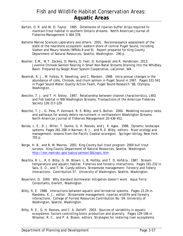- Barton, D. R. and W. D. Taylor. 1985. Dimensions of riparian buffer strips required to maintain trout habitat in southern Ontario streams. North American Journal of Fisheries Management 5:364-378.
- Battelle Marine Sciences Laboratory and others. 2001. Reconnaissance assessment of the state of the nearshore ecosystem: eastern shore of central Puget Sound, including Vashon and Maury Islands (WRIAs 8 and 9). Report prepared for King County Department of Natural Resources, Seattle, Washington. 290 p.
- Beamer, E.M., W.T. Zackey, D. Marks, D. Teel, D. Kuligowski and R. Henderson. 2013. Juvenile Chinook Salmon Rearing in Small Non-Natal Streams Draining into the Whidbey Basin. Prepared by Skagit River System Cooperative, LaConner, WA.
- Beamish, R. J., M. Folkes, R. Sweeting, and C. Manken. 1998. Intra-annual changes in the abundance of coho, Chinook, and chum salmon in Puget Sound in 1997. Pages 531-541 in Puget Sound Water Quality Action Team, Puget Sound Research '98, Olympia, Washington.
- Beechie, T. J. and T. H. Sibley. 1997. Relationship between channel characteristics, LWD, and fish habitat in NW Washington Streams. Transactions of the American Fisheries Society 126:217-229
- Beechie, T. J., G. Pess, P. Kennard, R. E. Bilby, and S. Bolton. 2000. Modeling recovery rates and pathways for woody debris recruitment in northwestern Washington Streams. North American Journal of Fisheries Management 20:436-452.
- Benda, L. E., D. J. Miller, T. Dunne, G. H. Reeves, and J. K. Agee. 1998. Dynamic landscape systems. Pages 261-288 in Naiman, R. J., and R. E. Bilby, editors. River ecology and management: lessons from the Pacific Coastal ecoregion. Springer-Verlag, New York. 705 p.
- Berge, H. B., and B. M. Mavros. 2001. King County bull trout program: 2000 bull trout surveys. King County Department of Natural Resources, Seattle, Washington. http://dnr.metrokc.gov/topics/salmon/SALtopic.htm
- Beschta, R. L., R. E. Bilby, G. W. Brown, L. B. Holtby, and T. D. Hofstra. 1987. Stream temperature and aquatic habitat: Fisheries and forestry interactions. Pages 191-232 in Salo, E. O., and T. W. Cundy editors. Streamside management: Forestry and fishery interactions. Contribution 57. University of Washington, Seattle, Washington.
- Beyerlein, D. 2000. Why standard stormwater mitigation doesn't work. Aqua Terra Consultants, Everett, Washington.
- Bilby, R. E. 1988. Interactions between aquatic and terrestrial systems. Pages 13-29 in. Raedeke, K. J., editor. Streamside management: riparian wildlife and forestry interactions. College of Forrest Resources Contribution No. 59. University of Washington, Seattle, Washington.
- Bilby, R. E., G. H. Reeves, and C. A. Dolloff. 2003. Sources of variability in aquatic ecosystems: factors controlling biotic production and diversity. Pages 129-146 in Wissmar, R. C., and P. A. Bisson, editors. Strategies for restoring river ecosystems: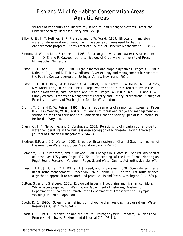sources of variability and uncertainty in natural and managed systems. American Fisheries Society, Bethesda, Maryland. 276 p.

- Bilby, R. E., J. T. Heffner, B. R. Fransen, and J. W. Ward. 1999. Effects of immersion in water on deterioration of wood from five species of trees used for habitat enhancement projects. North American Journal of Fisheries Management 19:687-695.
- Binford, M. W. and M. J. Becheneau. 1993. Riparian greenways and water resources. In: Smith, D. S. and P. Cawood, editors. Ecology of Greenways, University of Press. Minneapolis, Minnesota.
- Bisson, P. A., and R. E. Bilby. 1998. Organic matter and trophic dynamics. Pages 373-398 in Naiman, R. J., and R. E. Bilby, editors. River ecology and management: lessons from the Pacific Coastal ecoregion. Springer-Verlag, New York. 705 p.
- Bisson, P. A., R. E. Bilby, M. D. Bryant, C. A. Dolloff, G. B. Grette, R. A. House, M. L. Murphy, K V. Koski, and J. R. Sedell. 1987. Large woody debris in forested streams in the Pacific Northwest, past, present, and future. Pages 143-190 in Salo, E. O. and T. W. Cundy editors. *Streamside Management: Forestry and Fishery Interactions*. College of Forestry, University of Washington: Seattle, Washington.
- Bjornn, T. C., and D. W. Reiser. 1991. Habitat requirements of salmonids in streams. Pages 83-138 in Meehan, W. R., editor. Influences of forest and rangeland management on salmonid fishes and their habitats. American Fisheries Society Special Publication 19, Bethesda, Maryland.
- Blann, K., J. F. Nerbonne, and B. Vondracek. 2003. Relationship of riparian buffer type to water temperature in the Driftless Area ecoregion of Minnesota. North American Journal of Fisheries Management 22:441-451.
- Bledsoe, B.P. and C.C. Watson. 2001. Effects of Urbanization on Channel Stability. Journal of the American Water Resources Association 37(2):255-270.
- Blomberg, G., C. Simenstad, and P. Hickey. 1988. Changes in Duwamish River estuary habitat over the past 125 years. Pages 437-454 In: Proceedings of the First Annual Meeting on Puget Sound Research. Volume II. Puget Sound Water Quality Authority, Seattle, WA.
- Boesch, D. F., J. Burger, C. F. D'Elia, D. J. Reed, and D. Sacavia. 2000. Scientific synthesis in estuarine management. Pages 507-526 in Hobbie, J. E., editor. Estuarine science: a synthetic approach to research and practice. Island Press, Washington D.C. 539 p.
- Bolton, S., and J. Shelberg. 2001. Ecological issues in floodplains and riparian corridors. White paper prepared for Washington Department of Fisheries, Washington Department of Ecology and Washington Department of Transportation, Olympia, Washington. 88 p + appendix.
- Booth, D. B. 1990c. Stream-channel incision following drainage-basin urbanization. Water Resources Bulletin 26:407-417.
- Booth, D. B. 1991. Urbanization and the Natural Drainage System Impacts, Solutions and Progress. Northwest Environmental Journal 7(1): 93-118.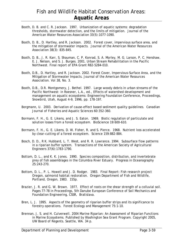- Booth, D. B. and C. R. Jackson. 1997. Urbanization of aquatic systems: degradation thresholds, stormwater detection, and the limits of mitigation. Journal of the American Water Resources Association 33(5):1077-1090.
- Booth, D. B., D. Hartley, and R. Jackson. 2002. Forest cover, impervious surface area, and the mitigation of stormwater impacts. Journal of the American Water Resources Association 38(3): 835-845.
- Booth, D. B., J. R. Karr, S. Shauman, C. P. Konrad, S. A. Morley, M. G. Larson, P. C. Henshaw, E. J. Nelson, and S. J. Burges. 2001. Urban Stream Rehabilitation in the Pacific Northwest. Final report of EPA Grant R82-5284-010.
- Booth, D.B., D. Hartley, and R. Jackson. 2002. Forest Cover, Impervious-Surface Area, and the Mitigation of Stormwater Impacts. Journal of the American Water Resources Association. Vol 38, No. 3.
- Booth, D.B., D.R. Montgomery, J. Bethel. 1997. Large woody debris in urban streams of the Pacific Northwest: in Roesner, L.A., ed., Effects of watershed development and management on aquatic ecosystems: Engineering Foundation Conference, Proceedings, Snowbird, Utah, August 4–9, 1996, pp. 178-197.
- Borgmann, U. 2003. Derivation of cause-effect based sediment quality guidelines. Canadian Journal of Fisheries and Aquatic Sciences 60:352-360.
- Bormann, F. H., G. E. Likens, and J. S. Eaton. 1969. Biotic regulation of particulate and solution losses from a forest ecosystem. BioScience 19:600-610.
- Bormann, F. H., G. E. Likens, D. W. Fisher, R. and S. Pierce. 1968. Nutrient loss accelerated by clear-cutting of a forest ecosystem. Science 159:882-884.
- Bosch, D. D., R K. Hubbard, L. T. West, and R. R. Lowrance. 1994. Subsurface flow patterns in a riparian buffer system. Transactions of the American Society of Agricultural Engineers 37(6):1783-1790.
- Bottom, D. L., and K. K. Jones. 1990. Species composition, distribution, and invertebrate prey of fish assemblages in the Columbia River Estuary. Progress in Oceanography 25:243-270.
- Bottom, D. L., P. L. Howell and J. D. Rodger. 1983. Final Report: Fish research project Oregon, salmonid habitat restoration. Oregon Department of Fish and Wildlife, Portland, Oregon, 1983. 155p.
- Brazier, J. R. and G. W. Brown. 1977. Effect of roots on the shear strength of a colluvial soil. Pages 77-78 in Proceedings, 5th Danube European Conference of Soil Mechanics and Foundation Engineering, CSSR, Bratislava.
- Bren, L. J. 1995. Aspects of the geometry of riparian buffer strips and its significance to forestry operations. Forest Ecology and Management 75:1-10.
- Brennan, J. S. and H. Culverwell. 2004 Marine Riparian: An Assessment of Riparian Functions in Marine Ecosystems. Published by Washington Sea Grant Program. Copyright 2005, UW Board of Regents. Seattle, WA. 34 p.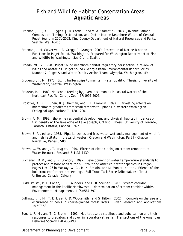- Brennan, J. S., K. F. Higgins, J. R. Cordell, and V. A. Stamatiou. 2004. Juvenile Salmon Composition, Timing, Distribution, and Diet in Marine Nearshore Waters of Central Puget Sound in 2001-2002. King County Department of Natural Resources and Parks, Seattle, Wa. 164pp.
- Brennan,J., H. Culverwell, R. Gregg, P. Granger. 2009. Protection of Marine Riparian Functions in Puget Sound, Washington. Prepared for Washington Department of Fish and Wildlife by Washington Sea Grant, Seattle.
- Broadhurst, G. 1998. Puget Sound nearshore habitat regulatory perspective: a review of issues and obstacles. Puget Sound /Georgia Basin Environmental Report Series: Number 7, Puget Sound Water Quality Action Team, Olympia, Washington. 49 p.
- Broderson, J. M. 1973. Sizing buffer strips to maintain water quality. Thesis. University of Washington, Seattle, Washington.
- Brodeur, R.D. 1989. Neustonic feeding by juvenile salmonids in coastal waters of the Northeast Pacific. *Can. J. Zool*. 67:1995-2007.
- Brosofke, K. D., J. Chen, R. J. Naiman, and J. F. Franklin. 1997. Harvesting effects on microclimate gradients from small streams to uplands in western Washington. Ecological Applications 7:1188-1200.
- Brown, A. M. 1998. Shoreline residential development and physical habitat influences on fish density at the lake edge of Lake Joseph, Ontario. Thesis, University of Toronto, Toronto, Ontario, Canada. 74 p.
- Brown, E. R., editor. 1985. Riparian zones and freshwater wetlands. management of wildlife and fish habitats in forests of western Oregon and Washington, Part I - Chapter Narrative, Pages 57-80.
- Brown, G. W. and J. T. Krygier. 1970. Effects of clear-cutting on stream temperature. Water Resource Research 6:1131-1139.
- Buchanan, D. V., and S. V. Gregory. 1997. Development of water temperature standards to protect and restore habitat for bull trout and other cold water species in Oregon. Pages 119-126 in Mackay, W. C., M. K. Brewin, and M. Monita, editors. Friends of the bull trout conference proceedings. Bull Trout Task Force (Alberta), c/o Trout Unlimited Canada, Calgary.
- Budd, W. W., P. L. Cohen, P. R. Saunders, and F. R. Steiner. 1987. Stream corridor management in the Pacific Northwest: 1. determination of stream corridor widths. Environmental Management, 11(5):587-597.
- Buffington, J. M., T. E. Lisle, R. D. Woodsmith, and S. Hilton. 2002. Controls on the size and occurrence of pools in coarse-grained forest rivers. River Research and Applications 18:507-531.
- Bugert, R. M., and T. C. Bjornn. 1991. Habitat use by steelhead and coho salmon and their responses to predators and cover in laboratory streams. Transactions of the American Fisheries Society 120:486-493.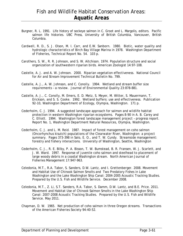- Burgner, R. L. 1991. Life history of sockeye salmon in C. Groot and L. Margolis, editors. Pacific salmon life histories. UBC Press, University of British Columbia, Vancouver, British Columbia.
- Cardwell, R. D., S. J. Olson, M. I. Carr, and E.W. Sanborn. 1980. Biotic, water quality and hydrologic characteristics of Birch Bay Village Marina in 1978. Washington Department of Fisheries, Technical Report No. 54. 103 p.
- Carothers, S. W., R. R. Johnson, and S. W. Aitchison. 1974. Population structure and social organization of southwestern riparian birds. American Zoologist 14:97-108.
- Castelle, A. J. and A. W. Johnson. 2000. Riparian vegetation effectiveness. National Council for Air and Stream Improvement Technical Bulletin No. 799.
- Castelle, A. J., A. W. Johnson, and C. Conolly. 1994. Wetland and stream buffer size requirements – a review. Journal of Environmental Quality 23:878-881.
- Castelle, A. J., C. Conolly, M. Emers, E. D. Metz, S. Meyer, M. Witter, S. Mauermann, T. Erickson, and S. S. Cooke. 1992. Wetland buffers: use and effectiveness. Publication 92-10, Washington Department of Ecology, Olympia, Washington. 171 p.
- Cederholm, C. J. 1994. A suggested landscape approach for salmon and wildlife habitat protection in western Washington riparian ecosystems. Pages 8-90 in A. B. Carey and C. Elliott. 1994. Washington forest landscape management project – progress report. Report No. 1, Washington Department Natural Resources, Olympia, Washington.
- Cederholm, C. J. and L. M. Reid. 1987. Impact of forest management on coho salmon (Oncorhynchus kisutch) populations of the Clearwater River, Washington: a project summary. Pages 373-398 in Salo, E. O., and T. W. Cundy. Streamside management: forestry and fishery interactions. University of Washington, Seattle, Washington
- Cederholm, C. J., R. E. Bilby, P. A. Bisson, T. W. Bumstead, B. R. Fransen, W. J. Scarlett, and J. W. Ward. 1997. Response of juvenile coho salmon and steelhead to placement of large woody debris in a coastal Washington stream. North American Journal of Fisheries Management 17:947-963.
- Celedonia, M.T., R.A. Tabor, S. Sanders, D.W. Lantz, and I. Grettenberger. 2008. Movement and Habitat Use of Chinook Salmon Smolts and Two Predatory Fishes in Lake Washington and the Lake Washington Ship Canal: 2004-2005 Acoustic Tracking Studies. Prepared by the U.S. Fish and Wildlife Service. December 2008.
- Celedonia, M.T., Z. Li, S.T. Sanders, R.A. Tabor, S. Damm, D.W. Lantz, and B.E. Price. 2011. Movement and Habitat Use of Chinook Salmon Smolts in the Lake Washington Ship Canal: 2007-2008 Acoustic Tracking Studies. Prepared by the U.S. Fish and Wildlife Service. May 2011.
- Chapman, D. W. 1965. Net production of coho salmon in three Oregon streams. Transactions of the American Fisheries Society 94:40-52.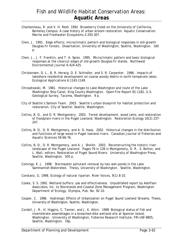- Charbonneau, R. and V. H. Resh. 1992. Strawberry Creek on the University of California, Berkeley Campus: A case history of urban stream restoration. Aquatic Conservation: Marine and Freshwater Ecosystems 2:293-307.
- Chen, J. 1991. Edge effects: microclimatic pattern and biological responses in old-growth Douglas-fir forests. Dissertation, University of Washington, Seattle, Washington. 160 p.
- Chen, J., J. F. Franklin, and T. A. Spies. 1995. Microclimatic pattern and basic biological responses at the clearcut edges of old-growth Douglas-fir stands. Northwest Environmental Journal 6:424-425.
- Christensen, D. L., B. R. Herwig, D. E. Schindler, and S. R. Carpenter. 1996. Impacts of lakeshore residential development on coarse woody debris in north temperate lakes. Ecological Applications 6:1143-1149.
- Chrzastowski, M. 1981. Historical changes to Lake Washington and route of the Lake Washington Ship Canal, King County Washington. Open-File Report 81-1182, U.S. Geological Survey, Tacoma, Washington. 9 p.
- City of Seattle's Salmon Team. 2003. Seattle's urban blueprint for habitat protection and restoration. City of Seattle: Seattle, Washington.
- Collins, B. D., and D. R. Montgomery. 2002. Forest development, wood jams, and restoration of floodplain rivers in the Puget Lowland, Washington. Restoration Ecology 10(2):237- 247.
- Collins, B. D., D. R. Montgomery, and A. D. Haas. 2002. Historical changes in the distribution and functions of large wood in Puget lowland rivers. Canadian Journal of Fisheries and Aquatic Sciences 59:66-76.
- Collins, B. D., D. R. Montgomery, and A. J. Sheikh. 2003. Reconstructing the historic river landscape of the Puget Lowland. Pages 79 in 128 in Montgomery, D. R., S. Bolton, and L. Wall, editors. Restoration of Puget Sound Rivers. University of Washington Press, Seattle, Washington. 505 p.
- Comings, K. J. 1998. Stormwater pollutant removal by two wet-ponds in the Lake Sammamish Watershed. Thesis, University of Washington. Seattle, Washington.
- Constanz, G. 1998. Ecology of natural riparian. River Voices, 9(1) 8-10.
- Cooke, S. S. 1992. Wetland buffers: use and effectiveness. Unpublished report by Adolfson Associates, Inc. to Shorelands and Coastal Zone Management Program, Washington Department of Ecology, Olympia, Pub. No. 92-10.
- Cooper, C. 1996. Hydrologic Effects of Urbanization on Puget Sound Lowland Streams. Thesis, University of Washington, Seattle, Washington.
- Cordell, J. R., H. Higgins, C. Tanner, and J. K. Atkin. 1998 Biological status of fish and invertebrate assemblages in a breached-dike wetland site at Spencer Island, Washington. University of Washington, Fisheries Research Institute, FRI-UW-9805, Seattle, Washington. 19p.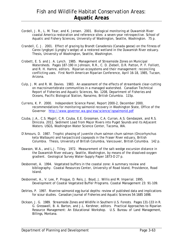- Cordell, J. R., L. M. Tear, and K. Jensen. 2001. Biological monitoring at Duwamish River coastal America restoration and reference sites: a seven-year retrospective. School of Aquatic and Fishery Sciences, University of Washington, Seattle, Washington. 75 p.
- Crandell, C. J. 2001. Effect of grazing by Brandt Canadensis (Canada geese) on the fitness of Carex lyngbyei (Lyngby's sedge) at a restored wetland in the Duwamish River estuary. Thesis, University of Washington, Seattle, Washington.
- Crobett, E. S. and J. A. Lynch. 1985. Management of Streamside Zones on Municipal Watersheds. Pages 187-190 in Johnson, R.R., C. D. Ziebell, D.R. Patton, P. F. Folliott, and R. H. Hamre, editors. Riparian ecosystems and their management: reconciling conflicting uses. First North American Riparian Conference, April 16-18, 1985, Tucson, Arizona.
- Culp, J. M. and R. W. Davies. 1983. An assessment of the effects of streambank clear-cutting on macroinvertebrate communities in a managed watershed. Canadian Technical Report of Fisheries and Aquatic Sciences, No. 1208, Department of Fisheries and Oceans, Pacific Biological Station, Nanaimo, British Columbia. 115p.
- Currens, K. P. 2000. Independent Science Panel, Report 2000-2, December 2000, recommendations for monitoring salmonid recovery in Washington State, Office of the Governor http://www.governor.wa.gov/esa/science/ispsalmonid.pdf
- Czuba, J.A., C.S. Magirl, C.R. Czuba, E.E. Grossman, C.A. Curran, A.S. Gendaszek, and R.S. Dinicola. 2011. Sediment Load from Major Rivers into Puget Sounds and its Adjacent Waters. USGS, Washington Water Science Center, Tacoma, WA.
- D'Amours, D. 1987. Trophic phasing of juvenile chum salmon chum salmon (Oncorhynchus keta Walbaum) and harpacticoid copepods in the Fraser River estuary, British Columbia. Thesis, University of British Columbia, Vancouver, British Columbia. 142 p.
- Dawson, W.A., and L.J. Tilley. 1972. Measurement of the salt-wedge excursion distance in the Duwamish River estuary, Seattle, Washington, by means of the dissolved-oxygen gradient. Geological Survey Water-Supply Paper 1873-D 27 p.
- Desbonnet, A. 1994. Vegetated buffers in the coastal zone: A summary review and bibliography. Coastal Resources Center, University of Road Island, Providence, Road Island.
- Desbonnet, A., V. Lee, P. Progue, D. Reis, J. Boyd, J. Willis and M. Imperial. 1995. Development of Coastal Vegetated Buffer Programs. Coastal Management 23: 91-109.
- DeVries, P. 1997. Riverine salmonid egg burial depths: review of published data and implications for scour studies. Canadian Journal of Fisheries and Aquatic Sciences 54:1685 1698.
- Dickson, J. G. 1989. Streamside Zones and Wildlife in Southern U.S. Forests. Pages 131-133 in R. G. Gresswell, B. A. Barton, and J.L. Kershner, editors. Practical Approaches to Riparian Resource Management: An Educational Workshop. U.S. Bureau of Land Management, Billings, Montana.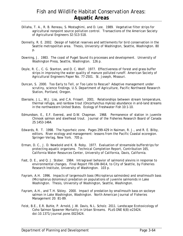- Dillaha, T. A., R. B. Reneau, S. Mostaghimi, and D. Lee. 1989. Vegetative filter strips for agricultural nonpoint source pollution control. Transactions of the American Society of Agricultural Engineers 32:513-518.
- Donnelly, R. E. 2002. Design of habitat reserves and settlements for bird conservation in the Seattle metropolitan area. Thesis, University of Washington, Seattle, Washington. 80 p.
- Downing, J. 1983. The coast of Puget Sound its processes and development. University of Washington Press, Seattle, Washington. 126 p.
- Doyle, R. C., C. G. Stanton, and D. C. Wolf. 1977. Effectiveness of forest and grass buffer strips in improving the water quality of manure polluted runoff. American Society of Agricultural Engineers Paper No. 77-2501. St. Joseph, Missouri.
- Duncan, S. 2000. Too Early to Tell, or Too Late to Rescue? Adaptive management under scrutiny, science findings. U.S. Department of Agriculture, Pacific Northwest Research Station, Portland, Oregon.
- Ebersole, J.L., W.J. Liss, and C.A. Frissell. 2001. Relationships between stream temperature, thermal refugia, and rainbow trout (*Oncorhynchus mykiss*) abundance in arid-land streams in the northwestern United States. Ecology of Freshwater Fish 10:1-10.
- Edmundson, E., E.F. Everest, and D.W. Chapman. 1968. Permanence of station in juvenile Chinook salmon and steelhead trout. Journal of the Fisheries Research Board of Canada 25:1453-1464.
- Edwards, R. T. 1998. The hyporheic zone. Pages 299-429 in Naiman, R. J., and R. E. Bilby, editors. River ecology and management: lessons from the Pacific Coastal ecoregion. Springer-Verlag, New York. 705 p.
- Erman, D. C., J. D. Newbold and K. B. Roby. 1977. Evaluation of streamside bufferstrips for protecting aquatic organisms. Technical Completion Report, Contribution 165, California Water Resources Center, University of California, Davis, California.
- Fast, D. E., and Q. J. Stober. 1984. Intragravel behavior of salmonid alevins in response to environmental changes. Final Report FRI-UW-8414, to City of Seattle, by Fisheries Research Institute, University of Washington. 103 p.
- Fayram, A.H. 1996. Impacts of largemouth bass (Micropterus salmoides) and smallmouth bass (Micropterus dolomieui) predation on populations of juvenile salmonids in Lake Washington. Thesis, University of Washington, Seattle, Washington.
- Fayram, A.H., and T.H. Sibley. 2000. Impact of predation by smallmouth bass on sockeye salmon in Lake Washington, Washington. North American Journal of Fisheries Management 20: 81-89.
- Feist, B.E., E.R. Buhle, P. Arnold, J.W. Davis, N.L. Scholz. 2011. Landscape Ecotoxicology of Coho Salmon Spawner Mortality in Urban Streams. PLoS ONE 6(8):e23424. doi:10.1371/journal.pone.0023424.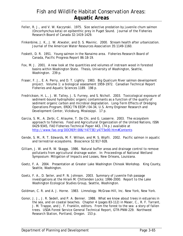- Feller, R. J., and V. W. Kaczynski. 1975. Size selective predation by juvenile chum salmon (Oncorhynchus keta) on epibenthic prey in Puget Sound. Journal of the Fisheries Research Board of Canada 32:1419-1429.
- Finkenbine, J. K., J. W. Atwater, and D. S. Mavinic. 2000. Stream health after urbanization. Journal of the American Water Resources Association 35:1149-1160.
- Foskett, D. R. 1951. Young salmon in the Nanaimo area. Fisheries Research Board of Canada, Pacific Progress Report 86:18-19.
- Fox, M. J. 2001. A new look at the quantities and volumes of instream wood in forested basins within Washington State. Thesis, University of Washington, Seattle, Washington. 239 p.
- Fraser, F. J., E. A. Perry, and D. T. Lightly. 1983. Big Qualicum River salmon development project. Volume 1: a biological assessment 1959-1972. Canadian Technical Report Fisheries and Aquatic Sciences 1189. 198 p.
- Fredrickson, H. L., J. W. Talley, J. S. Furney, and S. Nicholl. 2003. Toxicological exposure of sediment-bound hydrophobic organic contaminants as a function of the quality of sediment organic carbon and microbial degradation. Long-Term Effects of Dredging Operations Program, ERDC/TN EEDP-/04-34, U.S. Army Engineer Research and Development Center, Vicksburg, Mississippi. 17 p.
- Garcia, S. M., A. Zerbi, C. Aliaume, T. Do Chi, and G. Lasserre. 2003. The ecosystem approach to fisheries. Food and Agricultural Organization of the United Nations, ISSN 0429-9345, FAO Fisheries Technical Paper 443, (74 p.) available at http://www.fao.org/DOCREP/006/Y4773E/y4773e00.htm#Contents
- Gende, S. M., R. T. Edwards, M. F. Willson, and M. S. Wipfli. 2002. Pacific salmon in aquatic and terrestrial ecosystems. Bioscience 52:917-928.
- Gilliam, J. W. and R. W. Skaggs. 1986. Natural buffer areas and drainage control to remove pollutants from agricultural drainage water. In: Proceedings of National Wetland Symposium: Mitigation of Impacts and Losses, New Orleans, Louisiana.
- Goetz, F. A. 2004. Presentation at Greater Lake Washington Chinook Workshop. King County, Seattle, Washington.
- Goetz, F. A., D. Seiler, and P. N. Johnson. 2003. Summary of juvenile fish passage investigations at the Hiram M. Chittenden Locks: 1996-2000. Report to the Lake Washington Ecological Studies Group, Seattle, Washington.
- Goldman, C. R. and A. J. Horne. 1983. Limnology. McGraw-Hill, Inc. New York, New York.
- Gonor, J. J., J. R. Sedell, and P. A. Benner. 1988. What we know about trees in estuaries in the sea, and on coastal beaches. Chapter 4 (pages 83-112) in Maser, C., R. F. Tarrant, J. M. Trappe, and J. F. Franklin, editors. From the forest to the sea: a story of fallen trees. USDA Forest Service General Technical Report, GTR-PNW-229. Northwest Research Station, Portland, Oregon. 153 p.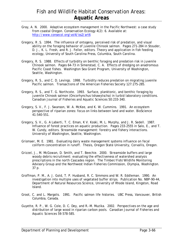- Gray, A. N. 2000. Adaptive ecosystem management in the Pacific Northwest: a case study from coastal Oregon. Conservation Ecology 4(2): 6. Available at: http://www.consecol.org/vol4/iss2/art6
- Gregory, R .S. 1994. The influence of ontogeny, perceived risk of predation, and visual ability on the foraging behavior of juvenile Chinook salmon. Pages 271-284 in Stouder, D. J., K. L. Fresh, and R. J. Feller, editors. Theory and application in fish feeding ecology, University of South Carolina Press, Columbia, South Carolina.
- Gregory, R. S. 1988. Effects of turbidity on benthic foraging and predation risk in juvenile Chinook salmon. Pages 64-73 in Simenstad, C. A. Effects of dredging on anadromous Pacific Coast fishes. Washington Sea Grant Program, University of Washington, Seattle, Washington.
- Gregory, R. S., and C. D. Levings. 1998. Turbidity reduces predation on migrating juvenile Pacific salmon. Transactions of the American Fisheries Society 127:275-285.
- Gregory, R. S., and T. G. Northcote. 1993. Surface, planktonic, and benthic foraging by juvenile Chinook salmon (Oncorhynchus tshawytscha) in turbid laboratory conditions. Canadian Journal of Fisheries and Aquatic Sciences 50:233-340.
- Gregory, S. V., F. J. Swanson, W. A. McKee, and K. W. Cummins. 1991. An ecosystem perspective of riparian zones: focus on links between land and water. BioScience 41:540-551.
- Gregory, S. V., G. A Laberti, T. C. Eman, K V. Koski, M. L. Murphy, and J. R. Sedell. 1987. Influence of forest practices on aquatic production. Pages 233-2555 in Salo, E., and T. W. Cundy, editors. Streamside management: forestry and fishery interactions. University of Washington, Seattle, Washington.
- Grismaer, M. E. 1981. Evaluating dairy waste management systems influence on fecal coliform concentration in runoff. Thesis, Oregon State University, Corvallis, Oregon.
- Grizzel, J., M. McGowan, D. Smith, and T. Beechie. 2000. Streamside buffers and large woody debris recruitment: evaluating the effectiveness of watershed analysis prescriptions in the north Cascades region. The Timber/Fish/Wildlife Monitoring Advisory Group and the Northwest Indian Fisheries Commission, Olympia, Washington. 37 p.
- Groffman, P. M., A. J. Gold, T. P. Husband, R. C. Simmons and W. R. Eddleman. 1990. An investigation into multiple uses of vegetated buffer strips. Publication No. NBP-90-44, Department of Natural Resources Science, University of Rhode Island, Kingston, Road Island.
- Groot, C. and L. Margolis. 1991. Pacific salmon life histories. UBC Press, Vancouver, British Columbia, Canada.
- Guyette, R. P., W. G. Cole, D. C. Dey, and R.-M. Muzika. 2002. Perspectives on the age and distribution of large wood in riparian carbon pools. Canadian Journal of Fisheries and Aquatic Sciences 59:578-585.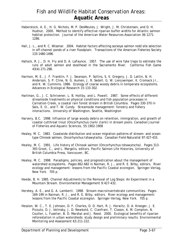- Haberstock, A. E., H. G. Nichols, M. P. DesMeules, J. Wright, J. M. Christensen, and D. H. Hudnut. 2000. Method to identify effective riparian buffer widths for Atlantic salmon habitat protection. Journal of the American Water Resources Association 36:1271- 1286.
- Hall, J. L., and R. C. Wissmar. 2004. Habitat factors affecting sockeye salmon redd site selection in off-channel ponds of a river floodplain. Transactions of the American Fisheries Society 133:1480-1496.
- Hallock, R. J., D. H. Fry and D. A. LaFaunce. 1957. The use of wire fyke traps to estimate the runs of adult salmon and steelhead in the Sacramento River. California Fish Game 43(4):271-298.
- Harmon, M. E., J. F. Franklin, F. J. Swanson, P. Sollins, S. V. Gregory, J. D. Lattin, N. H. Anderson, S. P. Cline, N. G. Aumen, J. R. Sedell, G. W. Lienjaemper, K. Cromack Jr., and K. W. Cummins. 1986. Ecology of coarse woody debris in temperate ecosystems. Advances in Ecological Research 15:133-302.
- Hartman, G., J. C. Schrivener, L. B. Holtby, and L. Powell. 1987. Some effects of different streamside treatments on physical conditions and fish population processes in Carnation Creek, a coastal rain forest stream in British Columbia. Pages 330-370 in Salo, E. O., and T. W. Cundy. Streamside management: forestry and fishery interactions. University of Washington, Seattle, Washington
- Harvery, B.C. 1998. Influence of large woody debris on retention, immigration, and growth of coastal cutthroat trout (*Oncorhynchus clarki clarki*) in stream pools. Canadian Journal of Fisheries and Aquatic Sciences. 55:1902-1908
- Healey, M. C. 1983. Coastwide distribution and ocean migration patterns of stream- and oceantype Chinook salmon, *Oncorhynchus tshawytscha*. Canadian Field-Naturalist 97:427-433.
- Healey, M. C. 1991. Life history of Chinook salmon (Oncorhynchus tshawytscha). Pages 313- 393 Groot, C., and L. Margolis, editors. Pacific Salmon Life Histories, University of British Columbia Press, Vancouver, BC.
- Healey, M. C. 1998. Paradigms, policies, and prognostication about the management of watershed ecosystems. Pages 662-682 in Naiman, R. J., and R. E. Bilby, editors. River ecology and management: lessons from the Pacific Coastal ecoregion. Springer-Verlag, New York. 705 p.
- Heede, B. H. 1985. Channel Adjustments to the Removal of Log Steps: An Experiment in a Mountain Stream. Environmental Management 9:427-432.
- Hershey, A. E., and G. A. Lamberti. 1998. Stream macroinvertebrate communities. Pages 169-199 in Naiman, R. J., and R. E. Bilby, editors. River ecology and management: lessons from the Pacific Coastal ecoregion. Springer-Verlag, New York. 705 p.
- Hession, W. C., T. E. Johnson, D. F. Charles, D. D. Hart, R. J. Horwitz, D. A. Kreeger, J. E. Pizzuto, D. J. Velinsky, J. D. Newbold, C. Cianfrani, T. Clason, A. M. Compton, N. Coulter, L. Fuselier, B. D. Marshal and J. Reed. 2000. Ecological benefits of riparian reforestation in urban watersheds: study design and preliminary results. Environmental Monitoring and Assessment 63:211-222.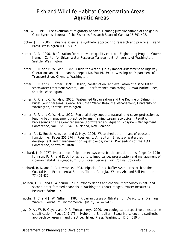- Hoar, W. S. 1958. The evolution of migratory behaviour among juvenile salmon of the genus Oncorhynchus. Journal of the Fisheries Research Board of Canada 15:391-428.
- Hobbie, J. E. 2000. Estuarine science: a synthetic approach to research and practice. Island Press, Washington D.C. 539 p.
- Horner, R. R. 1996. Biofiltration for stormwater quality control. Engineering Program Course Manual, Center for Urban Water Resource Management, University of Washington, Seattle, Washington.
- Horner, R. R. and B. W. Mar. 1982. Guide for Water Quality Impact Assessment of Highway Operations and Maintenance. Report No. WA-RD-39.14, Washington Department of Transportation, Olympia, Washington.
- Horner, R. R. and C. Horner. 1995. Design, construction, and evaluation of a sand filter stormwater treatment system, Part II, performance monitoring. Alaska Marine Lines, Seattle, Washington.
- Horner, R. R. and C. W. May. 2000. Watershed Urbanization and the Decline of Salmon in Puget Sound Streams. Center for Urban Water Resource Management, University of Washington, Seattle, Washington.
- Horner, R. R. and C. W. May. 1999. Regional study supports natural land cover protection as leading bet management practice for maintaining stream ecological integrity. Proceedings of The Comprehensive Stormwater and Aquatic Ecosystem Management Conference, Vol. 1:233-247. Auckland, New Zealand.
- Horner, R., D. Booth, A. Azous, and C. May. 1996. Watershed determinant of ecosystem functioning. Pages 251-274 in Roesner, L. A., editor. Effects of watershed development and management on aquatic ecosystems. Proceedings of the ASCE Conference, Snowbird, Utah.
- Hubbard, J. P. 1977. Importance of riparian ecosystems: biotic considerations. Pages 14-19 in Johnson, R. R., and D. A. Jones, editors. Importance, preservation and management of riparian habitat: a symposium. U.S. Forest Service, Fort Collins, Colorado.
- Hubbard, R. K. and R. R. Lowrance. 1994. Riparian forest buffer system research at the Coastal Plain Experimental Station, Tifton, Georgia. Water, Air, and Soil Pollution 77:409-432.
- Jackson, C. R., and C. A. Sturm. 2002. Woody debris and channel morphology in fist- and second-order forested channels in Washington's coast ranges. Water Resources Research 38(9):1-14.
- Jacobs, T. C. and J. W. Gilliam. 1985. Riparian Losses of Nitrate from Agricultural Drainage Waters. Journal of Environmental Quality 14: 472-478.
- Jay, D. A., W. R. Geyer, and D. R. Montgomery. 2000. An ecological perspective on estuarine classification. Pages 149-176 in Hobbie, J. E., editor. Estuarine science: a synthetic approach to research and practice. Island Press, Washington D.C. 539 p.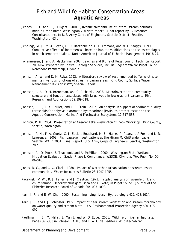- Jeanes, E. D., and P. J. Hilgert. 2001. Juvenile salmonid use of lateral stream habitats middle Green River, Washington 200 data report. Final report by R2 Resource Consultants, Inc. to U.S. Army Corps of Engineers, Seattle District, Seattle, Washington. 63 p.
- Jennings, M. J., M. A. Bozek, G. R. Hatzenbeler, E. E. Emmons, and M. D. Staggs. 1999. Cumulative effects of incremental shoreline habitat modifications on fish assemblages in north temperate lakes. North American Journal of Fisheries Management 19:18-27.
- Johannessen, J. and A. MacLennan 2007. Beaches and Bluffs of Puget Sound. Technical Report 2007-04. Prepared by Coastal Geologic Services, Inc. Bellingham WA for Puget Sound Nearshore Partnership, Olympia.
- Johnson, A. W. and D. M. Ryba. 1992. A literature review of recommended buffer widths to maintain various functions of stream riparian areas. King County Surface Water Management Division (SWM) Special Report.
- Johnson, L. B., D. H. Breneman, and C. Richards. 2003. Macroinvertebrate community structure and function associated with large wood in low gradient streams. River Research and Applications 19:199-218.
- Johnson, L. L., T. K. Collier, and J. E. Stein. 2002. An analysis in support of sediment quality thresholds for polycyclic aromatic hydrocarbons (PAHs) to protect estuarine fish. Aquatic Conservation: Marine And Freshwater Ecosystems 12:517-538.
- Johnson, P. N. 2004. Presentation at Greater Lake Washington Chinook Workshop. King County, Seattle, Washington.
- Johnson, P. N., F. A. Goetz, C. J. Ebel, K Bouchard, M. E., Hanks, P. Pearson, A Fox, and L. R. Lawrence. 2003. Fish passage investigations at the Hiram M. Chittenden Lacks, Seattle, WA in 2001. Final Report, U.S. Army Corps of Engineers, Seattle, Washington. 78 p.
- Johnson, P., D. Mock, E. Teachout, and A. McMillan. 2000. Washington State Wetland Mitigation Evaluation Study: Phase I, Compliance. WSDOE, Olympia, WA. Publ. No. 00- 06-016.
- Jones, R. C., and C. C. Clark. 1988. Impact of watershed urbanization on stream insect communities. Water Resources Bulletin 23:1047-1055.
- Kaczynski, V. W., R. J. Feller, and J. Clayton. 1973. Trophic analysis of juvenile pink and chum salmon (Oncorhynchus gorbuscha and O. keta) in Puget Sound. Journal of the Fisheries Research Board of Canada 30:1003-1008.
- Karr, J. R. and E. W. Chu. 2000. Sustaining living rivers. Hydrobiologia 422/423:1014.
- Karr, J. R. and I. J. Schlosser. 1977. Impact of near stream vegetation and stream morphology on water quality and stream biota. U.S. Environmental Protection Agency 600-3-77- 097.
- Kauffman, J. B., M. Mahrt, L. Mahrt, and W. D. Edge. 2001. Wildlife of riparian habitats. Pages 361-388 in Johnson, D. H., and T. A. O'Neil editors. Wildlife-habitat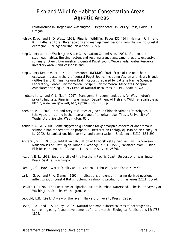relationships in Oregon and Washington. Oregon State University Press, Corvallis, Oregon.

- Kelsey, K. A., and S. D. West. 1998. Riparian Wildlife. Pages 430-454 in Naiman, R. J., and R. E. Bilby, editors. River ecology and management: lessons from the Pacific Coastal ecoregion. Springer-Verlag, New York. 705 p.
- King County and the Washington State Conservation Commission. 2001. Salmon and steelhead habitat limiting factors and reconnaissance assessment report: executive summary. Green/Duwamish and Central Puget Sound Watersheds. Water Resource Inventory Area 9 and Vashon Island.
- King County Department of Natural Resources (KCDNR). 2001. State of the nearshore ecosystem: eastern shore of central Puget Sound, including Vashon and Maury Islands (WRIAs 8 and 9). Final Review Draft. Report prepared by Battelle Marine Sciences Laboratory, Pentec Environmental, Striplin Environmental Associates, Shapiro Associates for King County Dept. of Natural Resources. KCDNR, Seattle, WA.
- Knutson, K. L., and V. L. Naef. 1997. Management recommendations for Washington's priority habitats: Riparian. Washington Department of Fish and Wildlife, available at http://www.wa.gov/wdf/hab/ripxsum.htm. 181 p.
- Koehler, M. E. 2002. Diet and prey resources of juvenile Chinook salmon (*Oncorhynchus tshawytscha*) rearing in the littoral zone of an urban lake. Thesis, University of Washington, Seattle, Washington. 87 p.
- Kondolf, G. M. 2000. Some suggested guidelines for geomorphic aspects of anadromous salmonid habitat restoration proposals. Restoration Ecology 8(1):48-56.McKinney, M. L. 2002. Urbanization, biodiversity, and conservation. BioScience 51(10):883-890.
- Kostarev, V. L. 1970. Quantitative calculation of Okhotsk keta juveniles. Izv. Tikhookean. Nauchno-Issled. Inst. Rybn. Khnoz. Okeanogr. 71:145-158. (Translated from Russian; Fish Research Board of Canada, Translation Services 2589).
- Kozloff, E. N. 1993. *Seashore Life of the Northern Pacific Coast*. University of Washington Press, Seattle, Washington.
- Lamb, J. C. 1985. Water Quality and Its Control. John Wiley and Sonso New York.
- Larkin, G. A., and P. A. Slaney. 1997. Implications of trends in marine-derived nutrient influx to south coastal British Columbia salmonid production. Fisheries 22(11):16-24.
- Leavitt, J. 1998. The Functions of Riparian Buffers in Urban Watershed. Thesis, University of Washington, Seattle, Washington. 34 p.
- Leopold, L.B. 1994. A view of the river. Harvard University Press. 298 p.
- Levin, L. A., and T. S. Talley. 2002. Natural and manipulated sources of heterogeneity controlling early faunal development of a salt marsh. Ecological Applications 12:1785- 1802.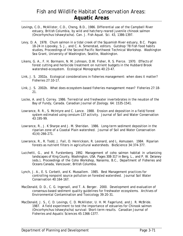- Levings, C.D., McAllister, C.D., Cheng, B.D., 1986. Differential use of the Campbell River estuary, British Columbia, by wild and hatchery-reared juvenile chinook salmon (*Oncorhynchus tshawytscha*). Can. J. Fish Aquat. Sci. 43, 1386–1397.
- Levy, D. A. 1978. Chum salmon in a tidal creek of the Squamish River estuary, B.C. Pages 18-24 in Lipovsky, S. J., and C. A. Simenstad, editors. Gutshop '78 Fish food habits studies, Proceedings of the Second Pacific Northwest Technical Workshop. Washington Sea Grant, University of Washington, Seattle, Washington.
- Likens, G. A., F. H. Bormann, N. M. Johnson, D.W. Fisher, R. S. Pierce. 1970. Effects of forest cutting and herbicide treatment on nutrient budgets in the Hubbard Brook watershed-ecosystem. Ecological Monographs 40:23-47.
- Link, J. S. 2002a. Ecological considerations in fisheries management: when does it matter? Fisheries 27:10-17.
- Link, J. S. 2002b. What does ecosystem-based fisheries management mean? Fisheries 27:18- 21.
- Locke, A. and S. Correy. 1986. Terrestrial and freshwater invertebrates in the neuston of the Bay of Fundy, Canada. Canadian Journal of Zoology. 64: 1535-1541.
- Lowrance, R. R., S. McIntyre and C. Lance. 1988. Erosion and deposition in a field/forest system estimated using censium-137 activity. Journal of Soil and Water Conservation 43:195-99.
- Lowrance, R., J. K Sharpe and J. M. Sheridan. 1986. Long-term sediment deposition in the riparian zone of a Coastal Plain watershed. Journal of Soil and Water Conservation 41(4):266-271.
- Lowrance, R., R. Todd, J. Fail, O. Henrickson, R. Leonard, and L. Asmussen. 1984. Riparian forests as nutrient filters in agricultural watersheds. BioScience 34:374-377.
- Lucchetti, G., and R. Furstenberg. 1992. Management of coho salmon habitat in urbanizing landscapes of King County, Washington, USA. Pages 308-317 in Berg, L., and P. W. Delaney (eds.), Proceedings of the Coho Workshop, Nanaimo, B.C., Department of Fisheries and Oceans Canada, Vancouver, British Columbia.
- Lynch, J. A., E. S. Corbett, and K. Mussallem. 1985. Best Management practices for controlling nonpoint source pollution on forested watershed. Journal Soil Water Conservation 40:164-167.
- MacDonald, D. D., C. G. Ingersoll, and T. A. Berger. 2000. Development and evaluation of consensus-based sediment quality guidelines for freshwater ecosystems. Archives of Environmental Contamination and Toxicology 39:20-31.
- MacDonald, J. S., C. D. Levings, C. D. McAllister, U. H. M. Fagerlund, and J. R. McBride. 1987. A field experiment to test the importance of estuaries for Chinook salmon (Oncorhynchus tshawytscha) survival: Short-term results. Canadian Journal of Fisheries and Aquatic Sciences 45:1366-1377.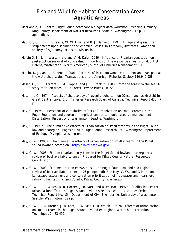- MacDonald, K. Central Puget Sound nearshore biological data workshop. Meeting summary, King County Department of Natural Resources, Seattle, Washington. 16 p. + appendices.
- Madison, C. E., R. L. Blevins, W. W. Frye, and B. J. Barfield. 1992. Tillage and grass filter strip effects upon sediment and chemical losses. In Agronomy Abstracts. American Society of Agronomy, Madison, Wisconsin.
- Martin D. J., L. J. Wasserman, and V. H. Dale. 1986. Influence of Riparian vegetation on posteruption survival of coho salmon fingerlings on the west-side streams of Mount St. Helens, Washington. North American Journal of Fisheries Management 6:1-8.
- Martin, D. J., and L. E. Benda. 2001. Patterns of instream wood recruitment and transport at the watershed scale. Transactions of the American Fisheries Society 130:940-958.
- Maser, C., R. F. Tarrant, J. M. Trappe, and J. F. Franklin. 1988. From the forest to the sea: A story of fallen trees. USDA Forest Service PNW-GTR-229.
- Mason, J. C. 1974. Aspects of the ecology of juvenile coho salmon (Oncorhynchus kisutch) in Great Central Lake, B.C. Fisheries Research Board of Canada, Technical Report 438. 7 p.
- May, C. 1996. Assessment of cumulative effects of urbanization on small streams in the Puget Sound lowland ecoregion: implications for salmonid resource management. Dissertation, University of Washington, Seattle, Washington.
- May, C. 1998b. The cumulative effects of urbanization on small streams in the Puget Sound lowland ecoregion. Pages 51-70 in Puget Sound Research '98, Washington Department of Ecology, Olympia, Washington.
- May, C. W. 1998a. The cumulative effects of urbanization on small streams in the Puget Sound lowland ecoregion. http://www.psat.wa.gov/
- May, C. W. 2003. Stream-riparian ecosystems in the Puget Sound lowland eco-region: a review of best available science. Prepared for Kitsap County Natural Resources Coordinator.
- May, C. W. 2003. Streams-riparian ecosystems in the Puget Sound lowland eco-region, a review of best available science. 76 p. Appendix E in May, C. W., and G Peterson, Landscape assessment and conservation prioritization of freshwater and nearshore salmonid habitat in Kitsap County, Kitsap County, Washington.
- May, C. W., E. B. Welch, R. R. Horner, J. R. Karr, and B. W. Mar. 1997b. Quality indices for urbanization effects in Puget Sound lowland streams. Water Resources Series Technical Report No. 154, Department of Civil Engineering, University of Washington, Seattle, Washington. 229 p.
- May, C. W., R. R. Horner, J. R. Karr, B. W. Mar, E. B. Welch. 1997a. Effects of urbanization on small streams in the Puget Sound lowland ecoregion. Watershed Protection Techniques 2:483-492.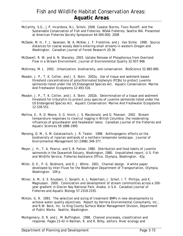## Fish and Wildlife Habitat Conservation Areas: **Aquatic Areas**

- McCarthy, S.G., J.P. Incardona, N.L. Scholz. 2008. Coastal Storms, Toxic Runoff, and the Sustainable Conservation of Fish and Fisheries. NOAA Fisheries, Seattle WA. Presented at American Fisheries Society Symposium 64:000–000, 2008
- McDade, M. H., F. J. Swanson, W. A. McKee, J. F. Frankline, and J. Van Sickle. 1990. Source distances for coarse woody debris entering small streams in western Oregon and Washington. Canadian Journal of Forest Research 20:36.
- McDowell, R. W. and A. N. Sharpley. 2003. Uptake Release of Phosphorous from Overland Flow in a Stream Environment. Journal of Environmental Quality 32:937-948.
- McKinney, M. L. 2002. Urbanization, biodiversity, and conservation. BioScience 52:883-890.
- Meador, J. P., T. K. Collier, and J. E. Stein. 2002a. Use of tissue and sediment-based threshold concentrations of polychlorinated biphenyls (PCBs) to protect juvenile salmonids listed under the US Endangered Species Act. Aquatic Conservation: Marine And Freshwater Ecosystems 12:493-516.
- Meador, J. P., T. K. Collier, and J. E. Stein. 2002b. Determination of a tissue and sediment threshold for tributyltin to protect prey species of juvenile salmonids listed under the US Endangered Species Act. Aquatic Conservation: Marine And Freshwater Ecosystems 12:539-551.
- Mellina, E., R. D. Moore, S. G. Hinch, J. S. Macdonald, and G. Pearson. 2002. Stream temperature responses to clearcut logging in British Columbia: the moderating influences of groundwater and headwater lakes. Canadian Journal of the Fisheries and Aquatic Sciences 59:1886-1900.
- Mensing, D. M., S. M. Galatowitsch, J. R. Tester. 1998. Anthropogenic effects on the biodiversity of riparian wetlands of a northern temperate landscape. Journal of Environmental Management 53 (1998):349-377.
- Meyer, J. H., T. A. Pearce, and S. B. Patlan. 1980. Distribution and food habits of juvenile salmonids in the Duwamish Estuary, Washington, 1980. Unpublished report, U.S. Fish and Wildlife Service, Fisheries Assistance Office, Olympia, Washington. 42p.
- Miller, D. E., P. G. Skidmore, and D. J. White. 2001. Channel design. A white paper developed by Inter-Fluve for the Washington Department of Transportation, Olympia, Washington. 109 p.
- Milner, A. M., E. E. Knudsen, C. Soiseth, A. L. Robertson, J. Scheil, I. T. Phillips, and K. Magnusson. 2000. Colonization and development of stream communities across a 200 year gradient in Glacier Bay National Park, Alaska, U.S.A. Canadian Journal of Fisheries and Aquatic Biology 57:2319-2335.
- Minton, G. R. 1993. The selection and sizing of treatment BMPs in new developments to achieve water quality objectives. Report by Herrera Environmental Consultants, Inc., and R.W. Beck, Inc. to King County Surface Water Management Division, Department of Public Works. Seattle, Washington.
- Montgomery, D. R. and J. M. Buffington. 1998. Channel processes, classification and response. Pages 13-42 in Naiman, R. and R. Bilby, editors. River ecology and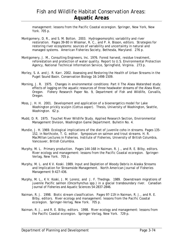management: lessons from the Pacific Coastal ecoregion. Springer, New York, New York. 705 p.

- Montgomery, D. R., and S. M. Bolton. 2003. Hydrogeomorphic variability and river restoration. Pages 39-80 in Wissmar, R. C., and P. A. Bisson, editors. Strategies for restoring river ecosystems: sources of variability and uncertainty in natural and managed systems. American Fisheries Society, Bethesda, Maryland. 276 p.
- Montgomery, J. M., Consulting Engineers, Inc. 1976. Forest harvest, residue treatment, reforestation and protection of water quality. Report to U.S. Environmental Protection Agency, National Technical Information Service, Springfield, Virginia. 273 p.
- Morley, S. A. and J. R. Karr. 2002. Assessing and Restoring the Health of Urban Streams in the Puget Sound Basin. Conservation Biology 16:1498-1509.
- Morning, J. R. 1975. Changes in environmental conditions: Part II The Alsea Watershed study: effects of logging on the aquatic resources of three headwater streams of the Alsea River, Oregon. Fishery Research Paper No. 9, Department of Fish and Wildlife, Corvallis, Oregon.
- Moss, J. H. H. 2001. Development and application of a bioenergetics model for Lake Washington prickly sculpin (Cottus asper). Thesis, University of Washington, Seattle, Washington. 62 p.
- Mudd, D. R. 1975. Touchet River Wildlife Study. Applied Research Section, Environmental Management Division, Washington Game Department. Bulletin No. 4.
- Mundie, J. H. 1969. Ecological implications of the diet of juvenile coho in streams. Pages 135- 152, in Northcote, T. G. editor. Symposium on salmon and trout streams. H. R. MacMillan Lectures in Fisheries. Institute of Fisheries, University of British Columbia, Vancouver, British Columbia.
- Murphy, M. L. Primary production. Pages 144-168 in Naiman, R. J., and R. E. Bilby, editors. River ecology and management: lessons from the Pacific Coastal ecoregion. Springer-Verlag, New York. 705 p.
- Murphy, M. L. and K V. Koski. 1989. Input and Depletion of Woody Debris in Alaska Streams and Implication for Streamside Management. North American Journal of Fisheries Management 9:427-436.
- Murphy, M. L., K V. Koski, J. M. Lorenz, and J. F. Thednga. 1989. Downstream migrations of juvenile Pacific salmon (*Oncorhynchus* spp.) in a glacial transboundary river. Canadian Journal of Fisheries and Aquatic Sciences 54:2837-2846.
- Naiman, R. J. 1998. Biotic stream classification. Pages 97-119 in Naiman, R. J., and R. E. Bilby, editors. River ecology and management: lessons from the Pacific Coastal ecoregion. Springer-Verlag, New York. 705 p.
- Naiman, R. J., and R. E. Bilby, editors. 1998. River ecology and management: lessons from the Pacific Coastal ecoregion. Springer-Verlag, New York. 729 p.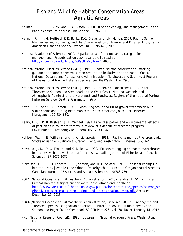- Naiman, R. J., R. E. Bilby, and P. A. Bisson. 2000. Riparian ecology and management in the Pacific coastal rain forest. BioScience 50:996-1011.
- Naiman, R.J., J.M. Helfield, K.K. Bartz, D.C. Drake, and J.M. Honea. 2009. Pacific Salmon, Marine-Derived Nutrients, and the Characteristics of Aquatic and Riparian Ecosystems. American Fisheries Society Symposium 69:395–425, 2009.
- National Academy of Science. 2002. Riparian areas: functions and strategies for management. Prepublication copy, available to read at: http://books.npa.edu/books/0309082951/html/ 400 p.
- National Marine Fisheries Service (NMFS). 1996. Coastal salmon conservation: working guidance for comprehensive salmon restoration initiatives on the Pacific Coast. National Oceanic and Atmospheric Administration, Northwest and Southwest Regions of the national Marine Fisheries Service, Seattle Washington. 29 p.
- National Marine Fisheries Service (NMFS). 1999. A Citizen's Guide to the 4(d) Rule for Threatened Salmon and Steelhead on the West Coast. National Oceanic and Atmospheric Administration, Northwest and Southwest Regions of the national Marine Fisheries Service, Seattle Washington. 26 p.
- Nawa, R. K., and C. A. Frissell. 1993. Measuring scour and fill of gravel streambeds with scour chains and sliding-bead monitors. North American Journal of Fisheries Management 12:634-639.
- Neary, D. G., P. B. Bush and J. L. Michael. 1993. Fate, dissipation and environmental effects of pesticides in southern forests: A review of a decade of research progress. Environmental Toxicology and Chemistry 12: 411-428.
- Nehlsen, W., J. E. Williams, and J. A. Lichatowich. 1991. Pacific salmon at the crossroads: Stocks at risk from California, Oregon, Idaho, and Washington. Fisheries 16(2):4–21.
- Newbold, J. D., D. C. Erman, and K. B. Roby. 1980. Effects of logging on macroinvertebrates in streams with and without buffer strips. Canadian Journal of Fisheries and Aquatic Sciences. 37:1076-1085.
- Nickelson, T. E., J. D. Rodgers, S. L. Johnson, and M. F. Solazzi. 1992. Seasonal changes in habitat use by juvenile coho salmon (Oncorhynchus kisutch) in Oregon coastal streams. Canadian Journal of Fisheries and Aquatic Sciences. 49:783-789.
- NOAA (National Oceanic and Atmospheric Administration). 2013a. Status of ESA Listings & Critical Habitat Designations for West Coast Salmon and Steelhead. http://www.westcoast.fisheries.noaa.gov/publications/protected\_species/salmon\_ste elhead/status\_of\_esa\_salmon\_listings\_and\_ch\_designations\_map.pdf. Accessed December 26, 2013.
- NOAA (National Oceanic and Atmospheric Administration) Fisheries. 2013b. Endangered and Threated Species; Designation of Critical Habitat for Lower Columbia River Coho Salmon and Puget Sound Steelhead. 50 CFR Part 226. Vol. 78. No. 9. January 14, 2013.
- NRC (National Research Council). 1996. Upstream. National Academy Press, Washington, D.C.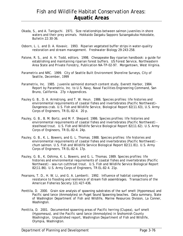- Okada, S., and A. Taniguchi. 1971. Size relationships between salmon juveniles in shore waters and their prey animals. Hokkaido Daigaku Sapporo Suisangakuba Hokodate, Bulletin 22:30-36.
- Osborn, L. L. and D. A. Kovavic. 1993. Riparian vegetated buffer strips in water-quality restoration and stream management. Freshwater Biology 29:243-258.
- Palone, R. S., and A. H. Todd, editors. 1998. Chesapeake Bay riparian handbook: a guide for establishing and maintaining riparian forest buffers. US Forest Service, Northeastern Area State and Private Forestry, Publication NA-TP-02-97. Morgantown, West Virginia.
- Parametrix and NRC. 1999. City of Seattle Built Environment Shoreline Surveys, City of Seattle, December, 1999
- Parametrix, Inc. 1985. Juvenile salmonid stomach content study, Everett Harbor, 1984. Report by Parametrix, Inc. to U.S. Navy, Naval Facilities Engineering Command, San Bruno, California. 27p + Appendices.
- Pauley G. B., D. A. Armstrong, and T. W. Heun. 1986. Species profiles: life histories and environmental requirements of coastal fishes and invertebrates (Pacific Northwest)– Dungeness crab. U.S. Fish and Wildlife Service, Biological Report 82(11.63), U.S. Army Corps of Engineers, TR EL-82-4. 20 p.
- Pauley, G. B., B. M. Bortz, and M. F. Shepard. 1986. Species profiles: life histories and environmental requirements of coastal fishes and invertebrates (Pacific Northwest) steelhead trout. U.S. Fish and Wildlife Service Biological Report 82(11.62). U.S. Army Corps of Engineers, TR EL-82-4. 24p.
- Pauley, G. B., K. L. Bowers, and G. L. Thomas. 1988. Species profiles: life histories and environmental requirements of coastal fishes and invertebrates (Pacific Northwest) chum salmon. U.S. Fish and Wildlife Service Biological Report 82(11.81). U.S. Army Corps of Engineers, TR EL-82-4. 17p.
- Pauley, G. B., K. Oshima, K. L. Bowers, and G. L. Thomas. 1989. Species profiles: life histories and environmental requirements of coastal fishes and invertebrates (Pacific Northwest) - sea-run cutthroat trout. U.S. Fish and Wildlife Service Biological Report 82(11.86). U.S. Army Corps of Engineers, TR EL-82-4. 21p.
- Pearsons, T. D., H. W. Li, and G. A. Lamberti. 1992. Influence of habitat complexity on resistance to flooding and resilience of stream fish assemblages. Transactions of the American Fisheries Society 121:427-436.
- Penttila, D. 2000. Grain size analysis of spawning substrates of the surf smelt (*Hypomesus*) and Pacific sand lance (*Ammodytes*) on Puget Sound Spawning beaches. Data summary, State of Washington Department of Fish and Wildlife, Marine Resources Division, La Conner, Washington.
- Penttila, D. 2001. Documented spawning areas of Pacific herring (Clupea), surf smelt (Hypomesus), and the Pacific sand lance (Ammodytes) in Snohomish County Washington, Unpublished report, Washington Department of Fish and Wildlife, Olympia, Washington.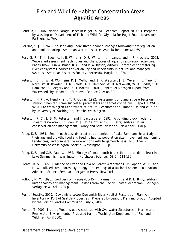- Penttila, D. 2007. Marine Forage Fishes in Puget Sound. Technical Report 2007-03. Prepared by Washington Department of Fish and Wildlife, Olympia for Puget Sound Nearshore Partnership, WA.
- Perkins, S. J. 1994. The shrinking Cedar River: channel changes following flow regulation and bank armoring. American Water Resources Association, June:649-659.
- Pess, G. R., T. J. Beechie, J. E. Williams, D. R. Whitall, J. I. Lange, and J. R. Klochak. 2003. Watershed assessment techniques and the success of aquatic restoration activities. Pages 185-201 in Wissmar, R. C., and P. A. Bisson, editors. Strategies for restoring river ecosystems: sources of variability and uncertainty in natural and managed systems. American Fisheries Society, Bethesda, Maryland. 276 p.
- Peterson, B. J., W. M. Wollheim, P. J. Mulholland, J. R. Webster, J. L. Meyer, J. L. Tank, E. Marti, W. B. Bowden, H. M. Valett, A. E. Hershey, W. H. McDowell, W. K. Dodds, S. K. Hamilton, S. Gregory and D. D. Morrall. 2001. Control of Nitrogen Export from Watersheds by Headwater Streams. Science 292: 86-89.
- Peterson, N. P., A. Hendry, and T. P. Quinn. 1992. Assessment of cumulative effects on salmonid habitat: some suggested parameters and target conditions. Report TFW-F3- 92-001 to Washington Department of Natural Resources and Timber Fish and Wildlife by University of Washington, Seattle, Washington.
- Peterson, R. C., L. B. M. Petersen, and J. Lacoursiere. 1992. A building block model for stream restoration. In Boon, P. J., P. Calow, and G.E. Petts, editors. River conservation and management. Wiley and Sons, New York, New York. 470 p.
- Pflug, D.E. 1981. Smallmouth bass (*Micropterus dolomieui*) of Lake Sammamish: a study of their age and growth, food and feeding habits, population size, movement and homing tendencies, and comparative interactions with largemouth bass. M.S. Thesis, University of Washington, Seattle, Washington. 80 p.
- Pflug, D.E., and G.B. Pauley. 1984. Biology of smallmouth bass (*Micropterus dolomieui*) in Lake Sammamish, Washington. Northwest Science. 58(2): 118-130.
- Pierce, R. S. 1965. Evidence of Overland Flow on Forest Watersheds. In Sopper, W. E., and H. W. Lull, editors. Forest Hydrology: Proceedings of a National Science Foundation Advanced Science Seminar. Pergamon Press, New York.
- Pollock, M. M. 1998. Biodiversity. Pages 430-454 in Naiman, R. J., and R. E. Bilby, editors. River ecology and management: lessons from the Pacific Coastal ecoregion. Springer-Verlag, New York. 705 p.
- Port of Seattle. 2009. Duwamish: Lower Duwamish River Habitat Restoration Plan- An Inventory of Port of Seattle Properties. Prepared by Seaport Planning Group. Adopted by the Port of Seattle Commission, July 7, 2009.
- Poston, T. 2001. Treated Wood Issues Associated with Overwater Structures in Marine and Freshwater Environments. Prepared for the Washington Department of Fish and Wildlife. April 2001.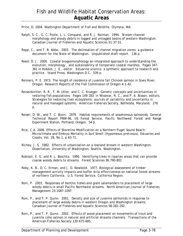Price, D. 2004. Washington Department of Fish and Wildlife. Olympia, WA.

- Ralph, S. C., G. C. Poole, L. L. Conquest, and R. J. Naiman. 1994. Stream channel morphology and woody debris in logged and unlogged basins of western Washington. Canadian Journal of Fisheries and Aquatic Sciences 51:37-51.
- Rapp, C., and T. B. Abbe. 2003. The delineation of channel migration zones: a guidance document for the State of Washington. Unpublished draft report. 136 p.
- Reed, D. J. 2000. Coastal biogeomorphology an integrated approach to understanding the evolution, morphology , and sustainability of temperate coastal marshes. Pages 347- 361 in Hobbie, J. E., editor. Estuarine science: a synthetic approach to research and practice. Island Press, Washington D.C. 539 p.
- Reimers, P. E. 1973. The length of residence of juvenile fall Chinook salmon in Sixes River, Oregon. Research Reports of the Fish Commission of Oregon 4:1-42.
- Reisenbichler, R. R., F. M. Utter, and C. C. Krueger. Genetic concepts and uncertainties in restoring fish populations. Pages 149-183 in Wissmar, R. C., and P. A. Bisson, editors. Strategies for restoring river ecosystems: sources of variability and uncertainty in natural and managed systems. American Fisheries Society, Bethesda, Maryland. 276 p.
- Reiser, D. W., and T. C. Bjorn. 1979. Habitat requirements of anadromous salmonids. General Technical Report PNW-96, US Forest Service, Pacific Northwest Forest and Range Experiment Station, Portland, Oregon. 54 p.
- Rice, C.A. 2006. Effects of Shoreline Modification on a Northern Puget Sound Beach: Microclimate and Embryo Mortality in Surf Smelt (*Hypomesus pretiosus*). Estuaries and Coasts, Vol. 29, No 1, p 63-71.
- Richey, J. S. 1982. Effects of urbanization on a lowland stream in western Washington. Dissertation, University of Washington, Seattle, Washington.
- Robison, E. G. and R. L. Beschta. 1990. Identifying trees in riparian areas that can provide coarse woody debris to streams. Forest Sciences 36:790-801
- Roby, K. B., D. C. Erman, and J. D. Newbold. 1977. Biological assessment of timber management activity impacts and buffer strip effectiveness on national forest streams of northern California. U.S. Forest Service, California Region.
- Roni, P. 2003. Responses of benthic fishes and giant salamanders to placement of large woody debris in small Pacific Northwest streams. North American Journal of Fisheries Management 23:1087-1097.
- Roni, P., and T. P. Quinn. 2001. Density and size of juvenile salmonids in response to placement of large woody debris in western Oregon and Washington streams. Canadian Journal of Fisheries and Aquatic Sciences 58:282-292.
- Roni, P., and T. P. Quinn. 2002. Effects of wood placement on movements of trout and juvenile coho salmon in natural and artificial streams channels. Transactions of the American Fisheries Society 130:675-685.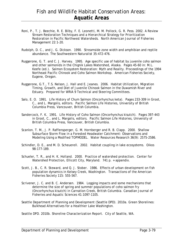- Roni, P., T. J. Beechie, R. E. Bilby, F. E. Leonetti, M. M. Pollock, G. R. Pess. 2002. A Review Stream Restoration Techniques and a Hierarchical Strategy for Prioritization Restoration in Pacific Northwest Watersheds. North American Journal of Fisheries Management 22:1-20.
- Rudolph, D. C., and J. G. Dickson. 1990. Streamside zone width and amphibian and reptile abundance. The Southwestern Naturalist 35:472-476.
- Ruggerone, G. T. and C. J. Harvey. 1995. Age specific use of habitat by juvenile coho salmon and other salmonids in the Chignik Lakes Watershed, Alaska. Pages 45-60 in: M.L. Keefe (ed.). Salmon Ecosystem Restoration: Myth and Reality. Proceedings of the 1994 Northeast Pacific Chinook and Coho Salmon Workshop. American Fisheries Society, Eugene, Oregon.
- Ruggerone, G.T., T.S. Nelson, J. Hall and E. Jeanes. 2006. Habitat Utilization, Migration Timing, Growth, and Diet of Juvenile Chinook Salmon in the Duwamish River and Estuary. Prepared for WRIA 9 Technical and Steering Committees.
- Salo, E. O. 1991. Life History of Chum Salmon (Oncorhynchus keta). Pages 233-309 in Groot, C., and L. Margolis, editors. Pacific Salmon Life Histories, University of British Columbia Press, Vancouver, British Columbia.
- Sandercock, F. K. 1991. Life History of Coho Salmon (Oncorhynchus kisutch). Pages 397-443 in Groot, C., and L. Margolis, editors. Pacific Salmon Life Histories, University of British Columbia Press, Vancouver, British Columbia.
- Scanlon, T. M., J. P. Raffensperger, G. M. Hornberger and R. B. Clapp. 2000. Shallow Subsurface Storm Flow in a Forested Headwater Catchment: Observations and Modeling Using a Modified TOPMODEL. Water Resources Research 36(9): 2575-2586.
- Schindler, D. E., and M. D. Scheuerell. 2002. Habitat coupling in lake ecosystems. Oikos 98:177-189.
- Schueler, T. R., and H. K. Holland. 2000. Practice of watershed protection. Center for Watershed Protection, Ellicott City, Maryland. 741 p. + appendix.
- Scott, J. B., C. R. Steward, and Q. J. Stober. 1986. Effects of urban development on fish population dynamics in Kelsey Creek, Washington. Transactions of the American Fisheries Society 115: 555-567.
- Scrivener, J. C. and B. C. Andersen. 1984. Logging impacts and some mechanisms that determine the size of spring and summer populations of coho salmon fry (Oncorhynchus kisutch) in Carnation Creek, British Columbia. Canadian Journal of Fisheries and Aquatic Sciences 41:1097-1105.
- Seattle Department of Planning and Development (Seattle DPD). 2010a. Green Shorelines: Bulkhead Alternatives for a Healthier Lake Washington.

Seattle DPD. 2010b. Shoreline Characterization Report. City of Seattle, WA.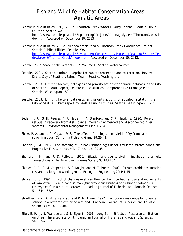Seattle Public Utilities (SPU). 2013a. Thornton Creek Water Quality Channel. Seattle Public Utilities, Seattle WA. http://www.seattle.gov/util/Engineering/Projects/DrainageSystem/ThorntonCreek/in

dex.htm. Accessed on December 10, 2013.

Seattle Public Utilities. 2013b. Meadowbrook Pond & Thornton Creek Confluence Project. Seattle Public Utilities, Seattle, WA. http://www.seattle.gov/util/EnvironmentConservation/Projects/DrainageSystem/Mea dowbrook&ThorntonCreek/index.htm. Accessed on December 10, 2013.

- Seattle. 2007. State of the Waters 2007. Volume I: Seattle Watercourses.
- Seattle. 2001. Seattle's urban blueprint for habitat protection and restoration. Review Draft, City of Seattle's Salmon Team, Seattle, Washington.
- Seattle. 2003. Limiting factors, data gaps and priority actions for aquatic habitats in the City of Seattle. Draft Report, Seattle Public Utilities, Comprehensive Drainage Plan. Seattle, Washington. 59 p.
- Seattle. 2003. Limiting factors, data gaps, and priority actions for aquatic habitats in the City of Seattle. Draft report by Seattle Public Utilities, Seattle, Washington. 59 p.
- Sedell, J. R., G. H. Reeves, F. R. Hauer, J. A. Stanford, and C. P. Hawkins. 1990. Role of refugia in recovery from disturbance: modern fragmented and disconnected river systems. Environmental Management 14:711-724.
- Shaw, P. A. and J. A. Maga. 1943. The effect of mining silt on yield of fry from salmon spawning beds. California Fish and Game 29:29-41.
- Shelton, J. M. 1955. The hatching of Chinook salmon eggs under simulated stream conditions. Progressive Fish-Culturist, vol. 17, no. 1, p. 20-35.
- Shelton, J. M., and R. D. Pollock. 1966. Siltation and egg survival in incubation channels. Transactions of the American Fisheries Society 95:183-187.
- Shields, D. F., C. M. Cooper Jr., S. S. Knight, and M. T. Moore. 2003. Stream corridor restoration research: a long and winding road. Ecological Engineering 20:441-454.
- Shirvell, C. S. 1994. Effect of changes in streamflow on the micorhabitat use and movements of sympatric juvenile coho salmon (Oncorhynchus kisutch) and Chinook salmon (O. tshawytscha) in a natural stream. Canadian Journal of Fisheries and Aquatic Sciences 51:1644-16524
- Shreffler, D. K., C. A. Simenstad, and R. M. Thom. 1992. Temporary residence by juvenile salmon in a restored estuarine wetland. Canadian Journal of Fisheries and Aquatic Sciences 47::2079-2084.
- Siler, E. R., J. B. Wallace and S. L. Eggert. 2001. Long-Term Effects of Resource Limitation on Stream Invertebrate Drift. Canadian Journal of Fisheries and Aquatic Sciences 58:1624-1637.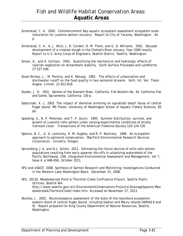- Simenstad, C. A. 2000. Commencement Bay aquatic ecosystem assessment ecosystem-scale restoration for juvenile salmon recovery. Report to City of Tacoma, Washington. 44 p.
- Simenstad, C. A., A. J. Wick, J. R. Cordell, R. M. Thom, and G. D. Williams. 2001. Decadal development of a created slough in the Chehalis River estuary: Year 2000 results. Report to U.S. Army Corps of Engineers, Seattle District, Seattle, Washington.
- Simon, A., and A. Collison. 2002. Quantifying the mechanical and hydrologic effects of riparian vegetation on streambank stability. Earth Surface Processes and Landforms 27:527-546.
- Sloan-Richey, J., M. Perkins, and K. Malueg. 1981. The effects of urbanization and stormwater runoff on the food quality in two salmonid streams. Verh. Int. Ver. Theor. Angew. Limnol. 21:812-818.
- Snyder, J. O. 1931. Salmon of the Klamath River, California. Fish Bulletin No. 34, California Fish and Game, Sacramento, California. 130 p.
- Sobocinski, K. L. 2003. The impact of shoreline armoring on supratidal beach fauna of central Puget Sound. MS Thesis. University of Washington School of Aquatic Fishery Sciences. 83 pp.
- Spalding, S., N. P. Peterson, and T. P. Quinn. 1995. Summer distribution, survival, and growth of juvenile coho salmon under varying experimental conditions of brushy instream cover. Transactions of the American Fisheries Society 124:124-130.
- Spence, B. C., G. A. Lomnicky, R. M. Hughes, and R. P. Novitzky. 1996. An ecosystem approach to salmonid conservation. ManTech Environmental Research Services Corporation. Corvallis, Oregon.
- Spromberg, J.A. and N.L. Scholz. 2011. Estimating the future decline of wild coho salmon populations resulting from early spawner die-offs in urbanizing watersheds of the Pacific Northwest, USA. Integrated Environmental Assessment and Management, Vol 7, Issue 4, p 648-656, October 2011.
- SPU and USACE. 2008. Synthesis of Salmon Research and Monitoring: Investigations Conducted in the Western Lake Washington Basin. December 31, 2008.
- SPU. 2013b. Meadowbrook Pond & Thornton Creek Confluence Project. Seattle Public Utilities, Seattle WA. http://www.seattle.gov/util/EnvironmentConservation/Projects/DrainageSystem/Mea dowbrook&ThorntonCreek/index.htm. Accessed on November 27, 2013.
- Starkes, J. 2001. Reconnaissance assessment of the state of the nearshore ecosystem: eastern shore of central Puget Sound, including Vashon and Maury Islands (WRIAS 8 and 9). Report prepared for King County Department of Natural Resources, Seattle, Washington.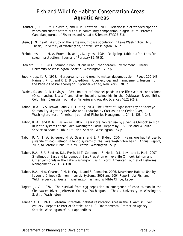## Fish and Wildlife Habitat Conservation Areas: **Aquatic Areas**

- Stauffer, J. C., R. M. Goldstein, and R. M. Newman. 2000. Relationship of wooded riparian zones and runoff potential to fish community composition in agricultural streams. Canadian Journal of Fisheries and Aquatic Sciences 57:307-316.
- Stein, J. N. 1970. A study of the large mouth bass population in Lake Washington. M.S. Thesis, University of Washington, Seattle, Washington. 69 p.
- Steinblums, I. J., H. A. Froehlich, and J. K. Lyons. 1984. Designing stable buffer strips for stream protection. Journal of Forestry 82:49-52.
- Steward, C. R. 1983. Salmonid Populations in an Urban Stream Environment. Thesis, University of Washington, Seattle, Washington. 237 p.
- Suberkropp, K. F. 1998. Microorganisms and organic matter decomposition. Pages 120-143 in Naiman, R. J., and R. E. Bilby, editors. River ecology and management: lessons from the Pacific Coastal ecoregion. Springer-Verlag, New York. 705 p.
- Swales, S., and C. D. Levings. 1989. Role of off-channel ponds in the life cycle of coho salmon (*Oncorhynchus kisutch*) and other juvenile salmonids in the Coldwater River, British Columbia. Canadian Journal of Fisheries and Aquatic Sciences 46:232-242.
- Tabor , R.A., G.S. Brown,. and V.T. Luiting. 2004. The Effect of Light Intensity on Sockeye Salmon Fry Migratory Behavior and Predation by Cottids in the Cedar River, Washington. North American Journal of Fisheries Management, 24: 1, 128 — 145.
- Tabor, R. A., and R. M. Piaskowski. 2002. Nearshore habitat use by juvenile Chinook salmon in lentic systems of the Lake Washington Basin. Report by U.S. Fish and Wildlife Service to Seattle Public Utilities, Seattle, Washington. 57 p.
- Tabor, R. A., J. A. Scheurer, H. A. Gearns, and E. F. Bixler. 2004. Nearshore habitat use by juvenile Chinook salmon in lentic systems of the Lake Washington basin. Annual Report, 2002, to Seattle Public Utilities, Seattle, Washington. 58 p.
- Tabor, R.A., B.A. Footen, K.L. Fresh, M.T. Celedonia, F. Mejia, D.L. Low, and L. Park. 2007. Smallmouth Bass and Largemouth Bass Predation on Juvenile Chinook Salmon and Other Salmonids in the Lake Washington Basin. North American Journal of Fisheries Management 27: 1174-1188.
- Tabor, R.A., H.A. Gearns, C.M. McCoy III, and S. Camacho. 2006. Nearshore Habitat Use by Juvenile Chinook Salmon in Lentic Systems, 2003 and 2004 Report. UW Fish and Wildlife Service, Western Washington Fish and Wildlife Office, Lacey.
- Tagart, J. V. 1976. The survival from egg deposition to emergence of coho salmon in the Clearwater River, Jefferson County, Washington. Thesis, University of Washington, Seattle, Washington.
- Tanner, C. D. 1991. Potential intertidal habitat restoration sites in the Duwamish River estuary. Report to Port of Seattle, and U.S. Environmental Protection Agency, Seattle, Washington.93 p. + appendices.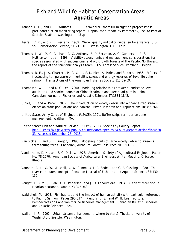- Tanner, C. D., and G. T. Williams. 1991. Terminal 91 short fill mitigation project Phase II post-construction monitoring report. Unpublished report by Parametrix, Inc. to Port of Seattle, Seattle, Washington. 43 .p
- Terrell, C. R., and P. B. Perfetti. 1989. Water quality indicator guide: surface waters. U.S. Soil Conservation Service, SCS-TP-161. Washington, D.C. 129p.
- Thomas, J. W., M. G. Raphael, R. G. Anthony, E. D. Forsman, A. G. Gunderson, R. S. Holthavsen, et al. 1993. Viability assessments and management considerations for species associated with successional and old-growth forests of the Pacific Northwest: the report of the scientific analysis team. U.S. Forest Service, Portland, Oregon.
- Thomas, R. E., J. A. Gharrett, M. G. Carls, S. D. Rice, A. Moles, and S. Korn. 1986. Effects of fluctuating temperature on mortality, stress and energy reserves of juvenile coho salmon. Transactions of the American Fisheries Society 115:52-59.
- Thompson, W. L., and D. C. Lee. 2000. Modeling relationships between landscape-level attributes and snorkel counts of Chinook salmon and steelhead parr in Idaho. Canadian Journal of Fisheries and Aquatic Sciences 57:1834-1842.
- Ulrike, Z., and A. Peter. 2002. The introduction of woody debris into a channelized stream: effect on trout populations and habitat. River Research and Applications 18:355-366.
- United States Army Corps of Engineers (USACE). 1991. Buffer strips for riparian zone management. Waltham, MA.
- United States Fish and Wildlife Service (USFWS). 2013. Species by County Report. http://ecos.fws.gov/tess\_public/countySearch!speciesByCountyReport.action?fips=530 33. Accessed December 26, 2013.
- Van Sickle, J. and S. V. Gregory. 1990. Modeling inputs of large woody debris to streams form falling trees. Canadian Journal of Forest Resources 20:1593-1601.
- Vanderholm, D. H., and E. C. Dickey. 1978. American Society of Agricultural Engineers Paper No. 78-2570. American Society of Agricultural Engineers Winter Meeting, Chicago, Illinois.
- Vannote, R. L., G. W. Minshall, K. W. Cummins, J. R. Sedell, and C. E. Cushing. 1980. The river continuum concept. Canadian Journal of Fisheries and Aquatic Sciences 37:130- 137.
- Vought, L. B. M., J. Dahl, C. L. Pedersen, and J. O. Lacoursiere. 1984. Nutrient retention in riparian ecotones. Ambio 23:342-348.
- Waldichuk, M. 1993. Fish habitat and the impact of human activity with particular reference to Pacific Salmon. Pages 295-337 in Parsons, L. S., and W. H. Lear, editors. Perspectives on Canadian marine fisheries management. Canadian Bulletin Fisheries and Aquatic Sciences. 226.
- Walker, J. R. 1992. Urban stream enhancement: where to start? Thesis, University of Washington, Seattle, Washington.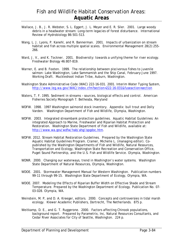## Fish and Wildlife Habitat Conservation Areas: **Aquatic Areas**

- Wallace, J. B., J. R. Webster, S. L. Eggert, J. L. Meyer and E. R. Siler. 2001. Large woody debris in a headwater stream: Long-term legacies of forest disturbance. International Review of Hydrobiology 86:501-513.
- Wang, L. J. Lyons, P. Kanehl, and R. Bannerman. 2001. Impacts of urbanization on stream habitat and fish across multiple spatial scales. Environmental Management 28(2):255- 266.
- Ward, J. V., and K. Tockner. 2001. Biodiversity: towards a unifying theme for river ecology. Freshwater Biology 46:807-819.
- Warner, E. and B. Footen. 1999. The relationship between piscivorous fishes to juvenile salmon: Lake Washington, Lake Sammamish and the Ship Canal, February-June 1997. Working Draft. Muckleshoot Indian Tribe, Auburn, Washington.
- Washington State Administrative Code (WAC) 222-16-031. 2001. Interim Water Typing System, http://www.leg.wa.gov/WAC/index.cfm?section=222-16-031&fuseaction=section
- Waters, T. F. 1995. Sediment in streams sources, biological effects and control. American Fisheries Society Monograph 7. Bethesda, Maryland
- WDFW. 1998. 1997 Washington salmonid stock inventory. Appendix: bull trout and Dolly Varden. Washington Department of Fish and Wildlife, Olympia, Washington.
- WDFW. 2003. Integrated streambank protection guidelines. Aquatic Habitat Guidelines: An integrated Approach to Marine, Freshwater and Riparian Habitat Protection and Restoration. Washington State Department of Fish and Wildlife, available at: http://www.wa.gov/wdfw/hab/ahg/ispgdoc.htm.
- WDFW. 2012. Stream Habitat Restoration Guidelines. Prepared by the Washington State Aquatic Habitat Guidelines Program. Cramer, Michelle L. (managing editor). Copublished by the Washington Departments of Fish and Wildlife, Natural Resources, Transportation and Ecology, Washington State Recreation and Conservation Office, Puget Sound Partnership, and the U.S. Fish and Wildlife Service. Olympia, Washington.
- WDNR. 2000. Changing our waterways, trend in Washington's water systems. Washington State Department of Natural Resources, Olympia, Washington.
- WDOE. 2001. Stormwater Management Manual for Western Washington. Publication numbers 99-11 through 99-15. Washington State Department of Ecology, Olympia, WA.
- WDOE. 2007. Modeling the Effects of Riparian Buffer Width on Effective Shade and Stream Temperature. Prepared by the Washington Department of Ecology. Publication No. 07- 03-028. Olympia, WA.
- Weinstein, M. P, and D. A. Kreeger, editors. 2000. Concepts and controversies in tidal marsh ecology. Klewer Academic Publishers, Dortrecht, The Netherlands. 875 p.
- Weitkamp, D. E., and G. T. Ruggerone. 2000. Factors affecting Chinook populations, background report. Prepared by Parametrix, Inc, Natural Resources Consultants, and Cedar River Associates for City of Seattle, Washington. 224 p.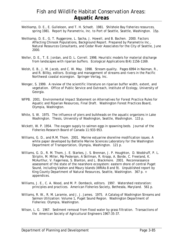- Weitkamp, D. E., E. Gullekson, and T. H. Schadt. 1981. Shilshole Bay fisheries resources, spring 1981. Report by Parametrix, Inc. to Port of Seattle, Seattle, Washington. 15p.
- Weitkamp, D. E., G. T. Ruggerone, L. Sacha, J. Howell, and B. Bachen. 2000. Factors Affecting Chinook Populations, Background Report. Prepared by Parametrix Inc., Natural Resources Consultants, and Cedar River Associates for the City of Seattle, June 2000.
- Weller, D. E., T. E. Jordan, and D. L. Correll. 1998. Heuristic models for material discharge from landscapes with riparian buffers. Ecological Applications 8(4):1156-1169.
- Welsh, E. B., J. M. Jacob, and C. W. May. 1998. Stream quality. Pages 6994 in Naiman, R., and R. Billby, editors. Ecology and management of streams and rivers in the Pacific Northwest coastal ecoregion. Springer-Verlag, Inc.
- Wenger, S. 1999. A review of the scientific literature on riparian buffer width, extent, and vegetation. Office of Public Service and Outreach, Institute of Ecology, University of Georgia.
- WFPB. 2001. Environmental Impact Statement on Alternatives for Forest Practice Rules for Aquatic and Riparian Resources, Final Draft. Washington Forest Practices Board, Olympia, Washington.
- White, S. W. 1975. The influence of piers and bulkheads on the aquatic organisms in Lake Washington. Thesis, University of Washington, Seattle, Washington. 115 p.
- Wickett, W. P. 1954. The oxygen supply to salmon eggs in spawning beds. Journal of the Fisheries Research Board of Canada 11:933-953.
- Williams, G. D., and R.M. Thom. 2001. Marine estuarine shoreline modification issues. A white paper developed by Battelle Marine Sciences Laboratory for the Washington Department of Transportation, Olympia, Washington. 121 p.
- Williams, G. D., R. M. Thom, J. E. Starkes, J. S. Brennan, J. P. Houghton, D. Woddruff, P. L. Striplin, M. Miller, Mp Pederson, A Skillman, R. Kropp, A. Borde, C. Freeland, K. McAurthur, V. Fagerness, S. Blanton, and L. Blackmore. 2001. Reconnaissance assessment of the state of the nearshore ecosystem: eastern shore of central Puget Sound, including Vashon and Maury Islands (WRIAs 8 and 9). Unpublished report by King County Department of Natural Resources, Seattle, Washington. 367 p. + appendices.
- Williams, J. E., C. A. Wood, and M. P. Dombeck, editors. 1997. Watershed restoration: principles and practices. American Fisheries Society, Bethesda, Maryland. 561 p.
- Williams, R. W., R. M. Laramie, and J. J. James. 1975. A Catalog of Washington Streams and Salmon Utilization: Volume 1, Puget Sound Region. Washington Department of Fisheries: Olympia, Washington.
- Wilson, L. G. 1967. Sediment removal from flood water by grass filtration. Transactions of the American Society of Agricultural Engineers 1967:35-37.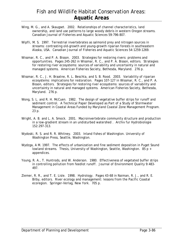- Wing, M. G., and A. Skaugset. 2002. Relationships of channel characteristics, land ownership, and land use patterns to large woody debris in western Oregon streams. Canadian Journal of Fisheries and Aquatic Sciences 59:796-807.
- Wipfli, M. S. 1997. Terrestrial invertebrates as salmonid prey and nitrogen sources in streams: contrasting old-growth and young-growth riparian forests in southeastern Alaska, USA. Canadian Journal of Fisheries and Aquatic Sciences 54:1259-1269.
- Wissmar, R. C., and P. A. Bisson. 2003. Strategies for restoring rivers: problems and opportunities. Pages 245-262 in Wissmar, R. C., and P. A. Bisson, editors. Strategies for restoring river ecosystems: sources of variability and uncertainty in natural and managed systems. American Fisheries Society, Bethesda, Maryland. 276 p.
- Wissmar, R. C., J. H. Braatne, R. L. Beschta, and S. B. Rood. 2003. Variability of riparian ecosystems: implications for restoration. Pages 107-127 in Wissmar, R. C., and P. A. Bisson, editors. Strategies for restoring river ecosystems: sources of variability and uncertainty in natural and managed systems. American Fisheries Society, Bethesda, Maryland. 276 p.
- Wong, S. L. and R. H. McCuen. 1982. The design of vegetative buffer strips for runoff and sediment control. A Technical Paper Developed as Part of a Study of Stormwater Management in Coastal Areas Funded by Maryland Coastal Zone Management Program. 23 p.
- Wright, A. B. and L. A. Smock. 2001. Macroinvertebrate community structure and production in a low-gradient stream in an undisturbed watershed . Archiv fur Hydrobiologie 152:297-313.
- Wydoski, R. S. and R. R. Whitney. 2003. Inland fishes of Washington. University of Washington Press, Seattle, Washington.
- Wydzga, A M. 1997. The effects of urbanization and fine sediment deposition in Puget Sound lowland streams. Thesis, University of Washington, Seattle, Washington. 85 p + appendices.
- Young, R. A., T. Huntrods, and W. Anderson. 1980. Effectiveness of vegetated buffer strips in controlling pollution from feedlot runoff. Journal of Environment Quality 9:483- 497.
- Ziemer, R. R., and T. E. Lisle. 1998. Hydrology. Pages 43-68 in Naiman, R. J., and R. E. Bilby, editors. River ecology and management: lessons from the Pacific Coastal ecoregion. Springer-Verlag, New York. 705 p.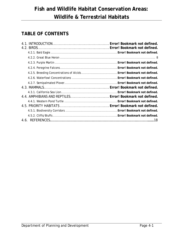# **TABLE OF CONTENTS**

| 4.2.5. Breeding Concentrations of Alcids  Error! Bookmark not defined. |
|------------------------------------------------------------------------|
|                                                                        |
|                                                                        |
|                                                                        |
|                                                                        |
| 4.4. AMPHIBIANS AND REPTILES Error! Bookmark not defined.              |
|                                                                        |
|                                                                        |
|                                                                        |
|                                                                        |
|                                                                        |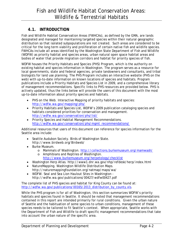## **4.1. INTRODUCTION**

Fish and Wildlife Habitat Conservation Areas (FWHCAs), as defined by the GMA, are lands designated and managed for maintaining targeted species within their natural geographic distribution so that isolated subpopulations are not created. Such areas are considered to be critical for the long term viability and proliferation of certain native fish and wildlife species. FWHCAs include all areas identified by the Washington State Department of Fish and Wildlife (WDFW) as priority habitat and species areas, urban natural open space habitat areas and bodies of water that provide migration corridors and habitat for priority species of fish.

WDFW houses the Priority Habitats and Species (PHS) Program, which is the authority on existing habitat and species information in Washington. The program serves as a resource for local governments, state and federal agencies, private landowners and consultants, and tribal biologists for land use planning. The PHS Program includes an interactive website (PHS on the web) with up-to-date information on known locations of species and habitats. Program publications include a Priority Habitats and Species List in 2009, and a comprehensive library of management recommendations. Specific links to PHS resources are provided below. PHS is actively updated, thus the links below will provide the users of this document with the most up-to-date information about priority species and habitats.

- PHS on the Web. Interactive Mapping of priority habitats and species: http://wdfw.wa.gov/mapping/phs/
- Priority Habitats and Species List, WDFW's 2009 publication cataloging species and habitats considered priorities for conservation and management. http://wdfw.wa.gov/conservation/phs/list/
- Priority Species and Habitat Management Recommendations. http://wdfw.wa.gov/conservation/phs/mgmt\_recommendations/

Additional resources that users of this document can reference for species information for the Seattle area include:

- Seattle Audubon Society. Birds of Washington State. http://www.birdweb.org/Birdweb/
- Burke Museum.
	- o Mammals of Washington. http://collections.burkemuseum.org/mamwash/
	- o Amphibians and Reptiles of Washington. http://www.burkemuseum.org/herpetology/checklist
- Washington Herp Atlas. http://www1.dnr.wa.gov/nhp/refdesk/herp/index.html
- NatureMapping. Washington Wildlife Distribution Maps. http://naturemappingfoundation.org/natmap/maps/wa/
- WDFW. Seal and Sea Lion Haulout Sites in Washington http://wdfw.wa.gov/publications/00427/wdfw00427.pdf

The complete list of PHS species and habitat for King County can be found at: http://wdfw.wa.gov/publications/00165/2013\_distribution\_by\_county.xls.

While the PHS program is for all of Washington, this section summarizes WDFW's priority habitats and species found in Seattle. It should be noted that management recommendations contained in this report are intended primarily for rural conditions. Given the urban nature of Seattle and the habituation of some species to urban conditions, management of these species needs to be tailored to fit Seattle's context. When appropriate, Seattle works with the Department of Fish and Wildlife to draft specific management recommendations that take into account the urban nature of the specific area.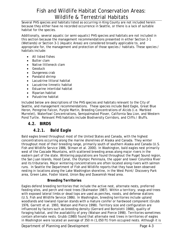Several PHS species and habitats listed as occurring in King County are not included herein because they either have no recorded occurrence in Seattle, or there is a lack of suitable habitat for the species.

Additionally, several aquatic (or semi-aquatic) PHS species and habitats are not included in this section because the management recommendations presented in either Section 2-1 (Wetlands) or Section 3-1 (Aquatic Areas) are considered broadly applicable to, and appropriate for, the management and protection of those species / habitats. These species / habitats include:

- All listed fishes
- Butter clam
- Native littleneck clam
- Geoduck
- Dungeness crab
- Pandalid shrimp
- Lacustrine littoral habitat
- Lacustrine limnetic habitat
- Estuarine intertidal habitat
- Riparian habitat
- Palustrine habitat

Included below are descriptions of the PHS species and habitats relevant to the City of Seattle, and management recommendations. These species include Bald Eagle, Great Blue Heron, Peregrine Falcon, Purple Martin, Breeding Concentrations of Alcids (i.e. Marbled Murrelet), Waterfowl Concentrations, Semipalmated Plover, California Sea Lion, and Western Pond Turtle. Relevant PHS habitats include Biodiversity Corridors, and Cliffs / Bluffs.

## **4.2. BIRDS**

## *4.2.1. Bald Eagle*

Bald eagles breed throughout most of the United States and Canada, with the highest concentrations occurring along the marine shorelines of Alaska and Canada. They winter throughout most of their breeding range, primarily south of southern Alaska and Canada (U.S. Fish and Wildlife Service 1986, Stinson et al. 2000). In Washington, bald eagles nest primarily west of the Cascade Mountains, with scattered breeding areas along major rivers in the eastern part of the state. Wintering populations are found throughout the Puget Sound region, the San Juan Islands, Hood Canal, the Olympic Peninsula, the upper and lower Columbia River and its tributaries. Major wintering concentrations are often located along rivers with salmon runs. In Seattle the Department of Fish and Wildlife reports that they have been observed nesting in locations along the Lake Washington shoreline, in the West Point/ Discovery Park area, Green Lake, Foster Island, Union Bay and Duwamish Head area.

### **Breeding Territories**

Eagles defend breeding territories that include the active nest, alternate nests, preferred feeding sites, and perch and roost trees (Stalmaster 1987). Within a territory, snags and trees with exposed lateral limbs or dead tops are used as perches, roosts, and defense stations (U.S. Fish and Wildlife Service 1986). In Washington, breeding territories include upland woodlands and lowland riparian stands with a mature conifer or hardwood component (Grubb 1976, Garrett et al. 1993, Watson and Pierce 1998). Territory size and configuration are influenced by factors such as breeding density (Gerrard and Bortolotti 1988), quality of foraging habitat, and the availability of prey (Watson and Pierce 1998). Territories sometimes contain alternate nests. Grubb (1980) found that alternate nest trees in territories of eagles in Washington were located an average of 350 m (1,050 ft) from occupied nests. Although it is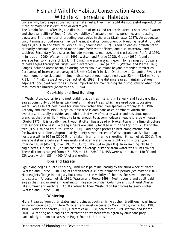unclear why bald eagles construct alternate nests, they may facilitate successful reproduction if the primary nest is disturbed or destroyed.

The 3 main factors affecting the distribution of nests and territories are: 1) nearness of water and the availability of food; 2) the availability of suitable nesting, perching, and roosting trees; and 3) the number of breeding-age eagles in the area (Stalmaster 1987). An adequate, uncontaminated food source may be the most critical component of breeding habitat for bald eagles (U.S. Fish and Wildlife Service 1986, Stalmaster 1987). Breeding eagles in Washington primarily consume live or dead marine and fresh-water fishes, and also waterfowl and seabirds. Secondary food sources include mammals, mollusks, and crustaceans (Retfalvi 1970, Knight et al. 1990, Watson et al. 1991, Watson and Pierce 1998). Grubb (1980) found an average territory radius of 2.5 km (1.6 mi.) in western Washington. Home ranges of 50 pairs of bald eagles throughout Puget Sound averaged 6.8 km<sup>2</sup> (4.2 mi<sup>2</sup>) (Watson and Pierce 1998). Ranges included areas occupied during occasional excursions beyond defended territories. Core areas of intense use averaged 1.5 km<sup>2</sup> (0.9 mi<sup>2</sup>) in size. On the lower Columbia River, the mean home range size and minimum distance between eagle nests was 22 km<sup>2</sup> (13.6 mi<sup>2</sup>) and 7.1 km (4.4 mi), respectively (Garrett et al. 1993). The distance eagles maintain between adjacent, occupied territories may be important for maintaining their productivity when food resources are limited (Anthony et al. 1994).

## **Courtship and Nest Building**

In Washington, courtship and nest building activities intensify in January and February. Bald eagles commonly build large stick nests in mature trees, which are used over successive years. Eagles select nest trees for structure rather than tree species (Anthony et al. 1982, Anthony and Isaacs 1989). A typical nest tree is dominant or co-dominant within the overstory. It usually provides an unobstructed view of nearby water and has stout upper branches that form flight windows large enough to accommodate an eagle's large wingspan (Grubb 1976). It is usually live, though it often has a dead or broken top with a limb structure that supports the nest. Bald eagle nests are usually located within the top 7 m (20 ft) of the tree (U.S. Fish and Wildlife Service 1986). Bald eagles prefer to nest along marine and freshwater shorelines. Approximately ninety-seven percent of Washington's active bald eagle nests are within 914 m (3000 ft) of a lake, river, or marine shoreline (Stinson et al. 2001). The average distance between these nests and open water varies slightly with shore type [marine:140 m (457 ft), river:193 m (633 ft), lake:304 m (997 ft)]. In examining 218 bald eagle nests, Grubb (1980) found that their average distance from water was 86 m (282 ft). These distances ranged from 4.6 - 805 m (15 - 2,640 ft). 55% were within 46 m (150 ft) and 92% were within 183 m (600 ft) of a shoreline.

### **Eggs and Eaglets**

Egg-laying begins in late February, with most pairs incubating by the third week of March (Watson and Pierce 1998). Eaglets hatch after a 35-day incubation period (Stalmaster 1987). Most eaglets fledge in mid-July but remain in the vicinity of the nest for several weeks prior to dispersal (Anderson et al. 1986, Watson and Pierce 1998). Most juvenile and adult bald eagles that nest in western Washington migrate to British Columbia and southeast Alaska in late summer and early fall. Adults return to their Washington territories by early winter (Watson and Pierce 1998).

#### **Wintering**

Migrant eagles from other states and provinces begin arriving at their traditional Washington wintering grounds during late October, and most disperse by March (Biosystems, Inc. 1980, 1981, Fielder and Starkey 1980, Garrett et al. 1988, Stalmaster 1989, Watson and Pierce 2001). Wintering bald eagles are attracted to western Washington by abundant prey, particularly salmon carcasses on Puget Sound tributaries.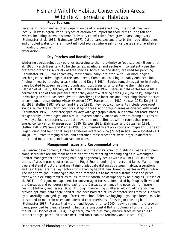#### **Food Sources**

Because wintering eagles often depend on dead or weakened prey, their diet may vary locally. In Washington, various types of carrion are important food items during fall and winter, including spawned salmon (primarily chum) taken from gravel bars along rivers (Stalmaster et al. 1985, Stalmaster 1987). Cattle carcasses and afterbirths, road-killed deer, and crippled waterfowl are important food sources where salmon carcasses are unavailable (J. Watson, personal

observation).

### **Day Perches and Roosting Habitat**

Wintering eagles select day perches according to their proximity to food sources (Steenhof et al. 1980). Perch trees tend to be the tallest available, and eagles will consistently use their preferred branches. A variety of tree species, both alive and dead, are used for perching (Stalmaster 1976). Bald eagles may roost communally in winter, with 3 or more eagles perching consecutive nights in the same trees. Communal roosting probably enhances foodfinding in nearby foraging areas (Knight and Knight 1984). Eagles sometimes gather in staging trees located between feeding grounds and roost trees prior to entering the night roost (Hansen et al. 1980, Anthony et at. 1982, Stalmaster 1987). Because bald eagles leave little permanent sign of their presence after they depart wintering areas (i.e., no nest), emphasis in Washington state has been given to identifying the locations and describing characteristics of communal roosts during winter (Hansen 1977, Hansen et al. 1980, Keister 1981, Knight et al. 1983, Stellini 1987, Watson and Pierce 1998). Key roost components include core roost stands, buffer trees, flight corridors, staging trees, and foraging areas associated with roosts (Stalmaster 1987). Roost tree species vary with geographic area, but communal roost stands are generally uneven-aged with a multi-layered canopy, often on leeward-facing hillsides or in valleys. Such characteristics create favorable microclimates within roosts that promote energy conservation (Hansen et al. 1980, Keister 1981, Stalmaster and Gessaman 1984, Stellini 1987). Watson and Pierce (1998) documented twenty-six roosts on major tributaries of Puget Sound and found that eagle territories averaged 9 ha (22 ac) in size, were located <1.1 km (0.7 mi) from foraging areas, and contained roost trees that were larger in diameter, taller, and more decadent than random trees.

#### **Management Issues and Recommendations**

Residential development, timber harvest, and the construction of buildings, roads, and piers along shorelines are the main habitat alterations affecting breeding eagles in Washington. Habitat management for nesting bald eagles generally occurs within 400m (1320 ft) of the shores of Washington's outer coast, the Puget Sound, and major rivers and lakes. Maintaining tree and stand structure, and maintaining adequate distances between habitat alterations and nest trees, are the key factors for managing habitat near breeding eagles in Washington. The long-term goal in managing habitat alterations is to maintain suitable nest and perch trees within existing territories to insure their continued occupancy by bald eagles (Stinson et al. 2001). In Oregon, management for uneven-aged forests, dominated by Douglas-fir west of the Cascades and ponderosa pine east of the Cascades, enhance the potential for future nesting (Anthony and Isaacs 1989). Although maintaining unaltered old-growth stands may provide optimum bald eagle habitat, the necessary structural characteristics may be supplied by a carefully managed, younger forest over time. Selective logging in younger forests may be prescribed to maintain or enhance desired characteristics of nesting or roosting habitat (Stalmaster 1987). Forests that were hand-logged prior to 1940, leaving remnant old-growth trees, provided bald eagle breeding habitat along coastal British Columbia for the future in the 1980s (Hodges et al. 1984). In general, maintain as many mature trees as possible to protect forage, perch, alternate nest, and roost habitat (Anthony and Isaacs 1989).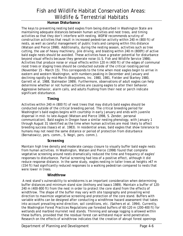### **Human Disturbance**

The keys to preventing nesting bald eagles from being disturbed in Washington State are maintaining adequate distances between human activities and nest trees, and timing activities so that they don't interfere with nesting. WDFW recommends scrutiny of construction activities that result in increased pedestrian activity within 240 m (800 ft) of nests, as well as careful management of public trails and camping within this distance (Watson and Pierce 1998). Additionally, during the nesting season, activities such as tree cutting, the use of heavy machinery, pile driving, and blasting within 240 m (800ft) of active bald eagle nests should be avoided. These activities have a greater potential for disturbance beyond visual effects because they generate noise (U.S. Fish and Wildlife Service 1986). Activities that produce noise or visual effects within 120 m (400 ft) of the edges of communal roost trees or staging trees should be conducted outside of the critical roosting period (November 15 - March 15). This corresponds to the time when most eagles begin to arrive in eastern and western Washington, with numbers peaking in December and January and declining rapidly by mid-March (Biosystems, Inc. 1980, 1981, Fielder and Starkey 1980, Garrett et al. 1988, Stalmaster 1989). Furthermore, observations of adult eagles can help determine whether or not human activities are causing eagles to alter their behavior. Aggressive behavior, alarm calls, and adults flushing from their nest or perch indicate significant disturbance.

#### **Timing**

Activities within 240 m (800 ft) of nest trees that may disturb bald eagles should be conducted outside of the critical breeding period. The critical breeding period for Washington's bald eagles begins with courtship in early January and ends with juvenile dispersal in mid- to late-August (Watson and Pierce 1998, S. Zender, personal communication). Bald eagles in Oregon have a similar nesting phenology, with January 1 through August 31 identified as the time when human activities are most likely to affect breeding success (Isaacs et al. 1983). In residential areas, bald eagles that show tolerance to humans may not need the same distance or period of protection from disturbance (Bernatowicz, pers. comm., S. Negri, pers. comm.).

#### **Screening**

Maintain high tree density and moderate canopy closure to visually buffer bald eagle nests from human activities. In Washington, Watson and Pierce (1998) found that complete vegetative screening around nests dramatically reduced the time and frequency of eagles' responses to disturbance. Partial screening had less of a positive effect, although it did reduce response distance. In the same study, eagles nesting in taller trees at heights >47 m (154 ft) had significantly reduced responses to a walking pedestrian compared to nests that were lower in trees.

### **Windthrow**

 A nest stand's vulnerability to windstorms is an important consideration when determining buffer distances and minimum stand size (Anthony and Isaacs 1989). Maintain a buffer of 120- 240 m (400-800 ft) from the nest in order to protect the core stand from the effects of windthrow. The shape of the buffer may vary with site topography and prevailing wind direction to maximize vegetative screening and protection of the core stand. Buffers with variable widths can be designed after conducting a windthrow hazard assessment that takes into account prevailing wind direction, soil conditions, etc. (Sathers et al. 1994). Currently, the Washington Forest Practices Regulations use forested buffers of 60-120 m (200-400 ft) for wetlands and marbled murrelet nest stands. Thinning and salvage logging is allowed within these buffers, provided that the residual forest can withstand major wind penetration. Research on the effects of windthrow indicates that the creation of abrupt forest openings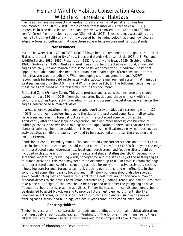may result in negative impacts to residual forest stands. Wind penetration has been documented up to 60 m (200 ft) into a conifer forest interior (Fritschen et al. 1971). Decreases in tree densities and tree canopy cover were noted up to 120 m (400 ft) into conifer forest from the clear-cut edge (Chen et al. 1992). These changes were attributed mostly to tree mortality and windthrow caused by high wind velocities along new clearcut edges. A forested buffer can mitigate these edge effects on core nest or roost stands.

#### **Buffer Distances**

Buffers between 100-1,200 m (330-4,000 ft) have been recommended throughout the United States to protect the integrity of nest trees and stands (Mathison et al. 1977, U.S. Fish and Wildlife Service 1982, 1986, Fraser et al. 1985, Anthony and Isaacs 1989, Grubb and King 1991,; Grubb et al. 1992). Nests and nest trees must be protected year round, since bald eagles typically use and maintain the same nests year after year. In addition, nests that appear to be abandoned also need protection, since bald eagles often construct alternate nests that are used periodically. When developing site management plans, WDFW recommends buffering bald eagle nests with a two-zone management system that mimics a strategy designed by the U.S. Fish and Wildlife Service (1981). The following guidelines for these zones are based on the research cited in this document:

Protected Zone (Primary Zone). This zone protects and screens the nest tree and should extend at least 120 m (400 ft) from the nest tree. Its size and shape will vary with site conditions such as topography, prevailing winds, and screening vegetation, as well as on the eagles' tolerance to human activities.

In areas where vegetation and/or topography don't provide adequate screening within 120 m (400 ft) of the nest, consider increasing the size of the protected zone. Retain all existing large trees and existing forest structure within the protected zone. Activities that significantly alter the landscape or vegetation, such as timber harvest; construction of buildings, roads, or power lines; mining; and the application of chemicals that are toxic to plants or animals, should be avoided in this zone. In some situations, noisy, non-destructive activities that can disturb eagles may need to be postponed until after the breeding and nesting seasons.

Conditioned Zone (Secondary Zone). The conditioned zone further screens and protects nest sites in the protected zone and should extend from 100 to 240 m (330-800 ft) beyond the edge of the protected zone. Alternate nest locations, perch trees, and feeding sites should be included in this zone and will influence its size and shape (Stallmaster 1987). Depending on screening vegetation, prevailing winds, topography, and the sensitivity of the nesting eagles to human activities, this zone may need to be expanded up to 800 m (2640 ft) from the edge of the protected zone. Avoid constructing facilities for noisy or intrusive activities, such as mines, log transfer and storage areas, rock crushing operations, and oil refineries, in the conditioned zone. High-density housing and multi-story buildings should also be avoided. Avoid constructing roads or trails within sight of the nest that would facilitate human or predator access to the nest. Construction activities (e.g., homes, roads, and power lines) that take place out of sight of the nest should be postponed until after the young eagles have fledged, as should forest practice activities. Timber harvest within conditioned zones should be designed to avoid blowdown and to provide future nest tree recruitment. Short term, unobtrusive activities, or those shown not to disturb nesting eagles, such as the use of existing roads, trails, and buildings, can occur year-round in the conditioned zone.

### **Roosting Habitat**

Timber harvest, and the construction of roads and buildings are the main habitat alterations that negatively affect roosting eagles in Washington. The long-term goal in managing these alterations is to maintain suitable roost trees and roost components over time in areas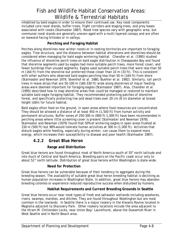inhabited by bald eagles in order to ensure their continued use. Key roost components included core roost stands, buffer trees, flight corridors and staging trees, and prey bases associated with roosts (Stalmaster 1987). Roost tree species vary with geographic area, but communal roost stands are generally uneven-aged with a multi-layered canopy and are often on leeward-facing hillsides or in valleys.

## **Perching and Foraging Habitat**

Perches along shorelines near winter roosts or in nesting territories are important to foraging eagles. Tree structure, and the distance between habitat alterations and shorelines should be considered when managing for bald eagle wintering habitat. Chandler et al. (1995) studied the influence of shoreline perch trees on bald eagle distribution in Chesapeake Bay and found that shoreline segments used by eagles had more suitable perch trees, more forest cover, and fewer buildings than unused segments. Eagles used suitable perch trees that were less than 50 m (164 ft) from the shoreline but preferred those closer than 10 m (33 ft). This is consistent with other authors who observed bald eagles perching less than 50 m (164 ft) from shore (Stalmaster and Newman 1979, Steenhof et al. 1980, Buehler et al. 1992). Similarly, tall perch trees in leave strips that are 50-100 m (160-330 ft) wide along shorelines of major feeding areas were deemed important for foraging eagles (Stalmaster 1987). Also, Chandler et al. (1995) described how to map shoreline areas that could be managed or restored to maintain suitable bald eagle foraging habitat. They recommended protecting patches of shoreline forest, and specifically protecting live and dead trees over 20 cm (8 in) diameter at breast height (dbh) for future habitat.

Bald eagles often feed on the ground, in open areas where food resources are concentrated. They should be allowed a distance of at least 450 m (1,500 ft) from human activity and permanent structures. Buffer zones of 250-300 m (800 ft-1,000 ft) have been recommended in perching areas where little screening cover is present (Stalmaster and Newman 1978). Stalmaster and Newman (1979) found that 50% of wintering eagles in open areas flushed at 150 m (500 ft) but 98% would tolerate human activities at 300 m (1,000 ft). Activities that disturb eagles while feeding, especially during winter, can cause them to expend more energy, which increases their susceptibility to disease and poor health (Stalmaster 1987).

## *4.2.2 Great Blue Heron*

## **Range and Distribution**

Great blue herons are found throughout most of North America south of  $55^{\circ}$  north latitude and into much of Central and South America. Breeding pairs on the Pacific coast occur only to about 52° north latitude. Distribution of great blue herons within Washington is state-wide.

### **Need for Protection**

Great blue herons can be vulnerable because of their tendency to aggregate during the breeding season. The availability of suitable great blue heron breeding habitat is declining as human population increases in Washington State. In addition, great blue herons may abandon breeding colonies or experience reduced reproductive success when disturbed by humans.

### **Habitat Requirements and Current Breeding Grounds in Seattle**

Great blue herons occur near most types of fresh and saltwater wetlands including seashores, rivers, swamps, marshes, and ditches. They are found throughout Washington but are most common in the lowlands. In Seattle there is a major rookery in the Kiwanis Ravine located in Magnolia adjacent to Discovery Park. Other rookery locations include the area adjacent to the Hiram M. Chittenden Locks, near Union Bay/ Laurelhurst, above the Duwamish River in West Seattle and in North Beach area.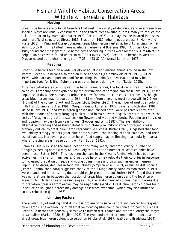#### **Nesting**

Great blue herons are colonial breeders that nest in a variety of deciduous and evergreen tree species. Nests are usually constructed in the tallest trees available, presumably to reduce the risk of predation by mammals (Butler 1992, Carlson 1995), but may also be located in bushes and in artificial structures (Bruce 1986, Blus et al. 1980) when trees are absent (Henny and Kurtz 1978). In King and Kitsap counties, great blue herons nested at heights ranging from 9- 26 m (30-85 ft) in the tallest trees available (Jensen and Boersma 1993). A British Columbia study found that most great blue heron nests occurring in trees were located >14 m (46 ft) in height. No nests were found under 10 m (33 ft) (Mark 1976). Great blue herons in western Oregon nested at heights ranging from 7-25 m (23-82 ft) (Werschkul et al. 1976).

#### **Feeding**

Great blue herons feed on a wide variety of aquatic and marine animals found in shallow waters. Great blue herons also feed on mice and voles (Calambokidis et al. 1985, Butler 1995), which are an important food for nestlings in Idaho (Collazo 1981) and may be an important food for British Columbia great blue herons during winter (Butler 1995).

At large spatial scales (e.g., great blue heron home range), the location of great blue heron colonies is probably best explained by the distribution of foraging habitat (Gibbs 1991, Jensen unpublished data, see human disturbance below for smaller scale considerations). Although great blue herons may forage up to 29 km (18 mi) from a colony, most forage within 2-5 km (1-3 mi) of the colony (Short and Cooper 1985, Butler 1995). The number of nests per colony in British Columbia (Butler 1991), Oregon (Werschkul et al. 1977, Bayer and McMahon 1981), Maine (Gibbs 1991), and Washington (Jensen unpublished data) were positively correlated with the amount of nearby foraging habitat, and in Maine were negatively correlated with the costs of foraging at greater distances (km flown/ha of wetland visited). Feeding territory size and location may vary from year to year (Hoover and Wills 1987). The availability of alternative foraging and nesting habitat within close proximity of known foraging sites is probably critical to great blue heron reproductive success. Butler (1995) suggested that food availability strongly affects great blue heron survival, the spacing of their colonies, and their use of habitat. Moreover, great blue heron food supply may be limiting, particularly in areas where foraging areas freeze during winter (Butler 1992).

Colonies usually exist at the same location for many years, and productivity (number of fledglings/nesting herons) may be positively related to the number of years colonies have been in use (Butler 1995). This has been the case in the Kiwanis Ravine which has been an active nesting site for many years. Great blue herons may relocate their colonies in response to increased predation on eggs and young by mammals and birds such as eagles (Jensen unpublished data), declines in food availability (Simpson et al. 1987), or human disturbance. Jensen (unpublished data) suggested that 2 of the 5 King County colonies monitored in 1991 were abandoned in late spring due to bald eagle predation, but Butler (1995) found that there was no relationship between the location of great blue heron colonies and the location of areas with high densities of nesting eagles. Thus, abandonment of colonial nesting areas due to predation pressure from eagles may be regionally specific. Great blue heron colonies built in spruce or Douglas-fir trees may damage host trees over time, which may also influence colony relocation (Julin 1986).

#### **Limiting Factors**

The availability of nesting habitat in close proximity to suitable foraging habitat limits great blue herons. The availability of alternative foraging sites could be critical to nesting success. Great blue herons are generally sensitive to human disturbance and are frequently the target of vandalism (Parker 1980, English 1978). The type and extent of human disturbance can affect great blue heron colony site selection (Gibbs et al. 1987, Watts and Bradshaw 1994). In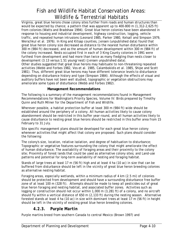Virginia, great blue herons chose colony sites further from roads and human structures than would be expected by chance; a pattern that was apparent up to 400-800 m (1,312-2,625 ft) from colonies (Watts and Bradshaw 1994). Great blue heron colonies have been abandoned in response to housing and industrial development, highway construction, logging, vehicle traffic, and repeated human intrusions (Leonard 1985, Parker 1980, Kelsall and Simpson 1979, Werschkul et al. 1976). In King and Kitsap counties, Jensen (unpublished data) found that great blue heron colony size decreased as distance to the nearest human disturbance within 300 m (984 ft) decreased, and as the amount of human development within 300 m (984 ft) of the colony increased. Nests occupied first in each of 3 King County colonies in 1991 were furthest from development and had more than twice as many fledgling than nests closer to development (3.13 versus 1.51 young/nest) (Jensen unpublished data).

Other studies suggested that great blue herons may habituate to non-threatening repeated activities (Webb and Forbes 1982, Vos et al. 1985, Calambokidis et al. 1985, Shipe and Scott 1981). Thus, different great blue herons may have different tolerance levels to disturbance depending on disturbance history and type (Simpson 1984). Although the effects of visual and auditory buffers have not been well studied, topographic or vegetation obstructions may ameliorate some types of disturbance (Webb and Forbes 1982).

### **Management Recommendations**

The following is a summary of the management recommendations found in Management Recommendations for Washington's Priority Species, Volume IV: Birds prepared by Timothy Quinn and Ruth Milner for the Department of Fish and Wildlife.

Wherever possible, a habitat protection buffer at least 300 m (984 ft) wide should be established around the periphery of a colony. All human activities likely to cause colony abandonment should be restricted in this buffer year-round, and all human activities likely to cause disturbance to nesting great blue herons should be restricted in this buffer area from 15 February to 31 July.

Site specific management plans should be developed for each great blue heron colony whenever activities that might affect that colony are proposed. Such plans should consider the following:

The colony's size, location, relative isolation, and degree of habituation to disturbance; Topographic or vegetative features surrounding the colony that might ameliorate the effect of human disturbance; The availability of foraging areas and their proximity to the colony site; Proximity of forest lands that could be used as alternative colony sites; and Land-use patterns and potential for long-term availability of nesting and foraging habitat.

Stands of large trees at least 17 m (56 ft) high and at least 4 ha (10 ac) in size that can be buffered from disturbance should be left in the vicinity of great blue heron breeding colonies as alternative nesting habitat.

Foraging areas, especially wetlands, within a minimum radius of 4 km (2.5 mi) of colonies should be protected from development and should have a surrounding disturbance free buffer zone of at least 100 m (328 ft). Attempts should be made to keep all pesticides out of great blue heron foraging and nesting habitat, and associated buffer zones. Activities such as logging or construction should not occur within 1,000 m (3,281 ft) of a colony, and no aircraft should fly within a vertical distance of 650 m (2,133 ft) during the nesting season. Alternative forested stands at least 4 ha (10 ac) in size with dominant trees at least 17 m (56 ft) in height should be left in the vicinity of existing great blue heron breeding colonies.

## *4.2.3. Purple Martin*

Purple martins breed from southern Canada to central Mexico (Brown 1997) and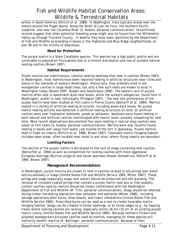winter in South America (Ehrlich et al. 1988). In Washington, they typically breed near the waters around the Puget Sound, along the Strait of Juan de Fuca, the southern Pacific coastline, and near the Columbia River (S. Kostka, personal communication). Unconfirmed records suggest that other potential breeding areas might also be found from the Willamette Valley up through Thurston County. In Seattle they have been identified by the Department of Fish and Wildlife as breeding in boxes in the Highlands and Blue Ridge neighborhoods, at pier 90 and in the vicinity of downtown.

### **Need for Protection**

The purple martin is a State Candidate species. This species has a high public profile and are vulnerable to population fluctuations due to a limited distribution and loss of suitable natural nesting cavities (Brown 1997).

### **Habitat Requirements**

Purple martins are insectivorous, colonial nesting swallows that nest in cavities (Brown 1997). In Washington, most martins have been reported nesting in artificial structures near cities and towns in the lowlands of western Washington. Historically, they probably bred in old woodpecker cavities in large dead trees, but only a few such nests are known to exist in Washington today (Brown 1997, Russell and Gauthreaux 1999). The eastern race of purple martins often nest in apartment-style nest-boxes, while the western subspecies, found here in Washington, prefer to nest individually (Pridgeon 1997). The nest site preferences of the purple martin have been studied at Fort Lewis in Pierce County (Bottorff et al. 1994). Martins nested in a variety of artificial nesting structures, including wood duck boxes. No purple martin nesting activity was detected in artificial nesting structures on land; all artificial cavities were over freshwater wetlands, ponds or saltwater. Swallows were found nesting in both natural and artificial cavities intermingled with martin nests, possibly competing for nest sites. More recent observations documented four pairs nesting in natural snag cavities near water at Fort Lewis (S. Kostka, personal communication). Martins were also recently found nesting in boxes well away from water just outside of the fort in Spanaway. Purple martins feed in flight on insects (Ehrlich et al. 1988, Brown 1997). Favorable martin foraging habitat includes open areas, often located near moist to wet sites, where flying insects are abundant.

### **Limiting Factors**

The decline of the purple martin is attributed to the lack of snags containing nest cavities (Bottorffet al. 1994) as well as competition for nesting cavities with more aggressive European starlings (*Sturnus vulgaris*) and house sparrows (*Passer domesticus*; Bottorff et al. 1994, Brown 1997).

### **Management Recommendations**

In Washington, purple martins are known to nest in cavities located in old pilings over water and occasionally in snags (United States Fish and Wildlife Service 1985, Milner 1987). These pilings and snags (especially snags near water) should be protected and left standing. The removal of creosote-coated pilings that contain a purple martin nest box or that possibly contain cavities used by martins should be closely coordinated with the Washington Department of Fish and Wildlife (M. Tirhi, personal communication). Snags should be retained during timber harvesting operations near saltwater and wetlands (Milner 1988), including salvage operations after burns, blow-downs, and insect infestations (United States Fish and Wildlife Service 1985). Prescribed burns can be used as a tool to create favorable martin foraging habitat. Snags can be created in forest openings, or at forest edges (e.g., by topping trees) where nesting cavities are lacking, especially within 16 km (10 mi) of an existing purple martin colony (United States Fish and Wildlife Service 1985). Because northern flickers and pileated woodpeckers excavate cavities used by martins, managing for these species will indirectly benefit martins (K. Bettinger, personal communication). Because of their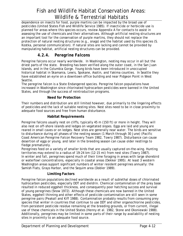dependence on insects for food, purple martins can be impacted by the broad use of pesticides (United States Fish and Wildlife Service 1985). If insecticide or herbicide use is planned for areas where this species occurs, review Appendix A for contacts to assist in assessing the use of chemicals and their alternatives. Although artificial nesting structures are an important tool for the conservation of purple martins, they should not replace the protection of natural nesting structures (e.g., snags) and the habitat used by this species (S. Kostka, personal communication). If natural sites are lacking and cannot be provided by manipulating habitat, artificial nesting structures can be provided.

## *4.2.4. Peregrine Falcons*

Peregrine falcons occur nearly worldwide. In Washington, nesting may occur in all but the driest parts of the state. Breeding has been verified along the outer coast, in the San Juan Islands, and in the Columbia Gorge. Young birds have been introduced in unoccupied historical habitat in Skamania, Lewis, Spokane, Asotin, and Yakima counties. In Seattle they have established an eyrie on a downtown office building and near Pidgeon Point in West Seattle.

The peregrine falcon is a State Endangered species. Peregrine falcon populations have increased in Washington since chlorinated hydrocarbon pesticides were banned in the United States, and through the success of reintroduction programs.

## **Need for Protection**

Their numbers and distribution are still limited however, due primarily to the lingering effects of pesticides and the lack of suitable nesting sites. Nest sites need to be in close proximity to adequate food sources and free from human disturbance.

## **Habitat Requirements**

Peregrine falcons usually nest on cliffs, typically 45 m (150 ft) or more in height. They will also nest on off-shore islands and ledges on vegetated slopes. Eggs are laid and young are reared in small caves or on ledges. Nest sites are generally near water. The birds are sensitive to disturbance during all phases of the nesting season (1 March through 30 June) (Pacific Coast American Peregrine Falcon Recovery Team 1982, Towry 1987). Disturbance can cause desertion of eggs or young, and later in the breeding season can cause older nestlings to fledge prematurely.

Peregrines feed on a variety of smaller birds that are usually captured on-the-wing. Hunting territories may extend to a radius of 19-24 km (12-15 mi) from nest sites (Towry 1987). In winter and fall, peregrines spend much of their time foraging in areas with large shorebird or waterfowl concentrations, especially in coastal areas (Dekker 1995). At least 3 western Washington areas support significant numbers of winter resident peregrines annually: the Samish Flats, Grays Harbor, and the Sequim area (Dobler 1989).

## **Limiting Factors**

Peregrine falcon populations declined worldwide as a result of sublethal doses of chlorinated hydrocarbon pesticides, especially DDT and dieldrin. Chemical contamination of the prey base resulted in reduced eggshell thickness, and consequently poor hatching success and survival of young peregrines (Snow 1972). Although these chemicals are now banned in the United States, eggshell thinning and other effects of pesticide contamination are still seen in some peregrine pairs (Peakall and Kiff 1988). Contamination probably results from consuming prey species that winter in countries that continue to use DDT and other organochlorine pesticides, from persistent pesticide residue remaining at the breeding grounds, or from current, illegal use of these chemicals in the United States (Henny et al. 1982, Stone and Okoniewski 1988). Additionally, peregrines may be limited in some parts of their range by availability of nesting sites in proximity to an adequate food source.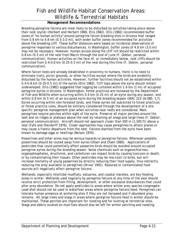### **Management Recommendations**

Breeding peregrine falcons are most likely to be disturbed by activities taking place above their nest (eyrie) (Herbert and Herbert 1969, Ellis 1982). Ellis (1982) recommended buffer zones of "no human activity" around peregrine falcon breeding sites in Arizona that ranged from 0.8 km to 4.8 km (0.5-3.0 mi), with wider buffer zones recommended for activities above the breeding cliff. These buffer distances were based on incidental observations of peregrine responses to various disturbances. In Washington, buffer zones of 4.8 km (3.0 mi) may not be necessary. However, human access along the cliff rim should be restricted within 0.8 km (0.5 mi) of the nest from March through the end of June (F. Dobler, personal communication). Human activities on the face of, or immediately below, nest cliffs should be restricted from 0.4-0.8 km (0.25-0.5 mi) of the nest during this time (F. Dobler, personal communication).

Where falcon nests are already established in proximity to humans, there is no need to eliminate trails, picnic grounds, or other facilities except where the birds are evidently disturbed by the human activities. However, further facilities should not be established within 0.4-0.8 km (0.25-0.5 mi) of the eyries (Ellis 1982). Cliff tops above the eyrie should remain undeveloped. Ellis (1982) suggested that logging be curtailed within 1.6 km (1 mi) of occupied peregrine eyries in Arizona. In Washington, forest practices are reviewed by the Department of Fish and Wildlife when occurring within 0.4 km (0.25 mi) of an eyrie during any season, and within 0.8 km (0.5 mi) of an occupied eyrie during the breeding season (WAC 222-16-080, 1, f). Eyries occurring within non-forested lands, and those eyries not subjected to forest practices or forest practice rules, should be similarly considered through the development of a site specific peregrine management plan when activities near nests are considered. Male peregrines require perches within sight of the eyrie. Preserve all major perches around the nest and on ridges or plateaus above the nest by retaining all snags and large trees (F. Dobler, personal communication). Aircraft should not approach closer than 500 m (1,500 ft) above a nest (Fyfe and Olendorff 1976). Closer approaches may cause peregrines to attack planes or may cause a frantic departure from the nest. Falcons startled from the eyrie have been known to damage eggs or nestlings (Nelson 1970).

Powerlines and other wires may be serious hazards to peregrine falcons. Wherever possible, powerlines should be routed away from eyries (Olsen and Olsen 1980). Applications of pesticides that could potentially affect passerine birds should be avoided around occupied peregrine eyries during the breeding season. Some chemicals such as organochlorines, organophosphates, strychnine, and carbofuran can impact birds by causing toxicosis or death, or by contaminating their tissues. Other pesticides may be less toxic to birds, but will increase mortality of young passerines by directly reducing their food supply, thus indirectly reducing the prey available to peregrines (Driver 1991). Reduced or contaminated food sources will negatively affect peregrine falcons.

Wetlands, especially intertidal mudflats, estuaries, and coastal marshes, are key feeding areas in winter. Wetlands used regularly by peregrine falcons at any time of the year should receive strict protection from filling, development, or other excessive disturbances that could alter prey abundance. Do not apply pesticides to areas where winter prey species congregate. Lead shot should not be used in waterfowl areas where peregrine falcons feed. Peregrines can tolerate human presence at wintering sites if they are not harassed and if abundant prey remains. All large trees and snags in areas where peregrine falcons feed in winter should be maintained. These perches are important for roosting and for hunting at terrestrial sites. Snags and debris located on mud flats should also be left for winter perching and roosting.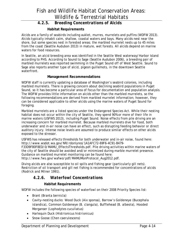## *4.2.5. Breeding Concentrations of Alcids*

### **Habitat Requirements**

Alcids are a family of seabirds including auklet, murres, murrelets and puffins (WDFW 2013). Alcids typically inhabit calm, shallow, coastal waters and bays. Many alcids nest near the shore, but some species nest in forested areas; the marbled murrelet nests up to 45 miles from the coast (Seattle Audubon 2013) in mature, wet forests. All alcids depend on marine waters for food resources.

In Seattle, an alcid breeding area was identified in the Seattle West waterway/Harbor Island according to PHS. According to Sound to Sage (Seattle Audubon 2006), a breeding pair of marbled murrelets was reported swimming in the Puget Sound off of West Seattle. Sound to Sage also reports another type of alcid, pigeon guillemots, in the downtown Seattle waterfront.

### **Management Recommendations**

WDFW staff is currently updating a database of Washington's seabird colonies, including marbled murrelets. There is growing concern about declining seabird populations in Puget Sound, so it has become a particular area of focus for documentation and population analysis. The WDFW provides little information on alcids other than the marbled murrelets, so the following recommendations are derived from marbled murrelet information; however, they can be considered applicable to other alcids using the marine waters of Puget Sound for foraging.

Marbled murrelets are a listed species under the Endangered Species Act. While their nesting habitat does not occur within the city of Seattle, they spend 90% or more of their life in marine waters (USFWS 2013), including Puget Sound. Noise effects from pile driving are an increasing concern for marbled murrelet. Because marbled murrelets dive for food, both underwater and in-air noise can have an effect, such as disrupting feeding behavior or direct auditory injury. Intense noise levels are assumed to produce similar effects on other alcids exposed to the stressor.

USFWS has released effects thresholds for both underwater and in-air noise, found here: http://www.wsdot.wa.gov/NR/rdonlyres/1A1AFC72-69F6-4C91-B479- F33D9F80F8ED/0/MAMU\_EffectsThresholds.pdf. Pile driving activities within marine waters of the city of Seattle should be avoided and/or minimized during marble murrelet presence. Guidance on marbled murrelet monitoring can be found here:

http://www.fws.gov/wafwo/pdf/MAMUMonProtocol\_Aug2012.pdf.

Diving alcids are also susceptible to oil spills and fishing gear (particularly gill nets). Restriction of oil transport and gill net fishing is recommended for concentrations of alcids (Rodrick and Milner 1991).

## *4.2.6. Waterfowl Concentrations*

### **Habitat Requirements**

WDFW includes the following species of waterfowl on their 2008 Priority Species list:

- Brant (*Branta bernicla*)
- Cavity-nesting ducks: Wood Duck (*Aix sponsa*), Barrow's Goldeneye (*Bucephala islandica*), Common Goldeneye (*B. clangula*), Bufflehead (*B. albeola*), Hooded Merganser (*Lophodytes cucullatus*)
- Harlequin Duck (*Histrionicus histrionicus*)
- Snow Goose (*Chen caerulescens*)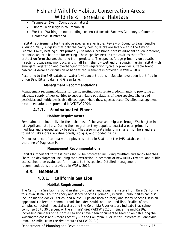- Trumpeter Swan (*Cygnus buccinators*)
- Tundra Swan (*Cygnus columbianus*)
- Western Washington nonbreeding concentrations of: Barrow's Goldeneye, Common Goldeneye, Bufflehead

Habitat requirements for the above species are variable. Review of Sound to Sage (Seattle Audubon 2006) suggests that only the cavity nesting ducks are likely within the City of Seattle. Cavity nesting ducks primarily use late-successional forests adjacent to low-gradient, or lentic, aquatic habitats for nesting. These species nest in tree cavities that offer protection form the weather and from predators. The species forage primarily on aquatic insects, crustaceans, mollusks, and small fish. Shallow wetland or aquatic margin habitat with emergent vegetation and overhanging woody vegetation typically provides suitable brood habitat. A detailed discussion of habitat requirements is provided in WDFW 2004.

According to the PHS database, waterfowl concentrations in Seattle have been identified in Union Bay, Bitter Lake, and Green Lake.

## **Management Recommendations**

Management recommendations for cavity nesting ducks relate predominantly to providing an adequate supply of nest cavities to support viable populations of these species. The use of pesticides and herbicides is also discouraged where these species occur. Detailed management recommendations are provided in WDFW 2004.

## *4.2.7. Semipalmated Plover*

## **Habitat Requirements**

Semipalmated plovers live in the artic most of the year and migrate through Washington in late April and late July. During their migration they populate coastal areas: primarily mudflats and exposed sandy beaches. They also migrate inland in smaller numbers and are found on lakeshores, alkaline ponds, sloughs, and flooded fields.

One occurrence of semipalmated plover is noted in Seattle in the PHS database on the shoreline of Magnuson Park.

### **Management Recommendations**

Habitats important to these birds should be protected including mudflats and sandy beaches. Shoreline development including sand extraction, placement of new utility towers, and public access should be evaluated for impacts to this species. Detailed management recommendations are provided in WDFW 2004.

## **4.3. MAMMALS**

## *4.3.1. California Sea Lion*

### **Habitat Requirements**

The California Sea Lion is found in shallow coastal and estuarine waters from Baja California to Alaska. It hauls out on rocky and sandy beaches, primarily islands. Haulout sites can also include marina docks, jetties, and buoys. Pups are born on rocky and sandy beaches. It is an opportunistic feeder, common foods include: squid, octopus, and fish. Studies of scat samples collected in coastal waters and the Columbia River estuary indicate that salmon comprise 10 to 30 percent of the animals' diet (WDFW 2013c). Since the mid-1980s, increasing numbers of California sea lions have been documented feeding on fish along the Washington coast and - more recently - in the Columbia River as far upstream as Bonneville Dam, 145 miles from the river mouth (WDFW 2013c).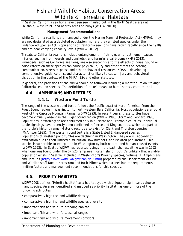In Seattle, California sea lions have been seen hauled out in the North Seattle area at Shilshole, West Point, and nearby areas on buoys (WDFW 2013b).

### **Management Recommendations**

While California sea lions are managed under the Marine Mammal Protection Act (MMPA), they are not designated as a depleted population, nor are they a listed species under the Endangered Species Act. Populations of California sea lions have grown rapidly since the 1970s and are near carrying capacity levels (WDFW 2013c).

Threats to California sea lions include entanglement in fishing gear, direct human-caused injuries (such as from vessels and gunshots), and harmful algal blooms (NMFS 2013). Pinnepeds, such as California sea lions, are also susceptible to the effects of noise. Sound or noise effects on these species can cause physical injury and other effects on hearing, communication, stress response and other behavioral responses. NOAA is developing comprehensive guidance on sound characteristics likely to cause injury and behavioral disruption in the context of the MMPA, ESA and other statutes.

In general, the provisions of the MMPA should be followed including a moratorium on "taking" California sea lion species. The definition of "take" means to hunt, harass, capture, or kill.

## **4.4. AMPHIBIANS AND REPTILES**

## *4.4.1. Western Pond Turtle*

The range of the western pond turtle follows the Pacific coast of North America, from the Puget Sound region in Washington to northwestern Baja California. Most populations are found west of the Cascade Mountain Range (WDFW 1993). In recent years, these turtles have become virtually absent in the Puget Sound region (WDFW 1993, Storm and Leonard 1995). Populations in Washington are confirmed only in Klickitat and Skamania counties. Individual turtle sightings have recently been confirmed in Pierce and King counties, which are part of the turtle's historic range. Historic records also exist for Clark and Thurston counties (McAllister 1995). The western pond turtle is a State Listed Endangered species. Populations of western pond turtles are declining in Washington. They are in jeopardy of extirpation due to their limited distribution, low numbers, and isolated populations. This species is vulnerable to extirpation in Washington by both natural and human-caused events (WDFW 1993). In Seattle WDFW has reported sitings in the past (the last siting was in 1992 when one was found under the SR 520 ramp near Foster island), but it's unlikely that a viable population exists in Seattle. Included in *Washington's Priority Species, Volume III: Amphibians and Reptiles* (http://www.wdfw.wa.gov/hab/vol3.htm) prepared by the Department of Fish and Wildlife staff Noelle Nordstrom and Ruth Milner which outlines habitat requirements, limiting factors and management recommendations for this species.

## **4.5. PRIORITY HABITATS**

WDFW 2008 defines "Priority habitat" as a habitat type with unique or significant value to many species. An area identified and mapped as priority habitat has one or more of the following attributes:

- comparatively high fish and wildlife density
- comparatively high fish and wildlife species diversity
- important fish and wildlife breeding habitat
- important fish and wildlife seasonal ranges
- important fish and wildlife movement corridors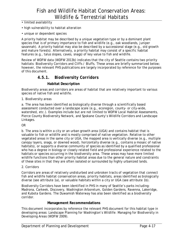- limited availability
- high vulnerability to habitat alteration
- unique or dependent species

A priority habitat may be described by a unique vegetation type or by a dominant plant species that is of primary importance to fish and wildlife (e.g., oak woodlands, juniper savannah). A priority habitat may also be described by a successional stage (e.g., old growth and mature forests). Alternatively, a priority habitat may consist of a specific habitat features (e.g., talus slopes, caves, snags) of key value to fish and wildlife.

Review of WDFW data (WDFW 2013b) indicates that the city of Seattle contains two priority habitats: Biodiversity Corridors and Cliffs / Bluffs. These areas are briefly summarized below; however, the relevant PHS publications are largely incorporated by reference for the purposes of this document.

## *4.5.1. Biodiversity Corridors*

### **Habitat Description**

Biodiversity areas and corridors are areas of habitat that are relatively important to various species of native fish and wildlife.

1. Biodiversity areas

a. The area has been identified as biologically diverse through a scientifically based assessment conducted over a landscape scale (e.g., ecoregion, county- or city-wide, watershed, etc.). Examples include but are not limited to WDFW Local Habitat Assessments, Pierce County Biodiversity Network, and Spokane County's Wildlife Corridors and Landscape Linkages.

#### OR

b. The area is within a city or an urban growth area (UGA) and contains habitat that is valuable to fish or wildlife and is mostly comprised of native vegetation. Relative to other vegetated areas in the same city or UGA, the mapped area is vertically diverse (e.g., multiple canopy layers, snags, or downed wood), horizontally diverse (e.g., contains a mosaic of native habitats), or supports a diverse community of species as identified by a qualified professional who has a degree in biology or closely related field and professional experience related to the habitats or species occurring in the biodiversity area. These areas may have more limited wildlife functions than other priority habitat areas due to the general nature and constraints of these sites in that they are often isolated or surrounded by highly urbanized lands.

#### 2. Corridors

Corridors are areas of relatively undisturbed and unbroken tracts of vegetation that connect fish and wildlife habitat conservation areas, priority habitats, areas identified as biologically diverse (see attribute 1a), or valuable habitats within a city or UGA (see attribute 1b).

Biodiversity Corridors have been identified in PHS in many of Seattle's parks including: Madrona, Carkeek, Discovery, Washington Arboretum, Golden Gardens, Ravenna, Lakeridge, and Kubota Gardens. The Duwamish Waterway has also been identified as a biodiversity corridor.

### **Management Recommendations**

This document incorporates by reference the relevant PHS document for this habitat type in developing areas: Landscape Planning for Washington's Wildlife: Managing for Biodiversity in Developing Areas (WDFW 2009).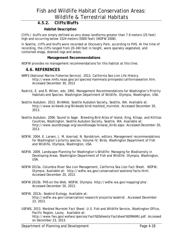## *4.5.2. Cliffs/Bluffs*

### **Habitat Description**

Cliffs / bluffs are simply defined as very steep landforms greater than 7.6 meters (25 feet) high and occurring below 1524 meters (5000 feet) (WDFW 2008).

In Seattle, cliffs and bluffs were recorded at Discovery Park, according to PHS. At the time of recording, the cliffs ranged from 20-240 feet in height, were sparsely vegetated, and contained snags, downed logs and seeps.

### **Management Recommendations**

WDFW provides no management recommendations for this habitat at this time.

## **4.6. REFERENCES**

- NMFS (National Marine Fisheries Service). 2013. California Sea Lion Life History. http://www.nmfs.noaa.gov/pr/species/mammals/pinnipeds/californiasealion.htm. Accessed December 30, 2013
- Rodrick, E. and R. Milner, eds. 1991. Management Recommendations for Washington's Priority Habitats and Species. Washington Department of Wildlife. Olympia, Washington, USA.
- Seattle Audubon. 2013. BirdWeb. Seattle Audubon Society, Seattle, WA. Available at: http://www.birdweb.org/Birdweb/bird/marbled\_murrelet. Accessed December 20, 2013.
- Seattle Audubon. 2006. Sound to Sage: Breeding Bird Atlas of Island, King, Kitsap, and Kittitas Counties, Washington. Seattle Audubon Society, Seattle, WA. Available at: http://www.soundtosage.org/soundtosage/browse\_birds.aspx. Accessed December 20, 2013.
- WDFW. 2004. E. Larsen, J. M. Azerrad, N. Nordstrom, editors. Management recommendations for Washington's priority species, Volume IV: Birds. Washington Department of Fish and Wildlife, Olympia, Washington, USA.
- WDFW. 2009. Landscape Planning for Washington's Wildlife: Managing for Biodiversity in Developing Areas. Washington Department of Fish and Wildlife. Olympia, Washington, USA.
- WDFW 2013a. Columbia River Sea Lion Management, California Sea Lion Fact Sheet. WDFW, Olympia. Available at: http://wdfw.wa.gov/conservation/sealions/facts.html. Accessed December 20, 2013.
- WDFW 2013b. PHS on the Web. WDFW, Olympia. http://wdfw.wa.gov/mapping/phs/. Accessed December 20, 2013.
- WDFW. 2013c. Seabird Ecology. Available at: http://wdfw.wa.gov/conservation/research/projects/seabird/. Accessed December 23, 2013.
- USFWS. 2013. Marbled Murrelet Fact Sheet. U.S. Fish and Wildlife Service, Washington Office, Pacific Region, Lacey. Available at: http://www.fws.gov/wafwo/species/Fact%20sheets/Factsheet%20MAMU.pdf. Accessed on December 23, 2013.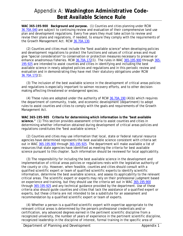## Appendix A: **Washington Administrative Code-Best Available Science Rule**

**WAC 365-195-900 Background and purpose.** (1) Counties and cities planning under RCW 36.70A.040 are subject to continuing review and evaluation of their comprehensive land use plan and development regulations. Every five years they must take action to review and revise their plans and regulations, if needed, to ensure they comply with the requirements of the Growth Management Act. RCW 36.70A.130.

 (2) Counties and cities must include the "best available science" when developing policies and development regulations to protect the functions and values of critical areas and must give "special consideration" to conservation or protection measures necessary to preserve or enhance anadromous fisheries. RCW 36.70A.172(1). The rules in WAC 365-195-900 through 365- 195-925 are intended to assist counties and cities in identifying and including the best available science in newly adopted policies and regulations and in this periodic review and evaluation and in demonstrating they have met their statutory obligations under RCW 36.70A.172(1).

 (3) The inclusion of the best available science in the development of critical areas policies and regulations is especially important to salmon recovery efforts, and to other decisionmaking affecting threatened or endangered species.

(4) These rules are adopted under the authority of RCW  $36.70A.190$  (4)(b) which requires the department of community, trade, and economic development (department) to adopt rules to assist counties and cities to comply with the goals and requirements of the Growth Management Act.

**WAC 365-195-905 Criteria for determining which information is the "best available science."** (1) This section provides assessment criteria to assist counties and cities in determining whether information obtained during development of critical areas policies and regulations constitutes the "best available science."

 (2) Counties and cities may use information that local, state or federal natural resource agencies have determined represents the best available science consistent with criteria set out in WAC 365-195-900 through 365-195-925. The department will make available a list of resources that state agencies have identified as meeting the criteria for best available science pursuant to this chapter. Such information should be reviewed for local applicability.

 (3) The responsibility for including the best available science in the development and implementation of critical areas policies or regulations rests with the legislative authority of the county or city. However, when feasible, counties and cities should consult with a qualified scientific expert or team of qualified scientific experts to identify scientific information, determine the best available science, and assess its applicability to the relevant critical areas. The scientific expert or experts may rely on their professional judgment based on experience and training, but they should use the criteria set out in WAC 365-195-900 through 365-195-925 and any technical guidance provided by the department. Use of these criteria also should guide counties and cities that lack the assistance of a qualified expert or experts, but these criteria are not intended to be a substitute for an assessment and recommendation by a qualified scientific expert or team of experts.

 (4) Whether a person is a qualified scientific expert with expertise appropriate to the relevant critical areas is determined by the person's professional credentials and/or certification, any advanced degrees earned in the pertinent scientific discipline from a recognized university, the number of years of experience in the pertinent scientific discipline, recognized leadership in the discipline of interest, formal training in the specific area of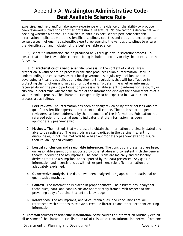## Appendix A: **Washington Administrative Code-Best Available Science Rule**

expertise, and field and/or laboratory experience with evidence of the ability to produce peer-reviewed publications or other professional literature. No one factor is determinative in deciding whether a person is a qualified scientific expert. Where pertinent scientific information implicates multiple scientific disciplines, counties and cities are encouraged to consult a team of qualified scientific experts representing the various disciplines to ensure the identification and inclusion of the best available science.

 (5) Scientific information can be produced only through a valid scientific process. To ensure that the best available science is being included, a county or city should consider the following:

 (a) **Characteristics of a valid scientific process.** In the context of critical areas protection, a valid scientific process is one that produces reliable information useful in understanding the consequences of a local government's regulatory decisions and in developing critical areas policies and development regulations that will be effective in protecting the functions and values of critical areas. To determine whether information received during the public participation process is reliable scientific information, a county or city should determine whether the source of the information displays the characteristics of a valid scientific process. The characteristics generally to be expected in a valid scientific process are as follows:

- 1. **Peer review.** The information has been critically reviewed by other persons who are qualified scientific experts in that scientific discipline. The criticism of the peer reviewers has been addressed by the proponents of the information. Publication in a refereed scientific journal usually indicates that the information has been appropriately peer-reviewed.
- 2. **Methods.** The methods that were used to obtain the information are clearly stated and able to be replicated. The methods are standardized in the pertinent scientific discipline or, if not, the methods have been appropriately peer-reviewed to assure their reliability and validity.
- 3. **Logical conclusions and reasonable inferences.** The conclusions presented are based on reasonable assumptions supported by other studies and consistent with the general theory underlying the assumptions. The conclusions are logically and reasonably derived from the assumptions and supported by the data presented. Any gaps in information and inconsistencies with other pertinent scientific information are adequately explained.
- 4. **Quantitative analysis.** The data have been analyzed using appropriate statistical or quantitative methods.
- 5. **Context.** The information is placed in proper context. The assumptions, analytical techniques, data, and conclusions are appropriately framed with respect to the prevailing body of pertinent scientific knowledge.
- 6. **References.** The assumptions, analytical techniques, and conclusions are well referenced with citations to relevant, credible literature and other pertinent existing information.

(b) **Common sources of scientific information.** Some sources of information routinely exhibit all or some of the characteristics listed in (a) of this subsection. Information derived from one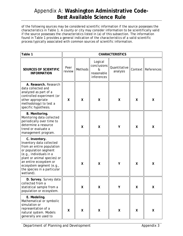of the following sources may be considered scientific information if the source possesses the characteristics in Table 1. A county or city may consider information to be scientifically valid if the source possesses the characteristics listed in (a) of this subsection. The information found in Table 1 provides a general indication of the characteristics of a valid scientific process typically associated with common sources of scientific information.

| Table 1                                                                                                                                                                                                                                                     | <b>CHARACTERISTICS</b> |                |                                                         |                          |   |                      |  |  |
|-------------------------------------------------------------------------------------------------------------------------------------------------------------------------------------------------------------------------------------------------------------|------------------------|----------------|---------------------------------------------------------|--------------------------|---|----------------------|--|--|
| SOURCES OF SCIENTIFIC<br><b>INFORMATION</b>                                                                                                                                                                                                                 | Peer<br>review         | <b>Methods</b> | Logical<br>conclusions<br>&<br>reasonable<br>inferences | Quantitative<br>analysis |   | Context   References |  |  |
| A. Research. Research<br>data collected and<br>analyzed as part of a<br>controlled experiment (or<br>other appropriate<br>methodology) to test a<br>specific hypothesis.                                                                                    | X                      | X              | X                                                       | X                        | X | X                    |  |  |
| B. Monitoring.<br>Monitoring data collected<br>periodically over time to<br>determine a resource<br>trend or evaluate a<br>management program.                                                                                                              |                        | X              | $\mathsf{X}$                                            | Υ                        | X | χ                    |  |  |
| C. Inventory.<br>Inventory data collected<br>from an entire population<br>or population segment<br>(e.g., individuals in a<br>plant or animal species) or<br>an entire ecosystem or<br>ecosystem segment (e.g.,<br>the species in a particular<br>wetland). |                        | X              | $\sf X$                                                 | Υ                        | X | X                    |  |  |
| D. Survey. Survey data<br>collected from a<br>statistical sample from a<br>population or ecosystem.                                                                                                                                                         |                        | Χ              | X                                                       | Υ                        | Χ | X                    |  |  |
| E. Modeling.<br>Mathematical or symbolic<br>simulation or<br>representation of a<br>natural system. Models<br>generally are used to                                                                                                                         | X                      | X              | X                                                       | χ                        | X | X                    |  |  |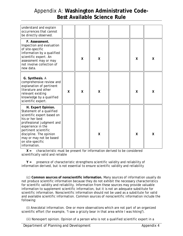| understand and explain<br>occurrences that cannot<br>be directly observed.                                                                                                                                                                                          |              |              |                         |   |   |
|---------------------------------------------------------------------------------------------------------------------------------------------------------------------------------------------------------------------------------------------------------------------|--------------|--------------|-------------------------|---|---|
| F. Assessment.<br>Inspection and evaluation<br>of site-specific<br>information by a qualified<br>scientific expert. An<br>assessment may or may<br>not involve collection of<br>new data.                                                                           |              | $\mathsf{X}$ | $\overline{\mathsf{X}}$ | X | X |
| G. Synthesis. A<br>comprehensive review and<br>explanation of pertinent<br>literature and other<br>relevant existing<br>knowledge by a qualified<br>scientific expert.                                                                                              | $\mathsf{x}$ | X            | $\overline{\mathsf{X}}$ | X | X |
| H. Expert Opinion.<br>Statement of a qualified<br>scientific expert based on<br>his or her best<br>professional judgment and<br>experience in the<br>pertinent scientific<br>discipline. The opinion<br>may or may not be based<br>on site-specific<br>information. |              |              | χ                       | X | X |

 **X =** characteristic must be present for information derived to be considered scientifically valid and reliable

 **Y =** presence of characteristic strengthens scientific validity and reliability of information derived, but is not essential to ensure scientific validity and reliability

 (c) **Common sources of nonscientific information.** Many sources of information usually do not produce scientific information because they do not exhibit the necessary characteristics for scientific validity and reliability. Information from these sources may provide valuable information to supplement scientific information, but it is not an adequate substitute for scientific information. Nonscientific information should not be used as a substitute for valid and available scientific information. Common sources of nonscientific information include the following:

 (i) Anecdotal information. One or more observations which are not part of an organized scientific effort (for example, "I saw a grizzly bear in that area while I was hiking").

(ii) Nonexpert opinion. Opinion of a person who is not a qualified scientific expert in a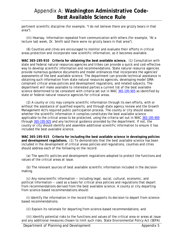pertinent scientific discipline (for example, "I do not believe there are grizzly bears in that area").

 (iii) Hearsay. Information repeated from communication with others (for example, "At a lecture last week, Dr. Smith said there were no grizzly bears in that area").

 (6) Counties and cities are encouraged to monitor and evaluate their efforts in critical areas protection and incorporate new scientific information, as it becomes available.

**WAC 365-195-910 Criteria for obtaining the best available science.** (1) Consultation with state and federal natural resources agencies and tribes can provide a quick and cost-effective way to develop scientific information and recommendations. State natural resource agencies provide numerous guidance documents and model ordinances that incorporate the agencies' assessments of the best available science. The department can provide technical assistance in obtaining such information from state natural resources agencies, developing model GMAcompliant critical areas policies and development regulations, and related subjects. The department will make available to interested parties a current list of the best available science determined to be consistent with criteria set out in WAC 365-195-905 as identified by state or federal natural resource agencies for critical areas.

 (2) A county or city may compile scientific information through its own efforts, with or without the assistance of qualified experts, and through state agency review and the Growth Management Act's required public participation process. The county or city should assess whether the scientific information it compiles constitutes the best available science applicable to the critical areas to be protected, using the criteria set out in WAC 365-195-900 through 365-195-925 and any technical guidance provided by the department. If not, the county or city should identify and assemble additional scientific information to ensure it has included the best available science.

**WAC 365-195-915 Criteria for including the best available science in developing policies and development regulations.** (1) To demonstrate that the best available science has been included in the development of critical areas policies and regulations, counties and cities should address each of the following on the record:

 (a) The specific policies and development regulations adopted to protect the functions and values of the critical areas at issue.

 (b) The relevant sources of best available scientific information included in the decisionmaking.

 (c) Any nonscientific information -- including legal, social, cultural, economic, and political information -- used as a basis for critical area policies and regulations that depart from recommendations derived from the best available science. A county or city departing from science-based recommendations should:

 (i) Identify the information in the record that supports its decision to depart from sciencebased recommendations;

(ii) Explain its rationale for departing from science-based recommendations; and

 (iii) Identify potential risks to the functions and values of the critical area or areas at issue and any additional measures chosen to limit such risks. State Environmental Policy Act (SEPA)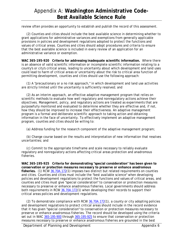review often provides an opportunity to establish and publish the record of this assessment.

 (2) Counties and cities should include the best available science in determining whether to grant applications for administrative variances and exemptions from generally applicable provisions in policies and development regulations adopted to protect the functions and values of critical areas. Counties and cities should adopt procedures and criteria to ensure that the best available science is included in every review of an application for an administrative variance or exemption.

**WAC 365-195-920 Criteria for addressing inadequate scientific information.** Where there is an absence of valid scientific information or incomplete scientific information relating to a county's or city's critical areas, leading to uncertainty about which development and land uses could lead to harm of critical areas or uncertainty about the risk to critical area function of permitting development, counties and cities should use the following approach:

 (1) A "precautionary or a no risk approach," in which development and land use activities are strictly limited until the uncertainty is sufficiently resolved; and

 (2) As an interim approach, an effective adaptive management program that relies on scientific methods to evaluate how well regulatory and nonregulatory actions achieve their objectives. Management, policy, and regulatory actions are treated as experiments that are purposefully monitored and evaluated to determine whether they are effective and, if not, how they should be improved to increase their effectiveness. An adaptive management program is a formal and deliberate scientific approach to taking action and obtaining information in the face of uncertainty. To effectively implement an adaptive management program, counties and cities should be willing to:

(a) Address funding for the research component of the adaptive management program;

 (b) Change course based on the results and interpretation of new information that resolves uncertainties; and

 (c) Commit to the appropriate timeframe and scale necessary to reliably evaluate regulatory and nonregulatory actions affecting critical areas protection and anadromous fisheries.

**WAC 365-195-925 Criteria for demonstrating "special consideration" has been given to conservation or protection measures necessary to preserve or enhance anadromous fisheries.** (1) RCW 36.70A.172(1) imposes two distinct but related requirements on counties and cities. Counties and cities must include the "best available science" when developing policies and development regulations to protect the functions and values of critical areas, and counties and cities must give "special consideration" to conservation or protection measures necessary to preserve or enhance anadromous fisheries. Local governments should address both requirements in RCW 36.70A.172(1) when developing their records to support their critical areas policies and development regulations.

 (2) To demonstrate compliance with RCW 36.70A.172(1), a county or city adopting policies and development regulations to protect critical areas should include in the record evidence that it has given "special consideration" to conservation or protection measures necessary to preserve or enhance anadromous fisheries. The record should be developed using the criteria set out in WAC 365-195-900 through 365-195-925 to ensure that conservation or protection measures necessary to preserve or enhance anadromous fisheries are grounded in the best